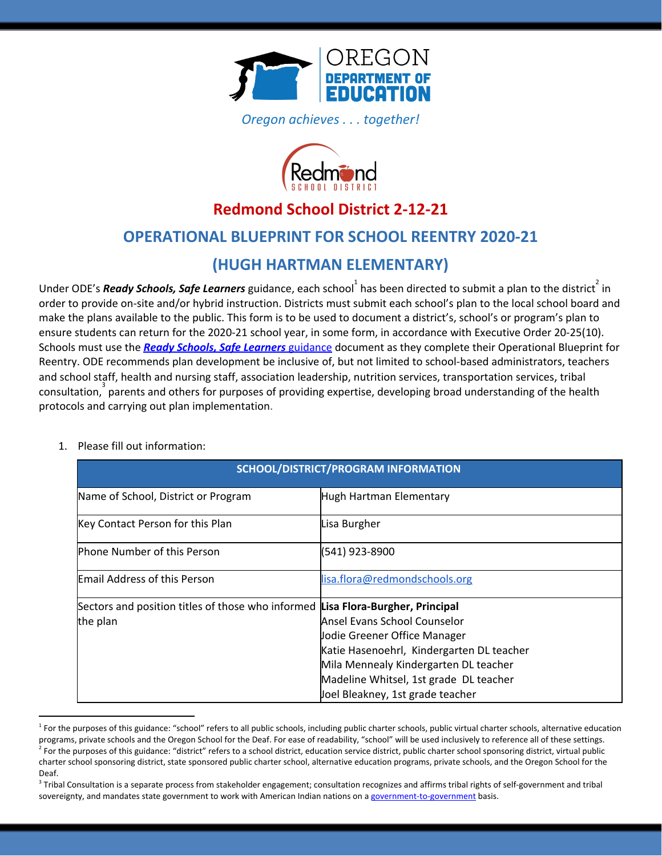

*Oregon achieves . . . together!*



# **Redmond School District 2-12-21**

# **OPERATIONAL BLUEPRINT FOR SCHOOL REENTRY 2020-21**

# **(HUGH HARTMAN ELEMENTARY)**

Under ODE's *Ready Schools, Safe Learners* guidance, each school<sup>1</sup> has been directed to submit a plan to the district<sup>2</sup> in order to provide on-site and/or hybrid instruction. Districts must submit each school's plan to the local school board and make the plans available to the public. This form is to be used to document a district's, school's or program's plan to ensure students can return for the 2020-21 school year, in some form, in accordance with Executive Order 20-25(10). Schools must use the *Ready Schools, Safe [Learners](https://www.oregon.gov/ode/students-and-family/healthsafety/Documents/Ready%20Schools%20Safe%20Learners%202020-21%20Guidance.pdf)* [guidance](https://www.oregon.gov/ode/students-and-family/healthsafety/Documents/Ready%20Schools%20Safe%20Learners%202020-21%20Guidance.pdf) document as they complete their Operational Blueprint for Reentry. ODE recommends plan development be inclusive of, but not limited to school-based administrators, teachers and school staff, health and nursing staff, association leadership, nutrition services, transportation services, tribal  $\arccos$  consultation,  $\arccos$  parents and others for purposes of providing expertise, developing broad understanding of the health protocols and carrying out plan implementation.

| 1. Please fill out information: |  |
|---------------------------------|--|
|---------------------------------|--|

| SCHOOL/DISTRICT/PROGRAM INFORMATION                                             |                                           |
|---------------------------------------------------------------------------------|-------------------------------------------|
| Name of School, District or Program                                             | Hugh Hartman Elementary                   |
| Key Contact Person for this Plan                                                | Lisa Burgher                              |
| <b>Phone Number of this Person</b>                                              | (541) 923-8900                            |
| <b>Email Address of this Person</b>                                             | lisa.flora@redmondschools.org             |
| Sectors and position titles of those who informed Lisa Flora-Burgher, Principal |                                           |
| the plan                                                                        | lAnsel Evans School Counselor             |
|                                                                                 | Jodie Greener Office Manager              |
|                                                                                 | Katie Hasenoehrl, Kindergarten DL teacher |
|                                                                                 | Mila Mennealy Kindergarten DL teacher     |
|                                                                                 | Madeline Whitsel, 1st grade DL teacher    |
|                                                                                 | Joel Bleakney, 1st grade teacher          |

<sup>&</sup>lt;sup>1</sup> For the purposes of this guidance: "school" refers to all public schools, including public charter schools, public virtual charter schools, alternative education programs, private schools and the Oregon School for the Deaf. For ease of readability, "school" will be used inclusively to reference all of these settings.  $^2$  For the purposes of this guidance: "district" refers to a school district, education service district, public charter school sponsoring district, virtual public charter school sponsoring district, state sponsored public charter school, alternative education programs, private schools, and the Oregon School for the Deaf.

 $3$  Tribal Consultation is a separate process from stakeholder engagement; consultation recognizes and affirms tribal rights of self-government and tribal sovereignty, and mandates state government to work with American Indian nations on a [government-to-government](http://www.nrc4tribes.org/files/Tab%209_9H%20Oregon%20SB770.pdf) basis.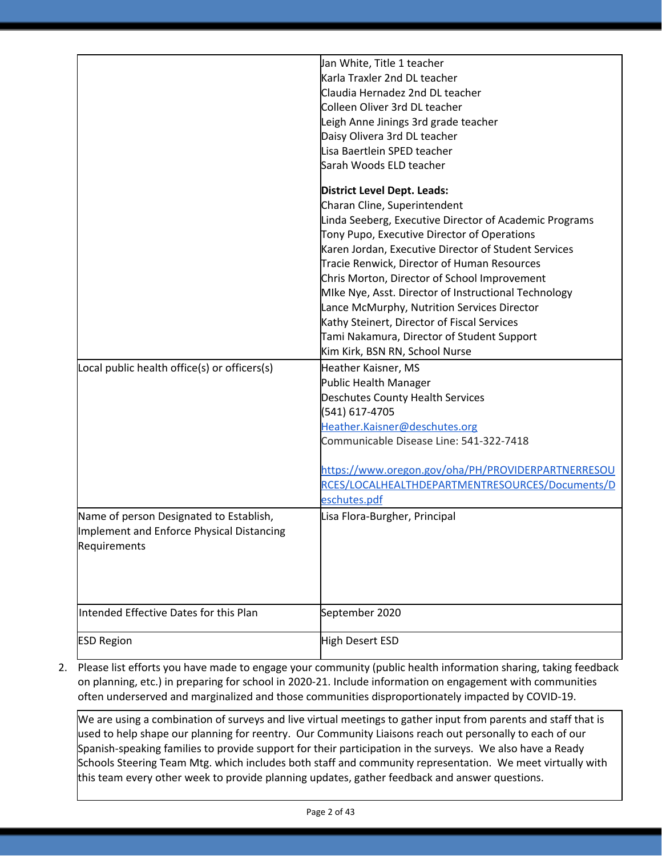|                                              | Jan White, Title 1 teacher                             |
|----------------------------------------------|--------------------------------------------------------|
|                                              | Karla Traxler 2nd DL teacher                           |
|                                              | Claudia Hernadez 2nd DL teacher                        |
|                                              | Colleen Oliver 3rd DL teacher                          |
|                                              | Leigh Anne Jinings 3rd grade teacher                   |
|                                              | Daisy Olivera 3rd DL teacher                           |
|                                              | Lisa Baertlein SPED teacher                            |
|                                              | Sarah Woods ELD teacher                                |
|                                              | District Level Dept. Leads:                            |
|                                              | Charan Cline, Superintendent                           |
|                                              | Linda Seeberg, Executive Director of Academic Programs |
|                                              | Tony Pupo, Executive Director of Operations            |
|                                              | Karen Jordan, Executive Director of Student Services   |
|                                              | Tracie Renwick, Director of Human Resources            |
|                                              | Chris Morton, Director of School Improvement           |
|                                              | Mike Nye, Asst. Director of Instructional Technology   |
|                                              | Lance McMurphy, Nutrition Services Director            |
|                                              | Kathy Steinert, Director of Fiscal Services            |
|                                              | Tami Nakamura, Director of Student Support             |
|                                              | Kim Kirk, BSN RN, School Nurse                         |
| Local public health office(s) or officers(s) | Heather Kaisner, MS                                    |
|                                              | Public Health Manager                                  |
|                                              | Deschutes County Health Services                       |
|                                              | (541) 617-4705                                         |
|                                              | Heather.Kaisner@deschutes.org                          |
|                                              | Communicable Disease Line: 541-322-7418                |
|                                              | https://www.oregon.gov/oha/PH/PROVIDERPARTNERRESOU     |
|                                              | RCES/LOCALHEALTHDEPARTMENTRESOURCES/Documents/D        |
|                                              | eschutes.pdf                                           |
| Name of person Designated to Establish,      | Lisa Flora-Burgher, Principal                          |
| Implement and Enforce Physical Distancing    |                                                        |
| Requirements                                 |                                                        |
|                                              |                                                        |
|                                              |                                                        |
|                                              |                                                        |
| Intended Effective Dates for this Plan       |                                                        |
|                                              | September 2020                                         |
| <b>ESD Region</b>                            | High Desert ESD                                        |

2. Please list efforts you have made to engage your community (public health information sharing, taking feedback on planning, etc.) in preparing for school in 2020-21. Include information on engagement with communities often underserved and marginalized and those communities disproportionately impacted by COVID-19.

We are using a combination of surveys and live virtual meetings to gather input from parents and staff that is used to help shape our planning for reentry. Our Community Liaisons reach out personally to each of our Spanish-speaking families to provide support for their participation in the surveys. We also have a Ready Schools Steering Team Mtg. which includes both staff and community representation. We meet virtually with this team every other week to provide planning updates, gather feedback and answer questions.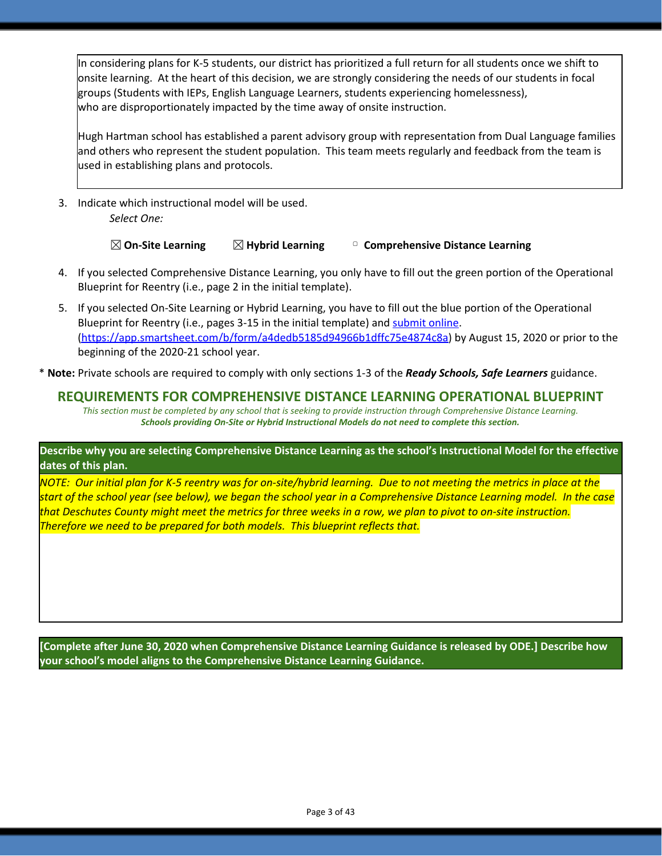In considering plans for K-5 students, our district has prioritized a full return for all students once we shift to onsite learning. At the heart of this decision, we are strongly considering the needs of our students in focal groups (Students with IEPs, English Language Learners, students experiencing homelessness), who are disproportionately impacted by the time away of onsite instruction.

Hugh Hartman school has established a parent advisory group with representation from Dual Language families and others who represent the student population. This team meets regularly and feedback from the team is used in establishing plans and protocols.

3. Indicate which instructional model will be used. *Select One:*

☒**On-Site Learning** ☒**Hybrid Learning** ▢ **Comprehensive Distance Learning**

- 4. If you selected Comprehensive Distance Learning, you only have to fill out the green portion of the Operational Blueprint for Reentry (i.e., page 2 in the initial template).
- 5. If you selected On-Site Learning or Hybrid Learning, you have to fill out the blue portion of the Operational Blueprint for Reentry (i.e., pages 3-15 in the initial template) and [submit](https://app.smartsheet.com/b/form/a4dedb5185d94966b1dffc75e4874c8a) online. [\(https://app.smartsheet.com/b/form/a4dedb5185d94966b1dffc75e4874c8a\)](https://app.smartsheet.com/b/form/a4dedb5185d94966b1dffc75e4874c8a) by August 15, 2020 or prior to the beginning of the 2020-21 school year.

\* **Note:** Private schools are required to comply with only sections 1-3 of the *Ready Schools, Safe Learners* guidance.

## **REQUIREMENTS FOR COMPREHENSIVE DISTANCE LEARNING OPERATIONAL BLUEPRINT**

*This section must be completed by any school that is seeking to provide instruction through Comprehensive Distance Learning. Schools providing On-Site or Hybrid Instructional Models do not need to complete this section.*

Describe why you are selecting Comprehensive Distance Learning as the school's Instructional Model for the effective **dates of this plan.**

NOTE: Our initial plan for K-5 reentry was for on-site/hybrid learning. Due to not meeting the metrics in place at the start of the school year (see below), we began the school year in a Comprehensive Distance Learning model. In the case that Deschutes County might meet the metrics for three weeks in a row, we plan to pivot to on-site instruction. *Therefore we need to be prepared for both models. This blueprint reflects that.*

**[Complete after June 30, 2020 when Comprehensive Distance Learning Guidance is released by ODE.] Describe how your school's model aligns to the Comprehensive Distance Learning Guidance.**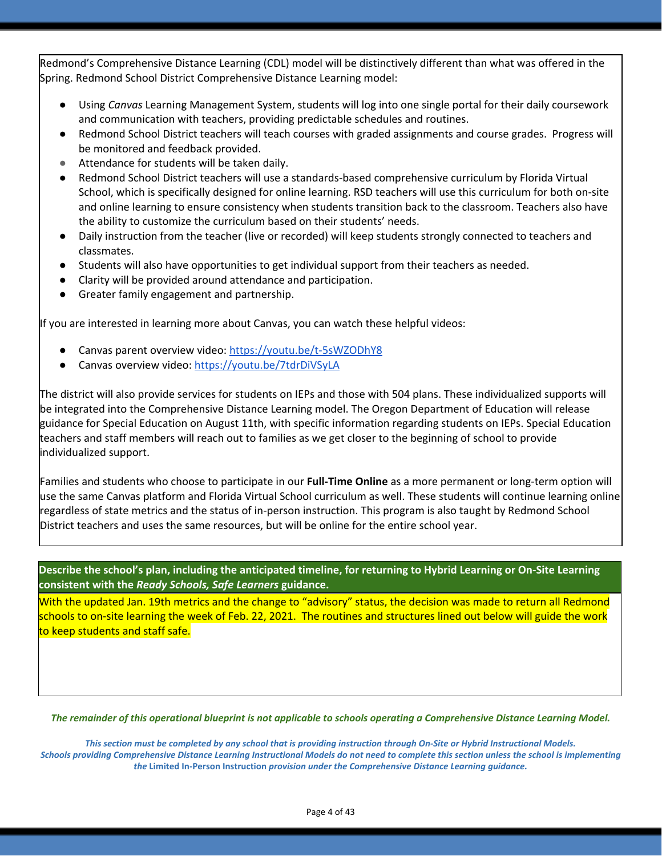Redmond's Comprehensive Distance Learning (CDL) model will be distinctively different than what was offered in the Spring. Redmond School District Comprehensive Distance Learning model:

- Using *Canvas* Learning Management System, students will log into one single portal for their daily coursework and communication with teachers, providing predictable schedules and routines.
- Redmond School District teachers will teach courses with graded assignments and course grades. Progress will be monitored and feedback provided.
- Attendance for students will be taken daily.
- Redmond School District teachers will use a standards-based comprehensive curriculum by Florida Virtual School, which is specifically designed for online learning. RSD teachers will use this curriculum for both on-site and online learning to ensure consistency when students transition back to the classroom. Teachers also have the ability to customize the curriculum based on their students' needs.
- Daily instruction from the teacher (live or recorded) will keep students strongly connected to teachers and classmates.
- Students will also have opportunities to get individual support from their teachers as needed.
- Clarity will be provided around attendance and participation.
- Greater family engagement and partnership.

If you are interested in learning more about Canvas, you can watch these helpful videos:

- Canvas parent overview video: <https://youtu.be/t-5sWZODhY8>
- Canvas overview video: <https://youtu.be/7tdrDiVSyLA>

The district will also provide services for students on IEPs and those with 504 plans. These individualized supports will be integrated into the Comprehensive Distance Learning model. The Oregon Department of Education will release guidance for Special Education on August 11th, with specific information regarding students on IEPs. Special Education teachers and staff members will reach out to families as we get closer to the beginning of school to provide individualized support.

Families and students who choose to participate in our **Full-Time Online** as a more permanent or long-term option will use the same Canvas platform and Florida Virtual School curriculum as well. These students will continue learning online regardless of state metrics and the status of in-person instruction. This program is also taught by Redmond School District teachers and uses the same resources, but will be online for the entire school year.

Describe the school's plan, including the anticipated timeline, for returning to Hybrid Learning or On-Site Learning **consistent with the** *Ready Schools, Safe Learners* **guidance.**

With the updated Jan. 19th metrics and the change to "advisory" status, the decision was made to return all Redmond schools to on-site learning the week of Feb. 22, 2021. The routines and structures lined out below will guide the work to keep students and staff safe.

The remainder of this operational blueprint is not applicable to schools operating a Comprehensive Distance Learning Model.

*This section must be completed by any school that is providing instruction through On-Site or Hybrid Instructional Models. Schools providing Comprehensive Distance Learning Instructional Models do not need to complete this section unless the school is implementing the* **Limited In-Person Instruction** *provision under the Comprehensive Distance Learning guidance.*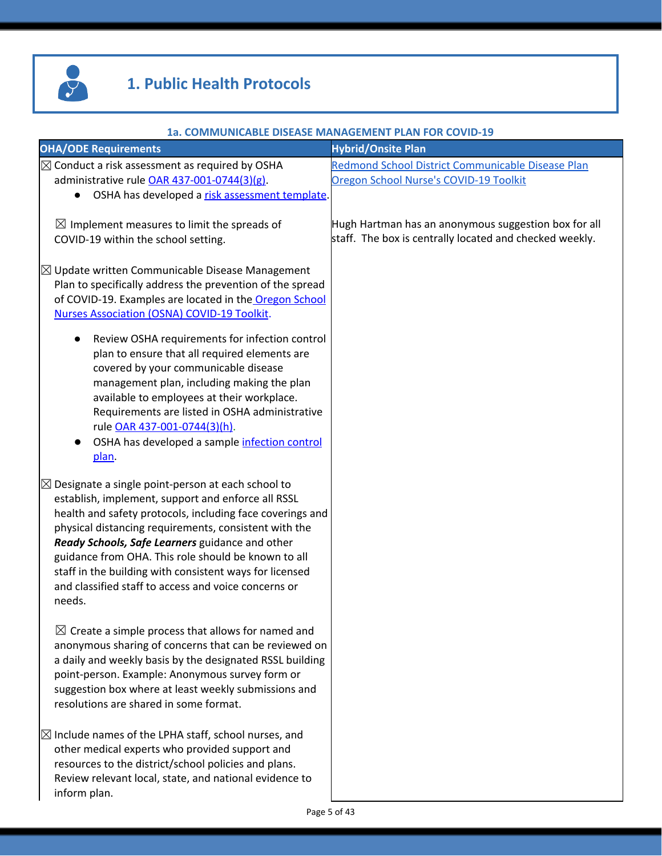

# **1. Public Health Protocols**

|                                                                                                                                                                                                                                                                                                                                                                                                                                                                                  | 1a. COMMUNICABLE DISEASE MANAGEMENT PLAN FOR COVID-19                                                           |
|----------------------------------------------------------------------------------------------------------------------------------------------------------------------------------------------------------------------------------------------------------------------------------------------------------------------------------------------------------------------------------------------------------------------------------------------------------------------------------|-----------------------------------------------------------------------------------------------------------------|
| <b>OHA/ODE Requirements</b>                                                                                                                                                                                                                                                                                                                                                                                                                                                      | <b>Hybrid/Onsite Plan</b>                                                                                       |
| $\boxtimes$ Conduct a risk assessment as required by OSHA<br>administrative rule OAR 437-001-0744(3)(g).<br>OSHA has developed a risk assessment template.<br>$\bullet$                                                                                                                                                                                                                                                                                                          | Redmond School District Communicable Disease Plan<br>Oregon School Nurse's COVID-19 Toolkit                     |
| $\boxtimes$ Implement measures to limit the spreads of<br>COVID-19 within the school setting.                                                                                                                                                                                                                                                                                                                                                                                    | Hugh Hartman has an anonymous suggestion box for all<br>staff. The box is centrally located and checked weekly. |
| $\boxtimes$ Update written Communicable Disease Management<br>Plan to specifically address the prevention of the spread<br>of COVID-19. Examples are located in the Oregon School<br>Nurses Association (OSNA) COVID-19 Toolkit.                                                                                                                                                                                                                                                 |                                                                                                                 |
| Review OSHA requirements for infection control<br>$\bullet$<br>plan to ensure that all required elements are<br>covered by your communicable disease<br>management plan, including making the plan<br>available to employees at their workplace.                                                                                                                                                                                                                                 |                                                                                                                 |
| Requirements are listed in OSHA administrative<br>rule OAR 437-001-0744(3)(h).<br>OSHA has developed a sample infection control<br>plan.                                                                                                                                                                                                                                                                                                                                         |                                                                                                                 |
| $\boxtimes$ Designate a single point-person at each school to<br>establish, implement, support and enforce all RSSL<br>health and safety protocols, including face coverings and<br>physical distancing requirements, consistent with the<br>Ready Schools, Safe Learners guidance and other<br>guidance from OHA. This role should be known to all<br>staff in the building with consistent ways for licensed<br>and classified staff to access and voice concerns or<br>needs. |                                                                                                                 |
| $\boxtimes$ Create a simple process that allows for named and<br>anonymous sharing of concerns that can be reviewed on<br>a daily and weekly basis by the designated RSSL building<br>point-person. Example: Anonymous survey form or<br>suggestion box where at least weekly submissions and<br>resolutions are shared in some format.                                                                                                                                          |                                                                                                                 |
| $\boxtimes$ Include names of the LPHA staff, school nurses, and<br>other medical experts who provided support and<br>resources to the district/school policies and plans.<br>Review relevant local, state, and national evidence to<br>inform plan.                                                                                                                                                                                                                              |                                                                                                                 |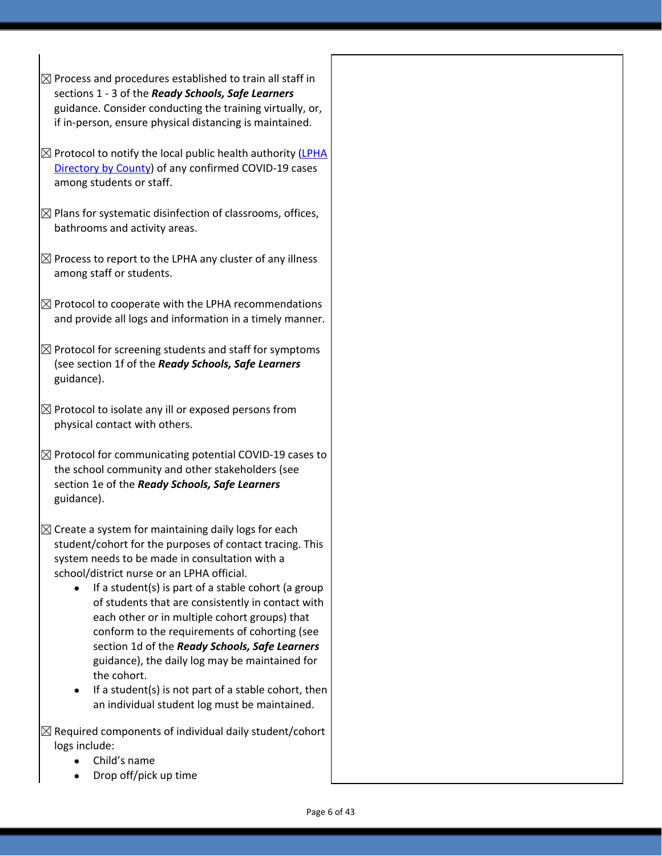- $\boxtimes$  Process and procedures established to train all staff in sections 1 - 3 of the *Ready Schools, Safe Learners* guidance. Consider conducting the training virtually, or, if in-person, ensure physical distancing is maintained.
- $\boxtimes$  Protocol to notify the local public health authority [\(LPHA](https://www.oregon.gov/oha/ph/providerpartnerresources/localhealthdepartmentresources/pages/lhd.aspx) [Directory](https://www.oregon.gov/oha/ph/providerpartnerresources/localhealthdepartmentresources/pages/lhd.aspx) by County) of any confirmed COVID-19 cases among students or staff.
- $\boxtimes$  Plans for systematic disinfection of classrooms, offices, bathrooms and activity areas.
- $\boxtimes$  Process to report to the LPHA any cluster of any illness among staff or students.
- $\boxtimes$  Protocol to cooperate with the LPHA recommendations and provide all logs and information in a timely manner.
- $\boxtimes$  Protocol for screening students and staff for symptoms (see section 1f of the *Ready Schools, Safe Learners* guidance).
- $\boxtimes$  Protocol to isolate any ill or exposed persons from physical contact with others.
- $\boxtimes$  Protocol for communicating potential COVID-19 cases to the school community and other stakeholders (see section 1e of the *Ready Schools, Safe Learners* guidance).
- $\boxtimes$  Create a system for maintaining daily logs for each student/cohort for the purposes of contact tracing. This system needs to be made in consultation with a school/district nurse or an LPHA official.
	- If a student(s) is part of a stable cohort (a group of students that are consistently in contact with each other or in multiple cohort groups) that conform to the requirements of cohorting (see section 1d of the *Ready Schools, Safe Learners* guidance), the daily log may be maintained for the cohort.
	- If a student(s) is not part of a stable cohort, then an individual student log must be maintained.
- $\boxtimes$  Required components of individual daily student/cohort logs include:
	- Child's name
	- Drop off/pick up time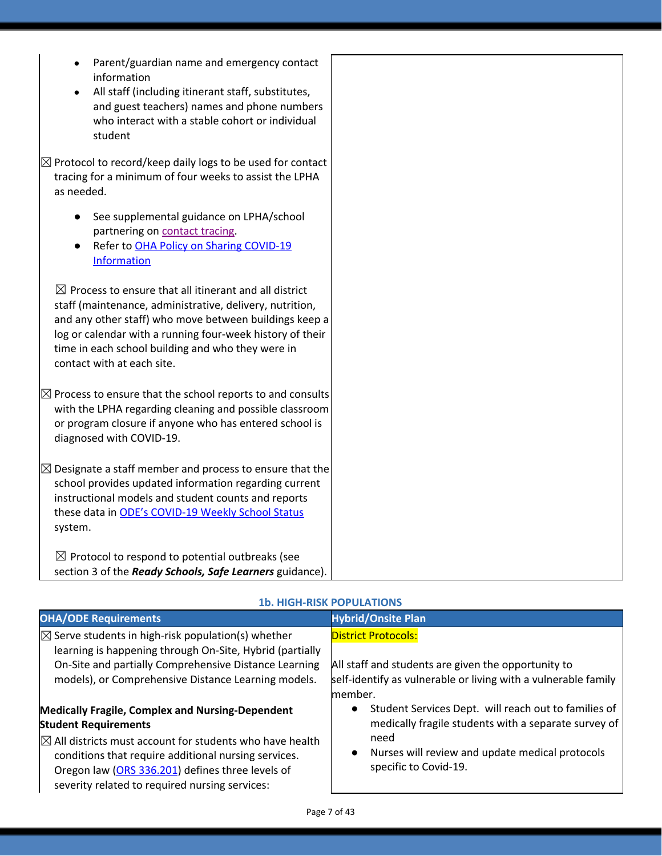| Parent/guardian name and emergency contact<br>information<br>All staff (including itinerant staff, substitutes,<br>and guest teachers) names and phone numbers<br>who interact with a stable cohort or individual<br>student                                                                                                            |  |
|-----------------------------------------------------------------------------------------------------------------------------------------------------------------------------------------------------------------------------------------------------------------------------------------------------------------------------------------|--|
| $\boxtimes$ Protocol to record/keep daily logs to be used for contact<br>tracing for a minimum of four weeks to assist the LPHA<br>as needed.                                                                                                                                                                                           |  |
| See supplemental guidance on LPHA/school<br>partnering on contact tracing.<br>Refer to OHA Policy on Sharing COVID-19<br><b>Information</b>                                                                                                                                                                                             |  |
| $\boxtimes$ Process to ensure that all itinerant and all district<br>staff (maintenance, administrative, delivery, nutrition,<br>and any other staff) who move between buildings keep a<br>log or calendar with a running four-week history of their<br>time in each school building and who they were in<br>contact with at each site. |  |
| $\boxtimes$ Process to ensure that the school reports to and consults<br>with the LPHA regarding cleaning and possible classroom<br>or program closure if anyone who has entered school is<br>diagnosed with COVID-19.                                                                                                                  |  |
| $\boxtimes$ Designate a staff member and process to ensure that the<br>school provides updated information regarding current<br>instructional models and student counts and reports<br>these data in ODE's COVID-19 Weekly School Status<br>system.                                                                                     |  |
| $\boxtimes$ Protocol to respond to potential outbreaks (see<br>section 3 of the Ready Schools, Safe Learners guidance).                                                                                                                                                                                                                 |  |

#### **1b. HIGH-RISK POPULATIONS**

| <b>OHA/ODE Requirements</b>                                                                                                                                                                                                                                                                                                 | <b>Hybrid/Onsite Plan</b>                                                                                                                                                                                                  |
|-----------------------------------------------------------------------------------------------------------------------------------------------------------------------------------------------------------------------------------------------------------------------------------------------------------------------------|----------------------------------------------------------------------------------------------------------------------------------------------------------------------------------------------------------------------------|
| $\boxtimes$ Serve students in high-risk population(s) whether<br>learning is happening through On-Site, Hybrid (partially<br>On-Site and partially Comprehensive Distance Learning<br>models), or Comprehensive Distance Learning models.                                                                                   | <b>District Protocols:</b><br>All staff and students are given the opportunity to<br>self-identify as vulnerable or living with a vulnerable family<br>member.                                                             |
| <b>Medically Fragile, Complex and Nursing-Dependent</b><br><b>Student Requirements</b><br>$\boxtimes$ All districts must account for students who have health<br>conditions that require additional nursing services.<br>Oregon law (ORS 336.201) defines three levels of<br>severity related to required nursing services: | Student Services Dept. will reach out to families of<br>$\bullet$<br>medically fragile students with a separate survey of<br>need<br>Nurses will review and update medical protocols<br>$\bullet$<br>specific to Covid-19. |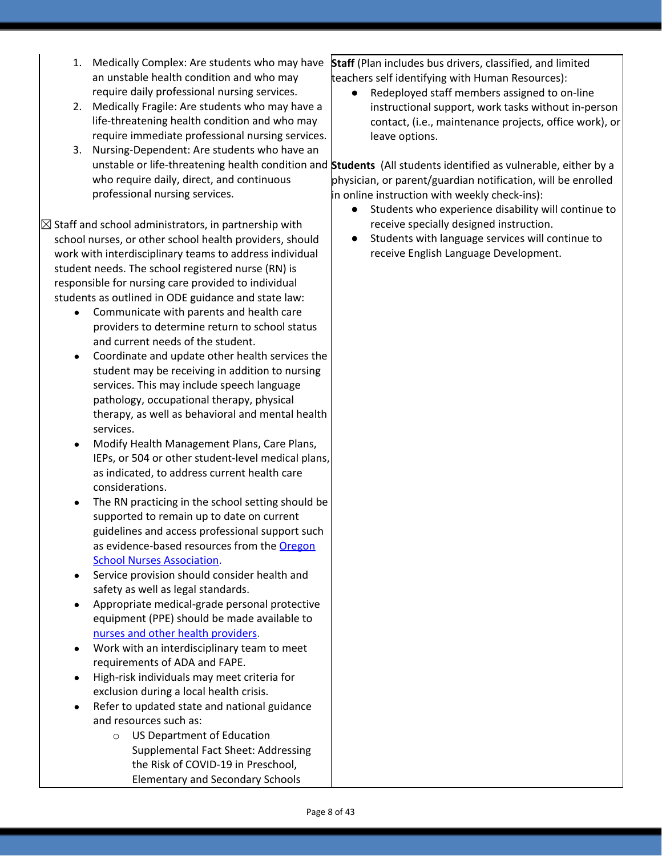- 1. Medically Complex: Are students who may have an unstable health condition and who may require daily professional nursing services.
- 2. Medically Fragile: Are students who may have a life-threatening health condition and who may require immediate professional nursing services.
- 3. Nursing-Dependent: Are students who have an who require daily, direct, and continuous professional nursing services.

 $\boxtimes$  Staff and school administrators, in partnership with school nurses, or other school health providers, should work with interdisciplinary teams to address individual student needs. The school registered nurse (RN) is responsible for nursing care provided to individual students as outlined in ODE guidance and state law:

- Communicate with parents and health care providers to determine return to school status and current needs of the student.
- Coordinate and update other health services the student may be receiving in addition to nursing services. This may include speech language pathology, occupational therapy, physical therapy, as well as behavioral and mental health services.
- Modify Health Management Plans, Care Plans, IEPs, or 504 or other student-level medical plans, as indicated, to address current health care considerations.
- The RN practicing in the school setting should be supported to remain up to date on current guidelines and access professional support such as evidence-based resources from the **[Oregon](https://www.oregonschoolnurses.org/resources/covid-19-toolkit)** School Nurses [Association](https://www.oregonschoolnurses.org/resources/covid-19-toolkit).
- Service provision should consider health and safety as well as legal standards.
- Appropriate medical-grade personal protective equipment (PPE) should be made available t[o](https://www.oregon.gov/ode/students-and-family/healthsafety/Documents/Additional%20Considerations%20for%20Staff%20Working%20with%20Students%20with%20Complex%20Needs.pdf) nurses and other health [providers.](https://www.oregon.gov/ode/students-and-family/healthsafety/Documents/Additional%20Considerations%20for%20Staff%20Working%20with%20Students%20with%20Complex%20Needs.pdf)
- Work with an interdisciplinary team to meet requirements of ADA and FAPE.
- High-risk individuals may meet criteria for exclusion during a local health crisis.
- Refer to updated state and national guidance and resources such as:
	- o US Department of Education Supplemental Fact Sheet: Addressing the Risk of COVID-19 in Preschool, Elementary and Secondary Schools

**Staff** (Plan includes bus drivers, classified, and limited teachers self identifying with Human Resources):

Redeployed staff members assigned to on-line instructional support, work tasks without in-person contact, (i.e., maintenance projects, office work), or leave options.

unstable or life-threatening health condition and **Students** (All students identified as vulnerable, either by a physician, or parent/guardian notification, will be enrolled in online instruction with weekly check-ins):

- Students who experience disability will continue to receive specially designed instruction.
- Students with language services will continue to receive English Language Development.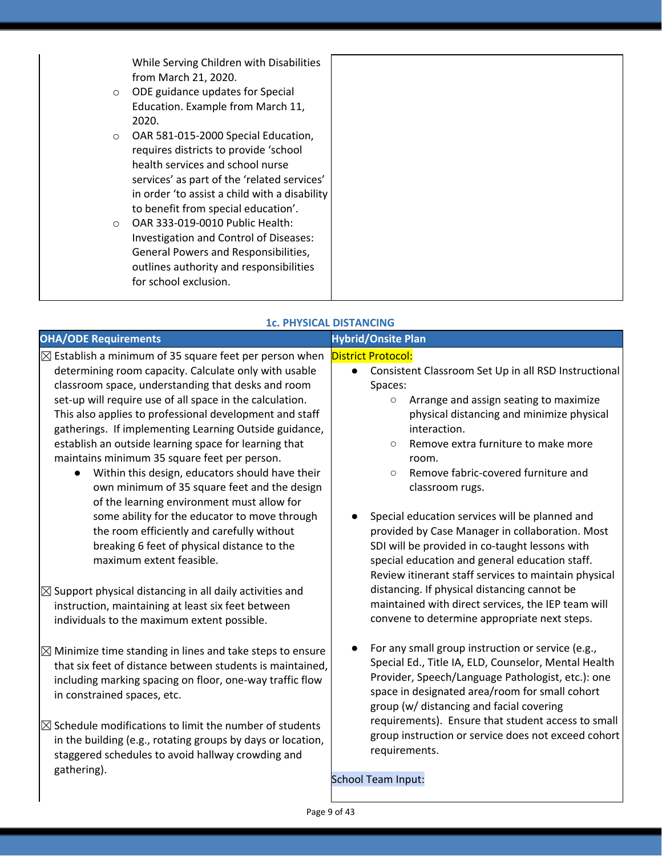While Serving Children with Disabilities from March 21, 2020.

- o ODE guidance updates for Special Education. Example from March 11, 2020.
- o OAR 581-015-2000 Special Education, requires districts to provide 'school health services and school nurse services' as part of the 'related services' in order 'to assist a child with a disability to benefit from special education'.
- o OAR 333-019-0010 Public Health: Investigation and Control of Diseases: General Powers and Responsibilities, outlines authority and responsibilities for school exclusion.

| <b>1c. PHYSICAL DISTANCING</b>                                                                                                                                                                                                                                                                                                                                                                                                                                                                                                                                                                                                                                                                                                                                                         |                                                                                                                                                                                                                                                                                                                                                                                                                                                                                                                    |  |
|----------------------------------------------------------------------------------------------------------------------------------------------------------------------------------------------------------------------------------------------------------------------------------------------------------------------------------------------------------------------------------------------------------------------------------------------------------------------------------------------------------------------------------------------------------------------------------------------------------------------------------------------------------------------------------------------------------------------------------------------------------------------------------------|--------------------------------------------------------------------------------------------------------------------------------------------------------------------------------------------------------------------------------------------------------------------------------------------------------------------------------------------------------------------------------------------------------------------------------------------------------------------------------------------------------------------|--|
| <b>OHA/ODE Requirements</b>                                                                                                                                                                                                                                                                                                                                                                                                                                                                                                                                                                                                                                                                                                                                                            | <b>Hybrid/Onsite Plan</b>                                                                                                                                                                                                                                                                                                                                                                                                                                                                                          |  |
| $\boxtimes$ Establish a minimum of 35 square feet per person when<br>determining room capacity. Calculate only with usable<br>classroom space, understanding that desks and room<br>set-up will require use of all space in the calculation.<br>This also applies to professional development and staff<br>gatherings. If implementing Learning Outside guidance,<br>establish an outside learning space for learning that<br>maintains minimum 35 square feet per person.<br>Within this design, educators should have their<br>$\bullet$<br>own minimum of 35 square feet and the design<br>of the learning environment must allow for<br>some ability for the educator to move through<br>the room efficiently and carefully without<br>breaking 6 feet of physical distance to the | <b>District Protocol:</b><br>Consistent Classroom Set Up in all RSD Instructional<br>$\bullet$<br>Spaces:<br>Arrange and assign seating to maximize<br>$\circ$<br>physical distancing and minimize physical<br>interaction.<br>Remove extra furniture to make more<br>$\circ$<br>room.<br>Remove fabric-covered furniture and<br>$\circ$<br>classroom rugs.<br>Special education services will be planned and<br>provided by Case Manager in collaboration. Most<br>SDI will be provided in co-taught lessons with |  |
| maximum extent feasible.<br>$\boxtimes$ Support physical distancing in all daily activities and<br>instruction, maintaining at least six feet between<br>individuals to the maximum extent possible.                                                                                                                                                                                                                                                                                                                                                                                                                                                                                                                                                                                   | special education and general education staff.<br>Review itinerant staff services to maintain physical<br>distancing. If physical distancing cannot be<br>maintained with direct services, the IEP team will<br>convene to determine appropriate next steps.                                                                                                                                                                                                                                                       |  |
| $\boxtimes$ Minimize time standing in lines and take steps to ensure<br>that six feet of distance between students is maintained,<br>including marking spacing on floor, one-way traffic flow<br>in constrained spaces, etc.<br>$\boxtimes$ Schedule modifications to limit the number of students<br>in the building (e.g., rotating groups by days or location,<br>staggered schedules to avoid hallway crowding and                                                                                                                                                                                                                                                                                                                                                                 | For any small group instruction or service (e.g.,<br>Special Ed., Title IA, ELD, Counselor, Mental Health<br>Provider, Speech/Language Pathologist, etc.): one<br>space in designated area/room for small cohort<br>group (w/ distancing and facial covering<br>requirements). Ensure that student access to small<br>group instruction or service does not exceed cohort<br>requirements.                                                                                                                         |  |
| gathering).                                                                                                                                                                                                                                                                                                                                                                                                                                                                                                                                                                                                                                                                                                                                                                            | School Team Input:                                                                                                                                                                                                                                                                                                                                                                                                                                                                                                 |  |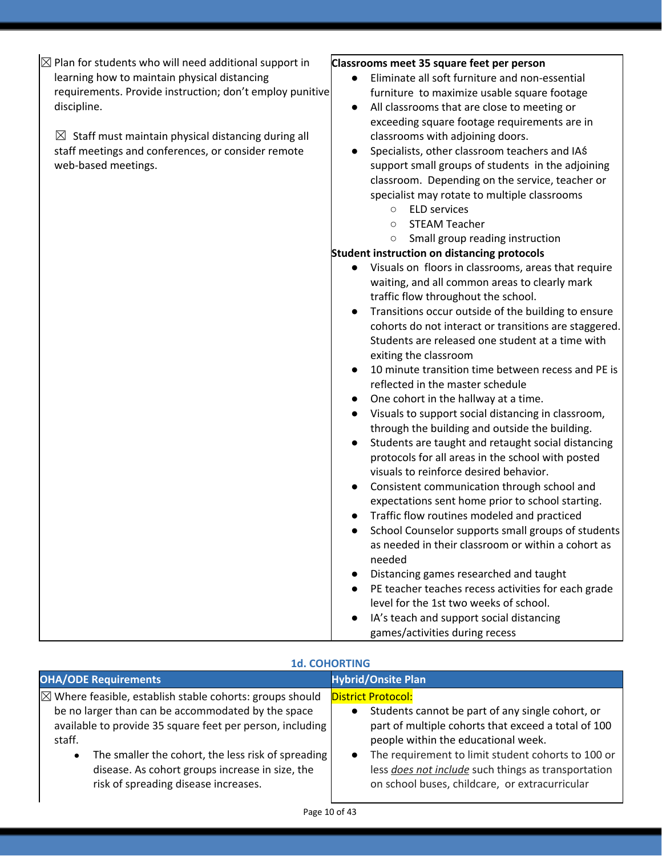| $\boxtimes$ Plan for students who will need additional support in | Classrooms meet 35 square feet per person                        |
|-------------------------------------------------------------------|------------------------------------------------------------------|
| learning how to maintain physical distancing                      | Eliminate all soft furniture and non-essential                   |
| requirements. Provide instruction; don't employ punitive          | furniture to maximize usable square footage                      |
| discipline.                                                       | All classrooms that are close to meeting or<br>$\bullet$         |
|                                                                   | exceeding square footage requirements are in                     |
| $\boxtimes$ Staff must maintain physical distancing during all    | classrooms with adjoining doors.                                 |
| staff meetings and conferences, or consider remote                | Specialists, other classroom teachers and IAS<br>$\bullet$       |
| web-based meetings.                                               | support small groups of students in the adjoining                |
|                                                                   | classroom. Depending on the service, teacher or                  |
|                                                                   | specialist may rotate to multiple classrooms                     |
|                                                                   | <b>ELD services</b><br>$\circ$                                   |
|                                                                   | <b>STEAM Teacher</b><br>$\circ$                                  |
|                                                                   | Small group reading instruction<br>$\circ$                       |
|                                                                   | <b>Student instruction on distancing protocols</b>               |
|                                                                   | Visuals on floors in classrooms, areas that require<br>$\bullet$ |
|                                                                   | waiting, and all common areas to clearly mark                    |
|                                                                   | traffic flow throughout the school.                              |
|                                                                   | Transitions occur outside of the building to ensure              |
|                                                                   | cohorts do not interact or transitions are staggered.            |
|                                                                   | Students are released one student at a time with                 |
|                                                                   | exiting the classroom                                            |
|                                                                   | 10 minute transition time between recess and PE is               |
|                                                                   |                                                                  |
|                                                                   | reflected in the master schedule                                 |
|                                                                   | One cohort in the hallway at a time.                             |
|                                                                   | Visuals to support social distancing in classroom,<br>$\bullet$  |
|                                                                   | through the building and outside the building.                   |
|                                                                   | Students are taught and retaught social distancing<br>$\bullet$  |
|                                                                   | protocols for all areas in the school with posted                |
|                                                                   | visuals to reinforce desired behavior.                           |
|                                                                   | Consistent communication through school and<br>$\bullet$         |
|                                                                   | expectations sent home prior to school starting.                 |
|                                                                   | Traffic flow routines modeled and practiced                      |
|                                                                   | School Counselor supports small groups of students               |
|                                                                   | as needed in their classroom or within a cohort as               |
|                                                                   | needed                                                           |
|                                                                   | Distancing games researched and taught                           |
|                                                                   | PE teacher teaches recess activities for each grade              |
|                                                                   | level for the 1st two weeks of school.                           |
|                                                                   | IA's teach and support social distancing                         |
|                                                                   | games/activities during recess                                   |

#### **1d. COHORTING**

| <b>OHA/ODE Requirements</b>                                         | <b>Hybrid/Onsite Plan</b>                           |
|---------------------------------------------------------------------|-----------------------------------------------------|
| $\boxtimes$ Where feasible, establish stable cohorts: groups should | <b>District Protocol:</b>                           |
| be no larger than can be accommodated by the space                  | Students cannot be part of any single cohort, or    |
| available to provide 35 square feet per person, including           | part of multiple cohorts that exceed a total of 100 |
| staff.                                                              | people within the educational week.                 |
| The smaller the cohort, the less risk of spreading                  | The requirement to limit student cohorts to 100 or  |
| $\bullet$                                                           | $\bullet$                                           |
| disease. As cohort groups increase in size, the                     | less does not include such things as transportation |
| risk of spreading disease increases.                                | on school buses, childcare, or extracurricular      |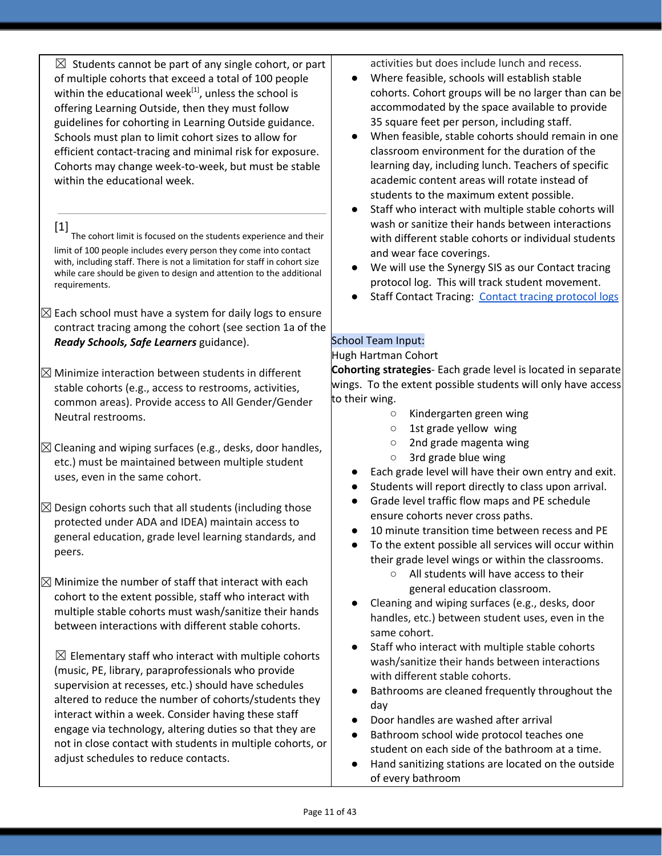$\boxtimes$  Students cannot be part of any single cohort, or part of multiple cohorts that exceed a total of 100 people within the educational week<sup>[1]</sup>, unless the school is offering Learning Outside, then they must follow guidelines for cohorting in Learning Outside guidance. Schools must plan to limit cohort sizes to allow for efficient contact-tracing and minimal risk for exposure. Cohorts may change week-to-week, but must be stable within the educational week.

[1] The cohort limit is focused on the students experience and their limit of 100 people includes every person they come into contact with, including staff. There is not a limitation for staff in cohort size while care should be given to design and attention to the additional requirements.

- $\boxtimes$  Each school must have a system for daily logs to ensure contract tracing among the cohort (see section 1a of the *Ready Schools, Safe Learners* guidance).
- $\boxtimes$  Minimize interaction between students in different stable cohorts (e.g., access to restrooms, activities, common areas). Provide access to All Gender/Gender Neutral restrooms.
- $\boxtimes$  Cleaning and wiping surfaces (e.g., desks, door handles, etc.) must be maintained between multiple student uses, even in the same cohort.
- $\boxtimes$  Design cohorts such that all students (including those protected under ADA and IDEA) maintain access to general education, grade level learning standards, and peers.
- $\boxtimes$  Minimize the number of staff that interact with each cohort to the extent possible, staff who interact with multiple stable cohorts must wash/sanitize their hands between interactions with different stable cohorts.

 $\boxtimes$  Elementary staff who interact with multiple cohorts (music, PE, library, paraprofessionals who provide supervision at recesses, etc.) should have schedules altered to reduce the number of cohorts/students they interact within a week. Consider having these staff engage via technology, altering duties so that they are not in close contact with students in multiple cohorts, or adjust schedules to reduce contacts.

activities but does include lunch and recess.

- Where feasible, schools will establish stable cohorts. Cohort groups will be no larger than can be accommodated by the space available to provide 35 square feet per person, including staff.
- When feasible, stable cohorts should remain in one classroom environment for the duration of the learning day, including lunch. Teachers of specific academic content areas will rotate instead of students to the maximum extent possible.
- Staff who interact with multiple stable cohorts will wash or sanitize their hands between interactions with different stable cohorts or individual students and wear face coverings.
- We will use the Synergy SIS as our Contact tracing protocol log. This will track student movement.
- Staff Contact Tracing: Contact tracing [protocol](https://docs.google.com/document/d/1hj6nIWiN7zIQ6gVQLIsV3iR_tX3w8YgSvfHYoRkBuCc/edit?usp=sharing) logs

# School Team Input:

#### Hugh Hartman Cohort

**Cohorting strategies**- Each grade level is located in separate wings. To the extent possible students will only have access to their wing.

- Kindergarten green wing
- 1st grade yellow wing
- 2nd grade magenta wing
- 3rd grade blue wing
- Each grade level will have their own entry and exit.
- Students will report directly to class upon arrival.
- Grade level traffic flow maps and PE schedule ensure cohorts never cross paths.
- 10 minute transition time between recess and PE
- To the extent possible all services will occur within their grade level wings or within the classrooms.
	- All students will have access to their general education classroom.
- Cleaning and wiping surfaces (e.g., desks, door handles, etc.) between student uses, even in the same cohort.
- Staff who interact with multiple stable cohorts wash/sanitize their hands between interactions with different stable cohorts.
- Bathrooms are cleaned frequently throughout the day
- Door handles are washed after arrival
- Bathroom school wide protocol teaches one student on each side of the bathroom at a time.
- Hand sanitizing stations are located on the outside of every bathroom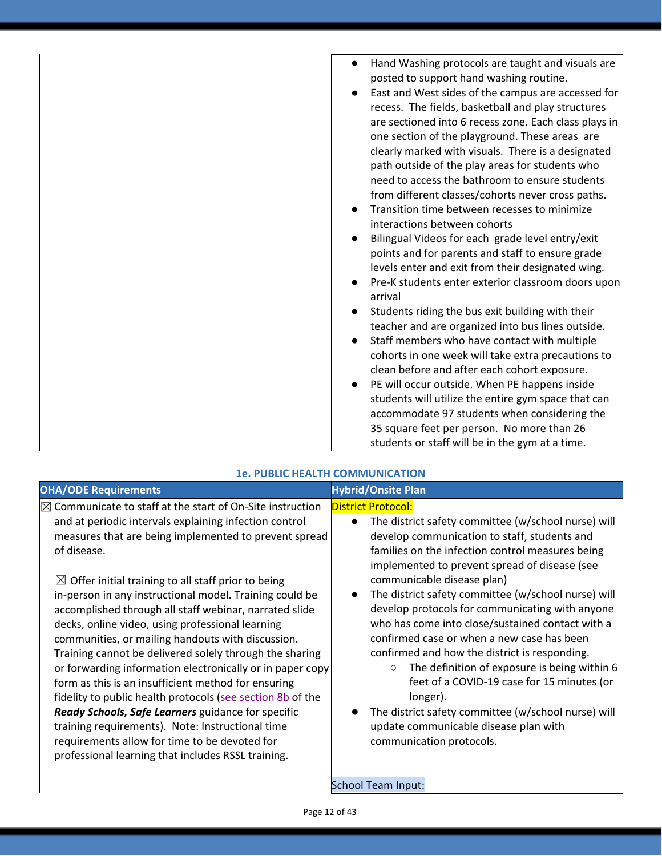| Hand Washing protocols are taught and visuals are<br>$\bullet$<br>posted to support hand washing routine.<br>East and West sides of the campus are accessed for<br>$\bullet$<br>recess. The fields, basketball and play structures<br>are sectioned into 6 recess zone. Each class plays in<br>one section of the playground. These areas are<br>clearly marked with visuals. There is a designated<br>path outside of the play areas for students who<br>need to access the bathroom to ensure students<br>from different classes/cohorts never cross paths.<br>Transition time between recesses to minimize<br>interactions between cohorts<br>Bilingual Videos for each grade level entry/exit<br>points and for parents and staff to ensure grade<br>levels enter and exit from their designated wing.<br>Pre-K students enter exterior classroom doors upon |
|------------------------------------------------------------------------------------------------------------------------------------------------------------------------------------------------------------------------------------------------------------------------------------------------------------------------------------------------------------------------------------------------------------------------------------------------------------------------------------------------------------------------------------------------------------------------------------------------------------------------------------------------------------------------------------------------------------------------------------------------------------------------------------------------------------------------------------------------------------------|
|                                                                                                                                                                                                                                                                                                                                                                                                                                                                                                                                                                                                                                                                                                                                                                                                                                                                  |
|                                                                                                                                                                                                                                                                                                                                                                                                                                                                                                                                                                                                                                                                                                                                                                                                                                                                  |
|                                                                                                                                                                                                                                                                                                                                                                                                                                                                                                                                                                                                                                                                                                                                                                                                                                                                  |
|                                                                                                                                                                                                                                                                                                                                                                                                                                                                                                                                                                                                                                                                                                                                                                                                                                                                  |
|                                                                                                                                                                                                                                                                                                                                                                                                                                                                                                                                                                                                                                                                                                                                                                                                                                                                  |
|                                                                                                                                                                                                                                                                                                                                                                                                                                                                                                                                                                                                                                                                                                                                                                                                                                                                  |
|                                                                                                                                                                                                                                                                                                                                                                                                                                                                                                                                                                                                                                                                                                                                                                                                                                                                  |
| arrival                                                                                                                                                                                                                                                                                                                                                                                                                                                                                                                                                                                                                                                                                                                                                                                                                                                          |
| Students riding the bus exit building with their<br>$\bullet$                                                                                                                                                                                                                                                                                                                                                                                                                                                                                                                                                                                                                                                                                                                                                                                                    |
| teacher and are organized into bus lines outside.                                                                                                                                                                                                                                                                                                                                                                                                                                                                                                                                                                                                                                                                                                                                                                                                                |
| Staff members who have contact with multiple                                                                                                                                                                                                                                                                                                                                                                                                                                                                                                                                                                                                                                                                                                                                                                                                                     |
| cohorts in one week will take extra precautions to                                                                                                                                                                                                                                                                                                                                                                                                                                                                                                                                                                                                                                                                                                                                                                                                               |
| clean before and after each cohort exposure.                                                                                                                                                                                                                                                                                                                                                                                                                                                                                                                                                                                                                                                                                                                                                                                                                     |
| PE will occur outside. When PE happens inside                                                                                                                                                                                                                                                                                                                                                                                                                                                                                                                                                                                                                                                                                                                                                                                                                    |
| students will utilize the entire gym space that can                                                                                                                                                                                                                                                                                                                                                                                                                                                                                                                                                                                                                                                                                                                                                                                                              |
| accommodate 97 students when considering the                                                                                                                                                                                                                                                                                                                                                                                                                                                                                                                                                                                                                                                                                                                                                                                                                     |
| 35 square feet per person. No more than 26                                                                                                                                                                                                                                                                                                                                                                                                                                                                                                                                                                                                                                                                                                                                                                                                                       |
| students or staff will be in the gym at a time.                                                                                                                                                                                                                                                                                                                                                                                                                                                                                                                                                                                                                                                                                                                                                                                                                  |

| <b>OHA/ODE Requirements</b>                                                                                                                                                                                                                                                                                                                                                                                                                                                                                                                                                                                                                                                                                                                                                                                                                                                                                                                                          | <b>Hybrid/Onsite Plan</b>                                                                                                                                                                                                                                                                                                                                                                                                                                                                                                                                                                                                                                                                                                                                                                                   |
|----------------------------------------------------------------------------------------------------------------------------------------------------------------------------------------------------------------------------------------------------------------------------------------------------------------------------------------------------------------------------------------------------------------------------------------------------------------------------------------------------------------------------------------------------------------------------------------------------------------------------------------------------------------------------------------------------------------------------------------------------------------------------------------------------------------------------------------------------------------------------------------------------------------------------------------------------------------------|-------------------------------------------------------------------------------------------------------------------------------------------------------------------------------------------------------------------------------------------------------------------------------------------------------------------------------------------------------------------------------------------------------------------------------------------------------------------------------------------------------------------------------------------------------------------------------------------------------------------------------------------------------------------------------------------------------------------------------------------------------------------------------------------------------------|
| $\boxtimes$ Communicate to staff at the start of On-Site instruction<br>and at periodic intervals explaining infection control<br>measures that are being implemented to prevent spread<br>of disease.<br>$\boxtimes$ Offer initial training to all staff prior to being<br>in-person in any instructional model. Training could be<br>accomplished through all staff webinar, narrated slide<br>decks, online video, using professional learning<br>communities, or mailing handouts with discussion.<br>Training cannot be delivered solely through the sharing<br>or forwarding information electronically or in paper copy<br>form as this is an insufficient method for ensuring<br>fidelity to public health protocols (see section 8b of the<br>Ready Schools, Safe Learners guidance for specific<br>training requirements). Note: Instructional time<br>requirements allow for time to be devoted for<br>professional learning that includes RSSL training. | <b>District Protocol:</b><br>The district safety committee (w/school nurse) will<br>$\bullet$<br>develop communication to staff, students and<br>families on the infection control measures being<br>implemented to prevent spread of disease (see<br>communicable disease plan)<br>The district safety committee (w/school nurse) will<br>$\bullet$<br>develop protocols for communicating with anyone<br>who has come into close/sustained contact with a<br>confirmed case or when a new case has been<br>confirmed and how the district is responding.<br>The definition of exposure is being within 6<br>$\circ$<br>feet of a COVID-19 case for 15 minutes (or<br>longer).<br>The district safety committee (w/school nurse) will<br>update communicable disease plan with<br>communication protocols. |
|                                                                                                                                                                                                                                                                                                                                                                                                                                                                                                                                                                                                                                                                                                                                                                                                                                                                                                                                                                      | <b>School Team Input:</b>                                                                                                                                                                                                                                                                                                                                                                                                                                                                                                                                                                                                                                                                                                                                                                                   |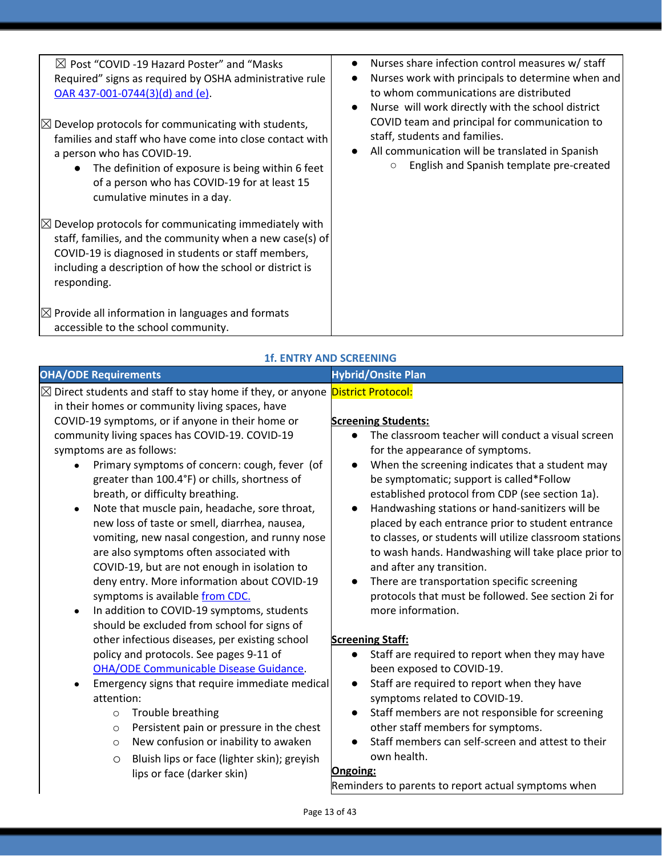| $\boxtimes$ Post "COVID -19 Hazard Poster" and "Masks<br>Required" signs as required by OSHA administrative rule<br>$OAR$ 437-001-0744(3)(d) and (e).<br>$\boxtimes$ Develop protocols for communicating with students,<br>families and staff who have come into close contact with<br>a person who has COVID-19.<br>The definition of exposure is being within 6 feet<br>of a person who has COVID-19 for at least 15<br>cumulative minutes in a day. | Nurses share infection control measures w/ staff<br>$\bullet$<br>Nurses work with principals to determine when and<br>$\bullet$<br>to whom communications are distributed<br>Nurse will work directly with the school district<br>$\bullet$<br>COVID team and principal for communication to<br>staff, students and families.<br>All communication will be translated in Spanish<br>$\bullet$<br>English and Spanish template pre-created<br>$\circ$ |
|--------------------------------------------------------------------------------------------------------------------------------------------------------------------------------------------------------------------------------------------------------------------------------------------------------------------------------------------------------------------------------------------------------------------------------------------------------|------------------------------------------------------------------------------------------------------------------------------------------------------------------------------------------------------------------------------------------------------------------------------------------------------------------------------------------------------------------------------------------------------------------------------------------------------|
| $\boxtimes$ Develop protocols for communicating immediately with<br>staff, families, and the community when a new case(s) of<br>COVID-19 is diagnosed in students or staff members,<br>including a description of how the school or district is<br>responding.<br>$\boxtimes$ Provide all information in languages and formats<br>accessible to the school community.                                                                                  |                                                                                                                                                                                                                                                                                                                                                                                                                                                      |

| <b>OHA/ODE Requirements</b>                                                                   | <b>Hybrid/Onsite Plan</b>                               |
|-----------------------------------------------------------------------------------------------|---------------------------------------------------------|
| ⊠ Direct students and staff to stay home if they, or anyone <i>District Protocol:</i>         |                                                         |
| in their homes or community living spaces, have                                               |                                                         |
| COVID-19 symptoms, or if anyone in their home or                                              | <b>Screening Students:</b>                              |
| community living spaces has COVID-19. COVID-19                                                | The classroom teacher will conduct a visual screen      |
| symptoms are as follows:                                                                      | for the appearance of symptoms.                         |
| Primary symptoms of concern: cough, fever (of                                                 | When the screening indicates that a student may         |
| greater than 100.4°F) or chills, shortness of                                                 | be symptomatic; support is called*Follow                |
| breath, or difficulty breathing.                                                              | established protocol from CDP (see section 1a).         |
| Note that muscle pain, headache, sore throat,                                                 | Handwashing stations or hand-sanitizers will be         |
| new loss of taste or smell, diarrhea, nausea,                                                 | placed by each entrance prior to student entrance       |
| vomiting, new nasal congestion, and runny nose                                                | to classes, or students will utilize classroom stations |
| are also symptoms often associated with                                                       | to wash hands. Handwashing will take place prior to     |
| COVID-19, but are not enough in isolation to                                                  | and after any transition.                               |
| deny entry. More information about COVID-19                                                   | There are transportation specific screening             |
| symptoms is available from CDC.                                                               | protocols that must be followed. See section 2i for     |
| In addition to COVID-19 symptoms, students<br>$\bullet$                                       | more information.                                       |
| should be excluded from school for signs of<br>other infectious diseases, per existing school | <b>Screening Staff:</b>                                 |
| policy and protocols. See pages 9-11 of                                                       | Staff are required to report when they may have         |
| <b>OHA/ODE Communicable Disease Guidance.</b>                                                 | been exposed to COVID-19.                               |
| Emergency signs that require immediate medical<br>$\bullet$                                   | Staff are required to report when they have             |
| attention:                                                                                    | symptoms related to COVID-19.                           |
| Trouble breathing<br>$\circ$                                                                  | Staff members are not responsible for screening         |
| Persistent pain or pressure in the chest<br>$\circ$                                           | other staff members for symptoms.                       |
| New confusion or inability to awaken<br>$\circ$                                               | Staff members can self-screen and attest to their       |
| Bluish lips or face (lighter skin); greyish<br>$\circ$                                        | own health.                                             |
| lips or face (darker skin)                                                                    | Ongoing:                                                |
|                                                                                               | Reminders to parents to report actual symptoms when     |
| Page 13 of 43                                                                                 |                                                         |

### **1f. ENTRY AND SCREENING**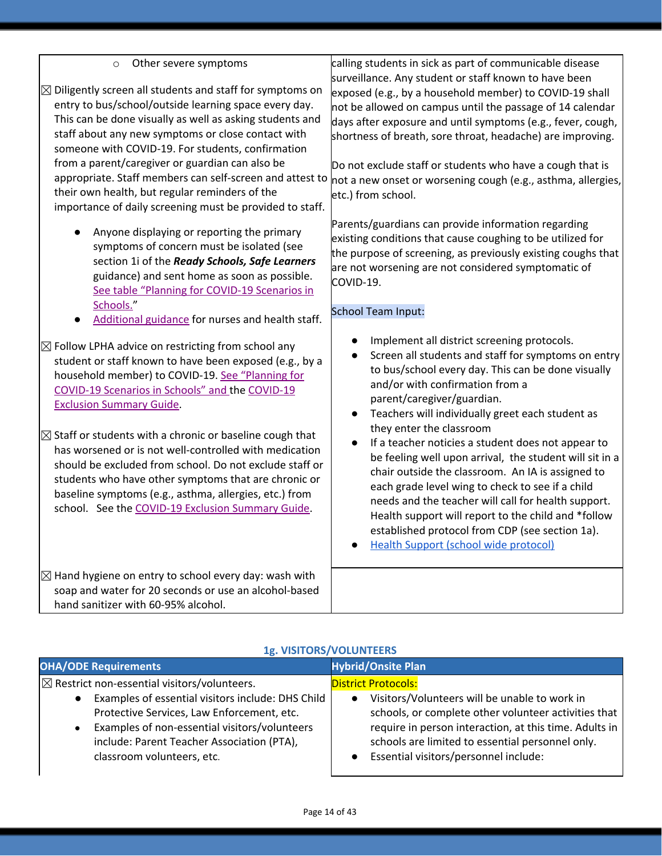| Other severe symptoms<br>$\circ$<br>$\boxtimes$ Diligently screen all students and staff for symptoms on<br>entry to bus/school/outside learning space every day.<br>This can be done visually as well as asking students and<br>staff about any new symptoms or close contact with<br>someone with COVID-19. For students, confirmation<br>from a parent/caregiver or guardian can also be<br>appropriate. Staff members can self-screen and attest to<br>their own health, but regular reminders of the<br>importance of daily screening must be provided to staff.                                                                 | calling students in sick as part of communicable disease<br>surveillance. Any student or staff known to have been<br>exposed (e.g., by a household member) to COVID-19 shall<br>not be allowed on campus until the passage of 14 calendar<br>days after exposure and until symptoms (e.g., fever, cough,<br>shortness of breath, sore throat, headache) are improving.<br>Do not exclude staff or students who have a cough that is<br>not a new onset or worsening cough (e.g., asthma, allergies,<br>etc.) from school.                                                                                                                                                                            |
|---------------------------------------------------------------------------------------------------------------------------------------------------------------------------------------------------------------------------------------------------------------------------------------------------------------------------------------------------------------------------------------------------------------------------------------------------------------------------------------------------------------------------------------------------------------------------------------------------------------------------------------|------------------------------------------------------------------------------------------------------------------------------------------------------------------------------------------------------------------------------------------------------------------------------------------------------------------------------------------------------------------------------------------------------------------------------------------------------------------------------------------------------------------------------------------------------------------------------------------------------------------------------------------------------------------------------------------------------|
| Anyone displaying or reporting the primary<br>symptoms of concern must be isolated (see<br>section 1i of the Ready Schools, Safe Learners<br>guidance) and sent home as soon as possible.<br>See table "Planning for COVID-19 Scenarios in<br>Schools."<br>Additional guidance for nurses and health staff.                                                                                                                                                                                                                                                                                                                           | Parents/guardians can provide information regarding<br>existing conditions that cause coughing to be utilized for<br>the purpose of screening, as previously existing coughs that<br>are not worsening are not considered symptomatic of<br>COVID-19.<br>School Team Input:                                                                                                                                                                                                                                                                                                                                                                                                                          |
| $\boxtimes$ Follow LPHA advice on restricting from school any<br>student or staff known to have been exposed (e.g., by a<br>household member) to COVID-19. See "Planning for<br>COVID-19 Scenarios in Schools" and the COVID-19<br><b>Exclusion Summary Guide.</b><br>$\boxtimes$ Staff or students with a chronic or baseline cough that<br>has worsened or is not well-controlled with medication<br>should be excluded from school. Do not exclude staff or<br>students who have other symptoms that are chronic or<br>baseline symptoms (e.g., asthma, allergies, etc.) from<br>school. See the COVID-19 Exclusion Summary Guide. | Implement all district screening protocols.<br>Screen all students and staff for symptoms on entry<br>to bus/school every day. This can be done visually<br>and/or with confirmation from a<br>parent/caregiver/guardian.<br>Teachers will individually greet each student as<br>they enter the classroom<br>If a teacher noticies a student does not appear to<br>be feeling well upon arrival, the student will sit in a<br>chair outside the classroom. An IA is assigned to<br>each grade level wing to check to see if a child<br>needs and the teacher will call for health support.<br>Health support will report to the child and *follow<br>established protocol from CDP (see section 1a). |
| $\boxtimes$ Hand hygiene on entry to school every day: wash with<br>soap and water for 20 seconds or use an alcohol-based<br>hand sanitizer with 60-95% alcohol.                                                                                                                                                                                                                                                                                                                                                                                                                                                                      | <b>Health Support (school wide protocol)</b>                                                                                                                                                                                                                                                                                                                                                                                                                                                                                                                                                                                                                                                         |

# **1g. VISITORS/VOLUNTEERS**

| <b>OHA/ODE Requirements</b>                                                                                                                                                                                                                                                                                       | <b>Hybrid/Onsite Plan</b>                                                                                                                                                                                                                                                                               |
|-------------------------------------------------------------------------------------------------------------------------------------------------------------------------------------------------------------------------------------------------------------------------------------------------------------------|---------------------------------------------------------------------------------------------------------------------------------------------------------------------------------------------------------------------------------------------------------------------------------------------------------|
| $\boxtimes$ Restrict non-essential visitors/volunteers.<br>Examples of essential visitors include: DHS Child<br>$\bullet$<br>Protective Services, Law Enforcement, etc.<br>Examples of non-essential visitors/volunteers<br>$\bullet$<br>include: Parent Teacher Association (PTA),<br>classroom volunteers, etc. | <b>District Protocols:</b><br>Visitors/Volunteers will be unable to work in<br>$\bullet$<br>schools, or complete other volunteer activities that<br>require in person interaction, at this time. Adults in<br>schools are limited to essential personnel only.<br>Essential visitors/personnel include: |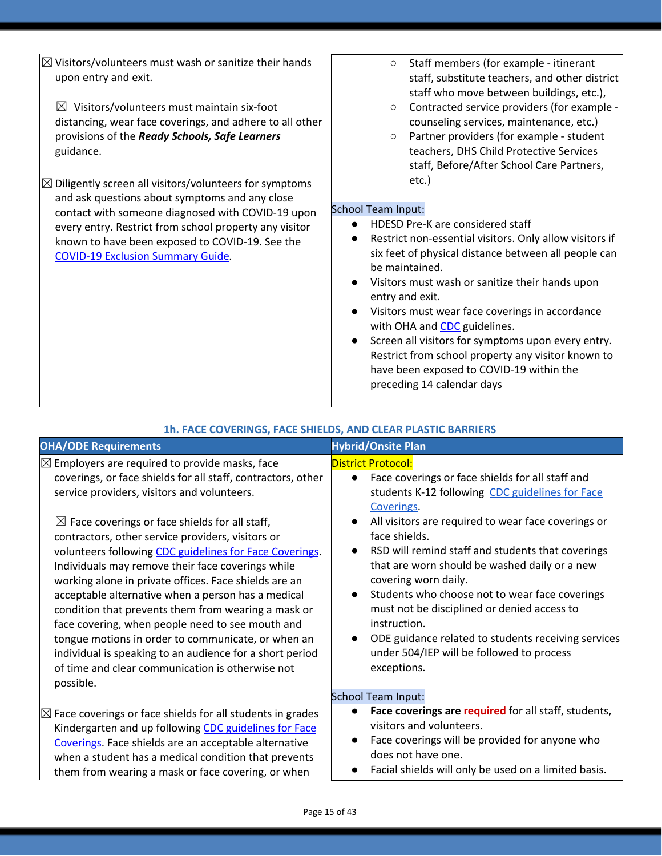| $\boxtimes$ Visitors/volunteers must wash or sanitize their hands<br>upon entry and exit.<br>$\boxtimes$ Visitors/volunteers must maintain six-foot<br>distancing, wear face coverings, and adhere to all other<br>provisions of the Ready Schools, Safe Learners<br>guidance.                                                     | Staff members (for example - itinerant<br>$\circ$<br>staff, substitute teachers, and other district<br>staff who move between buildings, etc.),<br>Contracted service providers (for example -<br>$\circ$<br>counseling services, maintenance, etc.)<br>Partner providers (for example - student<br>$\circ$<br>teachers, DHS Child Protective Services<br>staff, Before/After School Care Partners,                                                                                                                                                                     |
|------------------------------------------------------------------------------------------------------------------------------------------------------------------------------------------------------------------------------------------------------------------------------------------------------------------------------------|-------------------------------------------------------------------------------------------------------------------------------------------------------------------------------------------------------------------------------------------------------------------------------------------------------------------------------------------------------------------------------------------------------------------------------------------------------------------------------------------------------------------------------------------------------------------------|
| $\boxtimes$ Diligently screen all visitors/volunteers for symptoms<br>and ask questions about symptoms and any close<br>contact with someone diagnosed with COVID-19 upon<br>every entry. Restrict from school property any visitor<br>known to have been exposed to COVID-19. See the<br><b>COVID-19 Exclusion Summary Guide.</b> | etc.)<br><b>School Team Input:</b><br>HDESD Pre-K are considered staff<br>$\bullet$<br>Restrict non-essential visitors. Only allow visitors if<br>six feet of physical distance between all people can<br>be maintained.<br>Visitors must wash or sanitize their hands upon<br>entry and exit.<br>Visitors must wear face coverings in accordance<br>with OHA and CDC guidelines.<br>Screen all visitors for symptoms upon every entry.<br>Restrict from school property any visitor known to<br>have been exposed to COVID-19 within the<br>preceding 14 calendar days |

| 1h. FACE COVERINGS, FACE SHIELDS, AND CLEAR PLASTIC BARRIERS |  |
|--------------------------------------------------------------|--|
|--------------------------------------------------------------|--|

| <b>OHA/ODE Requirements</b>                                                                                                                                                                                                                                                                                                                                                                                                                                                                                                                                                                                                                                                                                                                                                                                | <b>Hybrid/Onsite Plan</b>                                                                                                                                                                                                                                                                                                                                                                                                                                                                                                                                                                                          |
|------------------------------------------------------------------------------------------------------------------------------------------------------------------------------------------------------------------------------------------------------------------------------------------------------------------------------------------------------------------------------------------------------------------------------------------------------------------------------------------------------------------------------------------------------------------------------------------------------------------------------------------------------------------------------------------------------------------------------------------------------------------------------------------------------------|--------------------------------------------------------------------------------------------------------------------------------------------------------------------------------------------------------------------------------------------------------------------------------------------------------------------------------------------------------------------------------------------------------------------------------------------------------------------------------------------------------------------------------------------------------------------------------------------------------------------|
| $\boxtimes$ Employers are required to provide masks, face<br>coverings, or face shields for all staff, contractors, other<br>service providers, visitors and volunteers.<br>$\boxtimes$ Face coverings or face shields for all staff,<br>contractors, other service providers, visitors or<br>volunteers following CDC guidelines for Face Coverings.<br>Individuals may remove their face coverings while<br>working alone in private offices. Face shields are an<br>acceptable alternative when a person has a medical<br>condition that prevents them from wearing a mask or<br>face covering, when people need to see mouth and<br>tongue motions in order to communicate, or when an<br>individual is speaking to an audience for a short period<br>of time and clear communication is otherwise not | <b>District Protocol:</b><br>Face coverings or face shields for all staff and<br>$\bullet$<br>students K-12 following CDC guidelines for Face<br>Coverings.<br>All visitors are required to wear face coverings or<br>face shields.<br>RSD will remind staff and students that coverings<br>that are worn should be washed daily or a new<br>covering worn daily.<br>Students who choose not to wear face coverings<br>$\bullet$<br>must not be disciplined or denied access to<br>instruction.<br>ODE guidance related to students receiving services<br>under 504/IEP will be followed to process<br>exceptions. |
| possible.                                                                                                                                                                                                                                                                                                                                                                                                                                                                                                                                                                                                                                                                                                                                                                                                  | <b>School Team Input:</b>                                                                                                                                                                                                                                                                                                                                                                                                                                                                                                                                                                                          |
| $\boxtimes$ Face coverings or face shields for all students in grades                                                                                                                                                                                                                                                                                                                                                                                                                                                                                                                                                                                                                                                                                                                                      | Face coverings are required for all staff, students,                                                                                                                                                                                                                                                                                                                                                                                                                                                                                                                                                               |
| Kindergarten and up following CDC guidelines for Face                                                                                                                                                                                                                                                                                                                                                                                                                                                                                                                                                                                                                                                                                                                                                      | visitors and volunteers.                                                                                                                                                                                                                                                                                                                                                                                                                                                                                                                                                                                           |
| Coverings. Face shields are an acceptable alternative                                                                                                                                                                                                                                                                                                                                                                                                                                                                                                                                                                                                                                                                                                                                                      | Face coverings will be provided for anyone who                                                                                                                                                                                                                                                                                                                                                                                                                                                                                                                                                                     |
| when a student has a medical condition that prevents                                                                                                                                                                                                                                                                                                                                                                                                                                                                                                                                                                                                                                                                                                                                                       | does not have one.                                                                                                                                                                                                                                                                                                                                                                                                                                                                                                                                                                                                 |
| them from wearing a mask or face covering, or when                                                                                                                                                                                                                                                                                                                                                                                                                                                                                                                                                                                                                                                                                                                                                         | Facial shields will only be used on a limited basis.                                                                                                                                                                                                                                                                                                                                                                                                                                                                                                                                                               |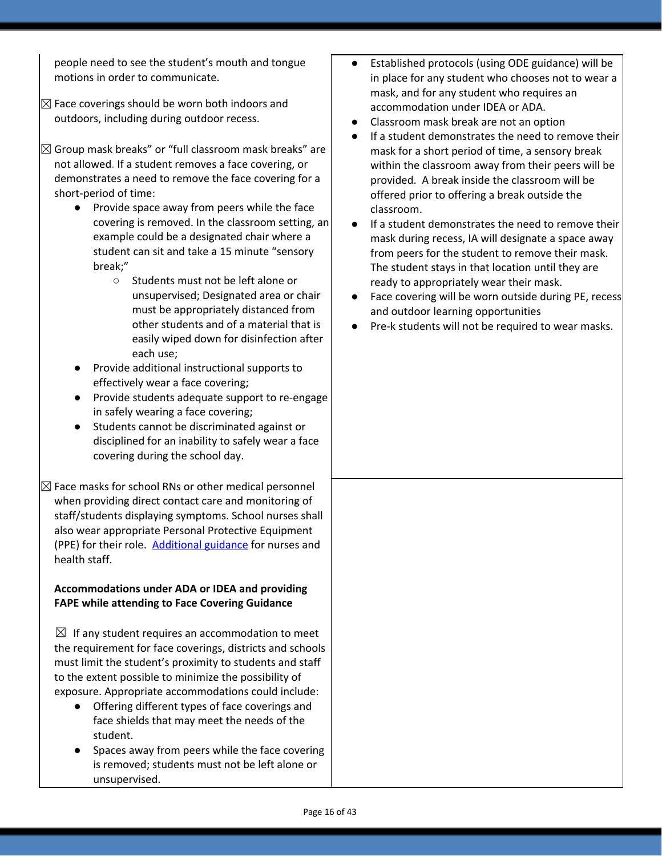people need to see the student's mouth and tongue motions in order to communicate.

- $\boxtimes$  Face coverings should be worn both indoors and outdoors, including during outdoor recess.
- $\boxtimes$  Group mask breaks" or "full classroom mask breaks" are not allowed. If a student removes a face covering, or demonstrates a need to remove the face covering for a short-period of time:
	- Provide space away from peers while the face covering is removed. In the classroom setting, an example could be a designated chair where a student can sit and take a 15 minute "sensory break;"
		- Students must not be left alone or unsupervised; Designated area or chair must be appropriately distanced from other students and of a material that is easily wiped down for disinfection after each use;
	- Provide additional instructional supports to effectively wear a face covering;
	- Provide students adequate support to re-engage in safely wearing a face covering;
	- Students cannot be discriminated against or disciplined for an inability to safely wear a face covering during the school day.
- $\boxtimes$  Face masks for school RNs or other medical personnel when providing direct contact care and monitoring of staff/students displaying symptoms. School nurses shall also wear appropriate Personal Protective Equipment (PPE) for their role. [Additional](https://www.oregon.gov/ode/students-and-family/healthsafety/Documents/Additional%20Considerations%20for%20Staff%20Working%20with%20Students%20with%20Complex%20Needs.pdf) guidance for nurses and health staff.

#### **Accommodations under ADA or IDEA and providing FAPE while attending to Face Covering Guidance**

- $\boxtimes$  If any student requires an accommodation to meet the requirement for face coverings, districts and schools must limit the student's proximity to students and staff to the extent possible to minimize the possibility of exposure. Appropriate accommodations could include:
	- Offering different types of face coverings and face shields that may meet the needs of the student.
	- Spaces away from peers while the face covering is removed; students must not be left alone or unsupervised.
- Established protocols (using ODE guidance) will be in place for any student who chooses not to wear a mask, and for any student who requires an accommodation under IDEA or ADA.
- Classroom mask break are not an option
- If a student demonstrates the need to remove their mask for a short period of time, a sensory break within the classroom away from their peers will be provided. A break inside the classroom will be offered prior to offering a break outside the classroom.
- If a student demonstrates the need to remove their mask during recess, IA will designate a space away from peers for the student to remove their mask. The student stays in that location until they are ready to appropriately wear their mask.
- Face covering will be worn outside during PE, recess and outdoor learning opportunities
- Pre-k students will not be required to wear masks.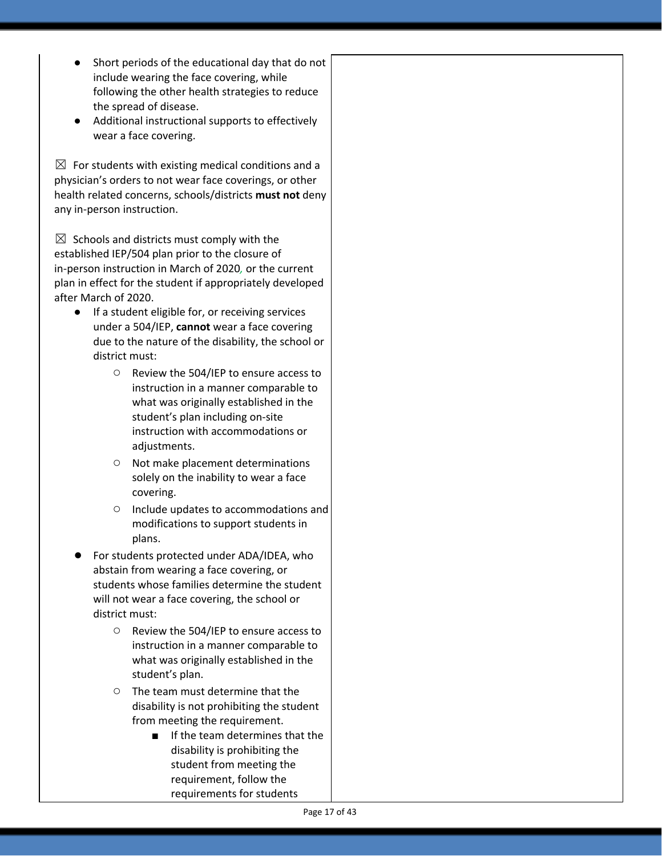- Short periods of the educational day that do not include wearing the face covering, while following the other health strategies to reduce the spread of disease.
- Additional instructional supports to effectively wear a face covering.

 $\boxtimes$  For students with existing medical conditions and a physician's orders to not wear face coverings, or other health related concerns, schools/districts **must not** deny any in-person instruction.

 $\boxtimes$  Schools and districts must comply with the established IEP/504 plan prior to the closure of in-person instruction in March of 2020*,* or the current plan in effect for the student if appropriately developed after March of 2020.

- If a student eligible for, or receiving services under a 504/IEP, **cannot** wear a face covering due to the nature of the disability, the school or district must:
	- Review the 504/IEP to ensure access to instruction in a manner comparable to what was originally established in the student's plan including on-site instruction with accommodations or adjustments.
	- Not make placement determinations solely on the inability to wear a face covering.
	- Include updates to accommodations and modifications to support students in plans.
- For students protected under ADA/IDEA, who abstain from wearing a face covering, or students whose families determine the student will not wear a face covering, the school or district must:
	- Review the 504/IEP to ensure access to instruction in a manner comparable to what was originally established in the student's plan.
	- The team must determine that the disability is not prohibiting the student from meeting the requirement.
		- If the team determines that the disability is prohibiting the student from meeting the requirement, follow the requirements for students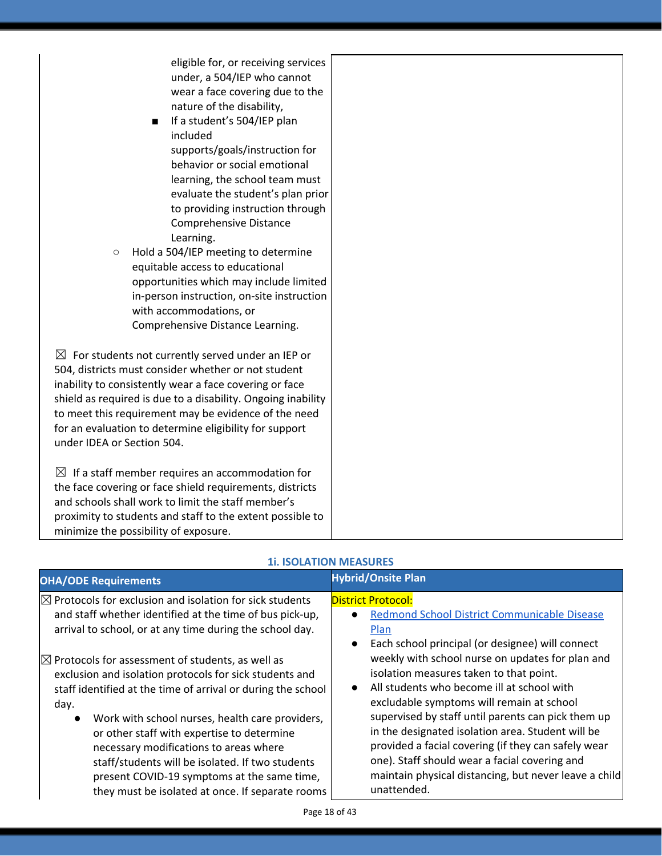| eligible for, or receiving services<br>under, a 504/IEP who cannot<br>wear a face covering due to the<br>nature of the disability,<br>If a student's 504/IEP plan<br>п<br>included<br>supports/goals/instruction for<br>behavior or social emotional<br>learning, the school team must<br>evaluate the student's plan prior<br>to providing instruction through<br>Comprehensive Distance<br>Learning.<br>Hold a 504/IEP meeting to determine<br>$\circ$<br>equitable access to educational<br>opportunities which may include limited<br>in-person instruction, on-site instruction<br>with accommodations, or<br>Comprehensive Distance Learning. |  |
|-----------------------------------------------------------------------------------------------------------------------------------------------------------------------------------------------------------------------------------------------------------------------------------------------------------------------------------------------------------------------------------------------------------------------------------------------------------------------------------------------------------------------------------------------------------------------------------------------------------------------------------------------------|--|
| $\boxtimes$ For students not currently served under an IEP or<br>504, districts must consider whether or not student<br>inability to consistently wear a face covering or face<br>shield as required is due to a disability. Ongoing inability<br>to meet this requirement may be evidence of the need<br>for an evaluation to determine eligibility for support<br>under IDEA or Section 504.                                                                                                                                                                                                                                                      |  |
| $\boxtimes$ If a staff member requires an accommodation for<br>the face covering or face shield requirements, districts<br>and schools shall work to limit the staff member's<br>proximity to students and staff to the extent possible to<br>minimize the possibility of exposure.                                                                                                                                                                                                                                                                                                                                                                 |  |

| <b>OHA/ODE Requirements</b>                                                                                                                                                                                                                                                                                                                                                                                                                                                                                    | <b>Hybrid/Onsite Plan</b>                                                                                                                                                                                                                                                                                                                                                                                                                                                                                                                                       |
|----------------------------------------------------------------------------------------------------------------------------------------------------------------------------------------------------------------------------------------------------------------------------------------------------------------------------------------------------------------------------------------------------------------------------------------------------------------------------------------------------------------|-----------------------------------------------------------------------------------------------------------------------------------------------------------------------------------------------------------------------------------------------------------------------------------------------------------------------------------------------------------------------------------------------------------------------------------------------------------------------------------------------------------------------------------------------------------------|
| $\boxtimes$ Protocols for exclusion and isolation for sick students<br>and staff whether identified at the time of bus pick-up,<br>arrival to school, or at any time during the school day.                                                                                                                                                                                                                                                                                                                    | <b>District Protocol:</b><br>Redmond School District Communicable Disease<br>Plan                                                                                                                                                                                                                                                                                                                                                                                                                                                                               |
| $\boxtimes$ Protocols for assessment of students, as well as<br>exclusion and isolation protocols for sick students and<br>staff identified at the time of arrival or during the school<br>day.<br>Work with school nurses, health care providers,<br>$\bullet$<br>or other staff with expertise to determine<br>necessary modifications to areas where<br>staff/students will be isolated. If two students<br>present COVID-19 symptoms at the same time,<br>they must be isolated at once. If separate rooms | Each school principal (or designee) will connect<br>$\bullet$<br>weekly with school nurse on updates for plan and<br>isolation measures taken to that point.<br>All students who become ill at school with<br>$\bullet$<br>excludable symptoms will remain at school<br>supervised by staff until parents can pick them up<br>in the designated isolation area. Student will be<br>provided a facial covering (if they can safely wear<br>one). Staff should wear a facial covering and<br>maintain physical distancing, but never leave a child<br>unattended. |

### **1i. ISOLATION MEASURES**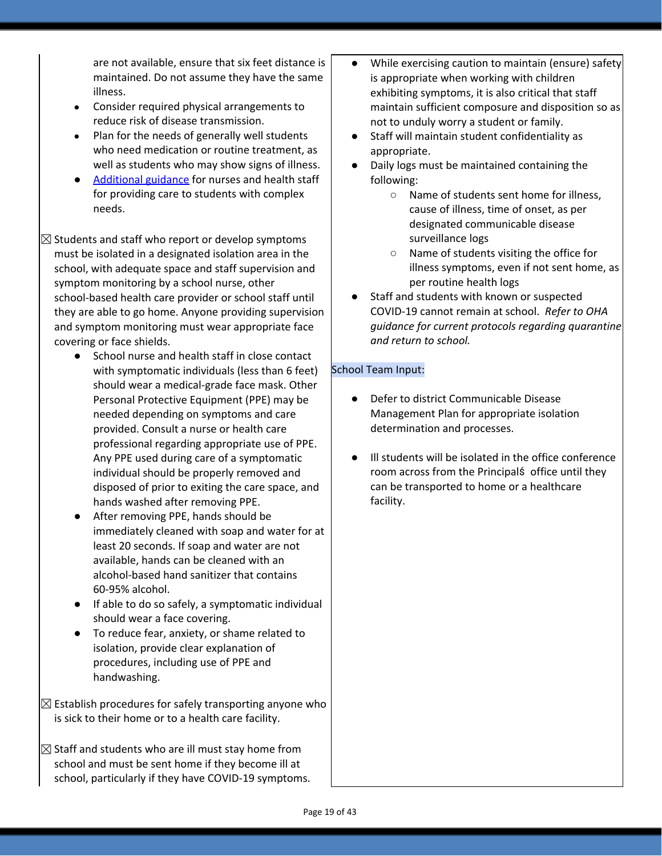are not available, ensure that six feet distance is maintained. Do not assume they have the same illness.

- Consider required physical arrangements to reduce risk of disease transmission.
- Plan for the needs of generally well students who need medication or routine treatment, as well as students who may show signs of illness.
- [Additional](https://www.oregon.gov/ode/students-and-family/healthsafety/Documents/Additional%20Considerations%20for%20Staff%20Working%20with%20Students%20with%20Complex%20Needs.pdf) guidance for nurses and health staff for providing care to students with complex needs.

 $\boxtimes$  Students and staff who report or develop symptoms must be isolated in a designated isolation area in the school, with adequate space and staff supervision and symptom monitoring by a school nurse, other school-based health care provider or school staff until they are able to go home. Anyone providing supervision and symptom monitoring must wear appropriate face covering or face shields.

- School nurse and health staff in close contact with symptomatic individuals (less than 6 feet) should wear a medical-grade face mask. Other Personal Protective Equipment (PPE) may be needed depending on symptoms and care provided. Consult a nurse or health care professional regarding appropriate use of PPE. Any PPE used during care of a symptomatic individual should be properly removed and disposed of prior to exiting the care space, and hands washed after removing PPE.
- After removing PPE, hands should be immediately cleaned with soap and water for at least 20 seconds. If soap and water are not available, hands can be cleaned with an alcohol-based hand sanitizer that contains 60-95% alcohol.
- If able to do so safely, a symptomatic individual should wear a face covering.
- To reduce fear, anxiety, or shame related to isolation, provide clear explanation of procedures, including use of PPE and handwashing.
- $\boxtimes$  Establish procedures for safely transporting anyone who is sick to their home or to a health care facility.

 $\boxtimes$  Staff and students who are ill must stay home from school and must be sent home if they become ill at school, particularly if they have COVID-19 symptoms.

- While exercising caution to maintain (ensure) safety is appropriate when working with children exhibiting symptoms, it is also critical that staff maintain sufficient composure and disposition so as not to unduly worry a student or family.
- Staff will maintain student confidentiality as appropriate.
- Daily logs must be maintained containing the following:
	- Name of students sent home for illness, cause of illness, time of onset, as per designated communicable disease surveillance logs
	- Name of students visiting the office for illness symptoms, even if not sent home, as per routine health logs
- Staff and students with known or suspected COVID-19 cannot remain at school. *Refer to OHA guidance for current protocols regarding quarantine and return to school.*

#### School Team Input:

- Defer to district Communicable Disease Management Plan for appropriate isolation determination and processes.
- Ill students will be isolated in the office conference room across from the Principalś office until they can be transported to home or a healthcare facility.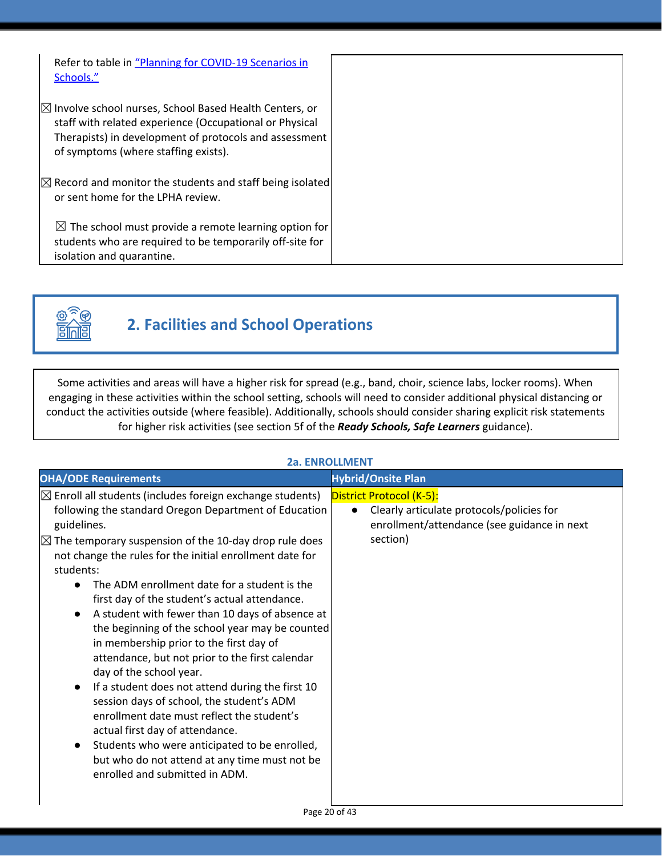| Refer to table in "Planning for COVID-19 Scenarios in<br>Schools."                                                                                                                                                              |  |
|---------------------------------------------------------------------------------------------------------------------------------------------------------------------------------------------------------------------------------|--|
| $\boxtimes$ Involve school nurses, School Based Health Centers, or<br>staff with related experience (Occupational or Physical<br>Therapists) in development of protocols and assessment<br>of symptoms (where staffing exists). |  |
| $\boxtimes$ Record and monitor the students and staff being isolated<br>or sent home for the LPHA review.                                                                                                                       |  |
| $\boxtimes$ The school must provide a remote learning option for<br>students who are required to be temporarily off-site for<br>isolation and quarantine.                                                                       |  |



# **2. Facilities and School Operations**

Some activities and areas will have a higher risk for spread (e.g., band, choir, science labs, locker rooms). When engaging in these activities within the school setting, schools will need to consider additional physical distancing or conduct the activities outside (where feasible). Additionally, schools should consider sharing explicit risk statements for higher risk activities (see section 5f of the *Ready Schools, Safe Learners* guidance).

| 49. EINNULLIVIEIN I                                                                                                                                                                                                                                                                                                                                                                                                                                                                                                                                                                                                                                                                                                                                                                                                                                                                                                                              |                                                                                                                                               |  |
|--------------------------------------------------------------------------------------------------------------------------------------------------------------------------------------------------------------------------------------------------------------------------------------------------------------------------------------------------------------------------------------------------------------------------------------------------------------------------------------------------------------------------------------------------------------------------------------------------------------------------------------------------------------------------------------------------------------------------------------------------------------------------------------------------------------------------------------------------------------------------------------------------------------------------------------------------|-----------------------------------------------------------------------------------------------------------------------------------------------|--|
| <b>OHA/ODE Requirements</b>                                                                                                                                                                                                                                                                                                                                                                                                                                                                                                                                                                                                                                                                                                                                                                                                                                                                                                                      | <b>Hybrid/Onsite Plan</b>                                                                                                                     |  |
| $\boxtimes$ Enroll all students (includes foreign exchange students)<br>following the standard Oregon Department of Education<br>guidelines.<br>$\boxtimes$ The temporary suspension of the 10-day drop rule does<br>not change the rules for the initial enrollment date for<br>students:<br>The ADM enrollment date for a student is the<br>first day of the student's actual attendance.<br>A student with fewer than 10 days of absence at<br>the beginning of the school year may be counted<br>in membership prior to the first day of<br>attendance, but not prior to the first calendar<br>day of the school year.<br>If a student does not attend during the first 10<br>session days of school, the student's ADM<br>enrollment date must reflect the student's<br>actual first day of attendance.<br>Students who were anticipated to be enrolled,<br>but who do not attend at any time must not be<br>enrolled and submitted in ADM. | District Protocol (K-5):<br>Clearly articulate protocols/policies for<br>$\bullet$<br>enrollment/attendance (see guidance in next<br>section) |  |
|                                                                                                                                                                                                                                                                                                                                                                                                                                                                                                                                                                                                                                                                                                                                                                                                                                                                                                                                                  |                                                                                                                                               |  |

### **2a. ENROLLMENT**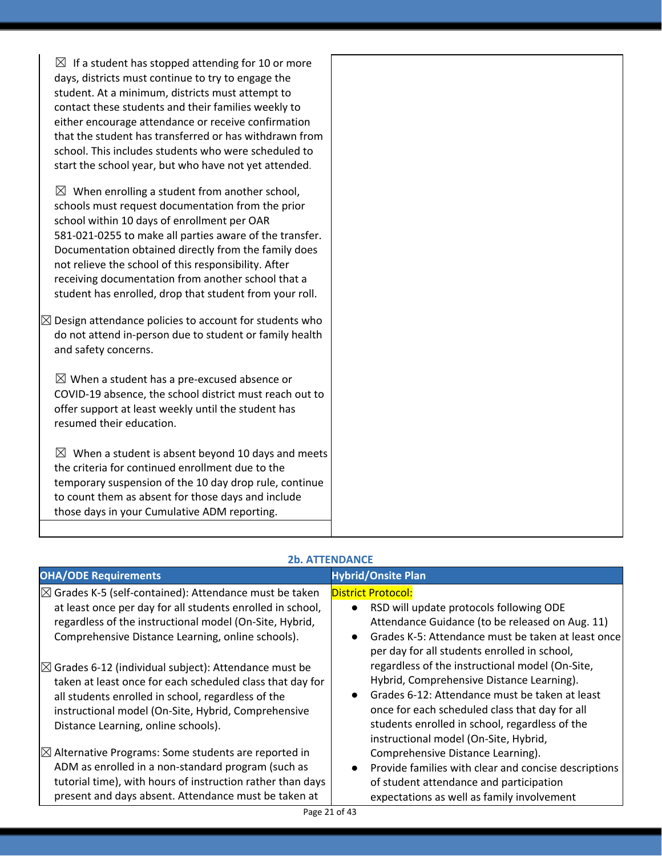| $\boxtimes$ If a student has stopped attending for 10 or more<br>days, districts must continue to try to engage the<br>student. At a minimum, districts must attempt to<br>contact these students and their families weekly to<br>either encourage attendance or receive confirmation<br>that the student has transferred or has withdrawn from<br>school. This includes students who were scheduled to<br>start the school year, but who have not yet attended. |  |
|------------------------------------------------------------------------------------------------------------------------------------------------------------------------------------------------------------------------------------------------------------------------------------------------------------------------------------------------------------------------------------------------------------------------------------------------------------------|--|
| $\boxtimes$ When enrolling a student from another school,<br>schools must request documentation from the prior<br>school within 10 days of enrollment per OAR<br>581-021-0255 to make all parties aware of the transfer.<br>Documentation obtained directly from the family does<br>not relieve the school of this responsibility. After<br>receiving documentation from another school that a<br>student has enrolled, drop that student from your roll.        |  |
| $\boxtimes$ Design attendance policies to account for students who<br>do not attend in-person due to student or family health<br>and safety concerns.                                                                                                                                                                                                                                                                                                            |  |
| $\boxtimes$ When a student has a pre-excused absence or<br>COVID-19 absence, the school district must reach out to<br>offer support at least weekly until the student has<br>resumed their education.                                                                                                                                                                                                                                                            |  |
| $\boxtimes$ When a student is absent beyond 10 days and meets<br>the criteria for continued enrollment due to the<br>temporary suspension of the 10 day drop rule, continue<br>to count them as absent for those days and include<br>those days in your Cumulative ADM reporting.                                                                                                                                                                                |  |
|                                                                                                                                                                                                                                                                                                                                                                                                                                                                  |  |

### **2b. ATTENDANCE**

| <b>OHA/ODE Requirements</b>                                       | <b>Hybrid/Onsite Plan</b>                                         |
|-------------------------------------------------------------------|-------------------------------------------------------------------|
| $\boxtimes$ Grades K-5 (self-contained): Attendance must be taken | <b>District Protocol:</b>                                         |
| at least once per day for all students enrolled in school,        | RSD will update protocols following ODE<br>$\bullet$              |
| regardless of the instructional model (On-Site, Hybrid,           | Attendance Guidance (to be released on Aug. 11)                   |
| Comprehensive Distance Learning, online schools).                 | Grades K-5: Attendance must be taken at least once<br>$\bullet$   |
|                                                                   | per day for all students enrolled in school,                      |
| $\boxtimes$ Grades 6-12 (individual subject): Attendance must be  | regardless of the instructional model (On-Site,                   |
| taken at least once for each scheduled class that day for         | Hybrid, Comprehensive Distance Learning).                         |
| all students enrolled in school, regardless of the                | Grades 6-12: Attendance must be taken at least                    |
| instructional model (On-Site, Hybrid, Comprehensive               | once for each scheduled class that day for all                    |
| Distance Learning, online schools).                               | students enrolled in school, regardless of the                    |
|                                                                   | instructional model (On-Site, Hybrid,                             |
| $\boxtimes$ Alternative Programs: Some students are reported in   | Comprehensive Distance Learning).                                 |
| ADM as enrolled in a non-standard program (such as                | Provide families with clear and concise descriptions<br>$\bullet$ |
| tutorial time), with hours of instruction rather than days        | of student attendance and participation                           |
| present and days absent. Attendance must be taken at              | expectations as well as family involvement                        |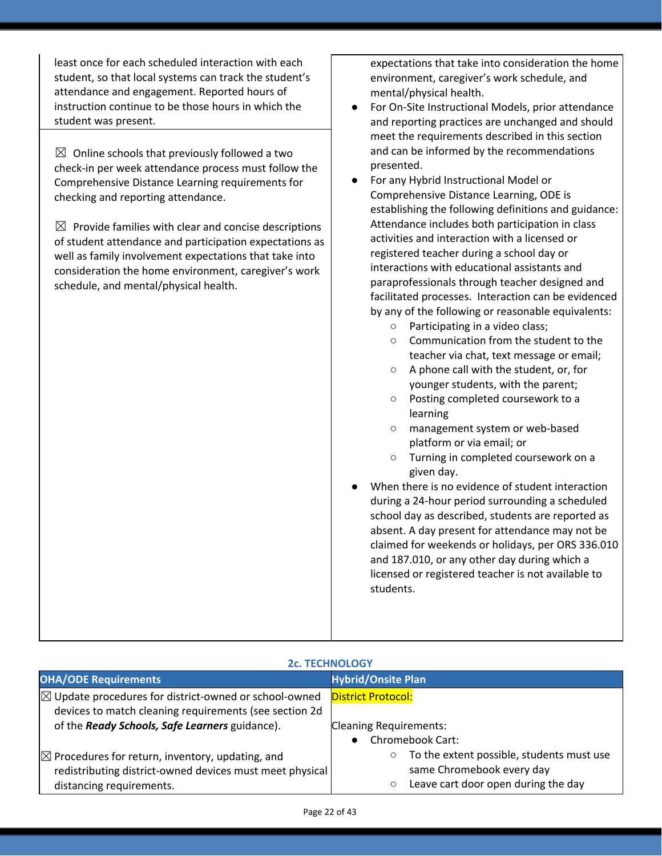least once for each scheduled interaction with each student, so that local systems can track the student's attendance and engagement. Reported hours of instruction continue to be those hours in which the student was present.

 $\boxtimes$  Online schools that previously followed a two check-in per week attendance process must follow the Comprehensive Distance Learning requirements for checking and reporting attendance.

 $\boxtimes$  Provide families with clear and concise descriptions of student attendance and participation expectations as well as family involvement expectations that take into consideration the home environment, caregiver's work schedule, and mental/physical health.

expectations that take into consideration the home environment, caregiver's work schedule, and mental/physical health.

- For On-Site Instructional Models, prior attendance and reporting practices are unchanged and should meet the requirements described in this section and can be informed by the recommendations presented.
- For any Hybrid Instructional Model or Comprehensive Distance Learning, ODE is establishing the following definitions and guidance: Attendance includes both participation in class activities and interaction with a licensed or registered teacher during a school day or interactions with educational assistants and paraprofessionals through teacher designed and facilitated processes. Interaction can be evidenced by any of the following or reasonable equivalents:
	- Participating in a video class;
	- Communication from the student to the teacher via chat, text message or email;
	- A phone call with the student, or, for younger students, with the parent;
	- Posting completed coursework to a learning
	- management system or web-based platform or via email; or
	- Turning in completed coursework on a given day.
- When there is no evidence of student interaction during a 24-hour period surrounding a scheduled school day as described, students are reported as absent. A day present for attendance may not be claimed for weekends or holidays, per ORS 336.010 and 187.010, or any other day during which a licensed or registered teacher is not available to students.

| <b>2c. TECHNOLOGY</b>                                            |                                                      |  |
|------------------------------------------------------------------|------------------------------------------------------|--|
| <b>OHA/ODE Requirements</b>                                      | <b>Hybrid/Onsite Plan</b>                            |  |
| $\boxtimes$ Update procedures for district-owned or school-owned | <b>District Protocol:</b>                            |  |
| devices to match cleaning requirements (see section 2d           |                                                      |  |
| of the Ready Schools, Safe Learners guidance).                   | <b>Cleaning Requirements:</b>                        |  |
|                                                                  | <b>Chromebook Cart:</b>                              |  |
| $\boxtimes$ Procedures for return, inventory, updating, and      | To the extent possible, students must use<br>$\circ$ |  |
| redistributing district-owned devices must meet physical         | same Chromebook every day                            |  |
| distancing requirements.                                         | Leave cart door open during the day<br>$\circ$       |  |

#### **2c. TECHNOLOGY**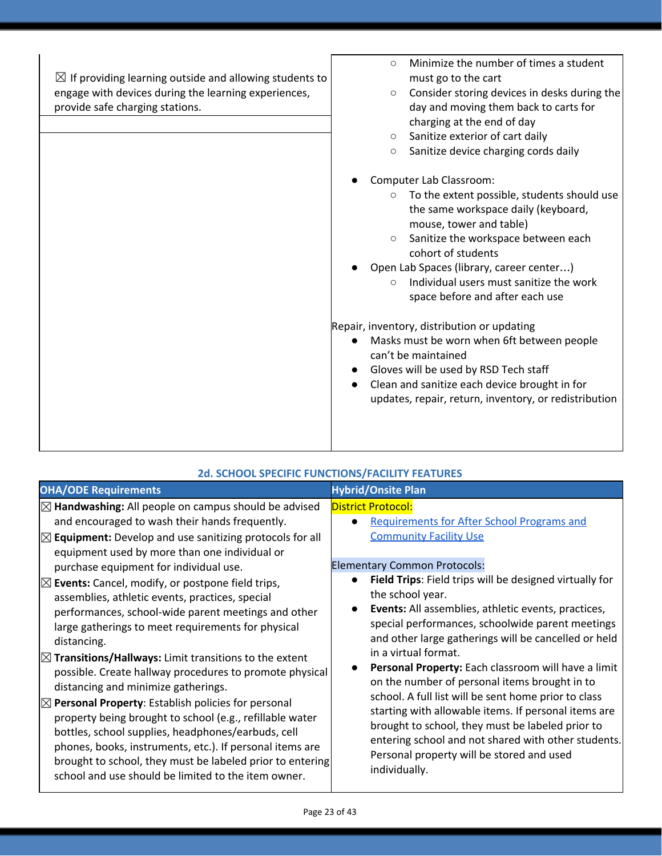| $\boxtimes$ If providing learning outside and allowing students to | Minimize the number of times a student<br>$\circ$       |
|--------------------------------------------------------------------|---------------------------------------------------------|
|                                                                    | must go to the cart                                     |
| engage with devices during the learning experiences,               | Consider storing devices in desks during the<br>$\circ$ |
| provide safe charging stations.                                    | day and moving them back to carts for                   |
|                                                                    | charging at the end of day                              |
|                                                                    | Sanitize exterior of cart daily<br>$\circ$              |
|                                                                    | Sanitize device charging cords daily<br>$\circ$         |
|                                                                    | Computer Lab Classroom:                                 |
|                                                                    | To the extent possible, students should use<br>$\circ$  |
|                                                                    | the same workspace daily (keyboard,                     |
|                                                                    | mouse, tower and table)                                 |
|                                                                    | Sanitize the workspace between each<br>$\circ$          |
|                                                                    | cohort of students                                      |
|                                                                    | Open Lab Spaces (library, career center)                |
|                                                                    | Individual users must sanitize the work<br>$\bigcirc$   |
|                                                                    | space before and after each use                         |
|                                                                    |                                                         |
|                                                                    | Repair, inventory, distribution or updating             |
|                                                                    | Masks must be worn when 6ft between people              |
|                                                                    | can't be maintained                                     |
|                                                                    | Gloves will be used by RSD Tech staff                   |
|                                                                    | Clean and sanitize each device brought in for           |
|                                                                    | updates, repair, return, inventory, or redistribution   |
|                                                                    |                                                         |
|                                                                    |                                                         |
|                                                                    |                                                         |

| <b>OHA/ODE Requirements</b>                                                                                                                                                                                                                                                                                                                                                                                                                                                                                                                                                                                                                                                                                                                                                                                                                                                                                                                                                                                                                                                   | <b>Hybrid/Onsite Plan</b>                                                                                                                                                                                                                                                                                                                                                                                                                                                                                                                                                                                                                                                                                                                                                                                                                                                |
|-------------------------------------------------------------------------------------------------------------------------------------------------------------------------------------------------------------------------------------------------------------------------------------------------------------------------------------------------------------------------------------------------------------------------------------------------------------------------------------------------------------------------------------------------------------------------------------------------------------------------------------------------------------------------------------------------------------------------------------------------------------------------------------------------------------------------------------------------------------------------------------------------------------------------------------------------------------------------------------------------------------------------------------------------------------------------------|--------------------------------------------------------------------------------------------------------------------------------------------------------------------------------------------------------------------------------------------------------------------------------------------------------------------------------------------------------------------------------------------------------------------------------------------------------------------------------------------------------------------------------------------------------------------------------------------------------------------------------------------------------------------------------------------------------------------------------------------------------------------------------------------------------------------------------------------------------------------------|
| $\boxtimes$ Handwashing: All people on campus should be advised<br>and encouraged to wash their hands frequently.<br>$\boxtimes$ Equipment: Develop and use sanitizing protocols for all<br>equipment used by more than one individual or<br>purchase equipment for individual use.<br>$\boxtimes$ Events: Cancel, modify, or postpone field trips,<br>assemblies, athletic events, practices, special<br>performances, school-wide parent meetings and other<br>large gatherings to meet requirements for physical<br>distancing.<br>$\boxtimes$ Transitions/Hallways: Limit transitions to the extent<br>possible. Create hallway procedures to promote physical<br>distancing and minimize gatherings.<br>$\boxtimes$ Personal Property: Establish policies for personal<br>property being brought to school (e.g., refillable water<br>bottles, school supplies, headphones/earbuds, cell<br>phones, books, instruments, etc.). If personal items are<br>brought to school, they must be labeled prior to entering<br>school and use should be limited to the item owner. | <b>District Protocol:</b><br><b>Requirements for After School Programs and</b><br>$\bullet$<br><b>Community Facility Use</b><br><b>Elementary Common Protocols:</b><br>Field Trips: Field trips will be designed virtually for<br>$\bullet$<br>the school year.<br>Events: All assemblies, athletic events, practices,<br>$\bullet$<br>special performances, schoolwide parent meetings<br>and other large gatherings will be cancelled or held<br>in a virtual format.<br>Personal Property: Each classroom will have a limit<br>on the number of personal items brought in to<br>school. A full list will be sent home prior to class<br>starting with allowable items. If personal items are<br>brought to school, they must be labeled prior to<br>entering school and not shared with other students.<br>Personal property will be stored and used<br>individually. |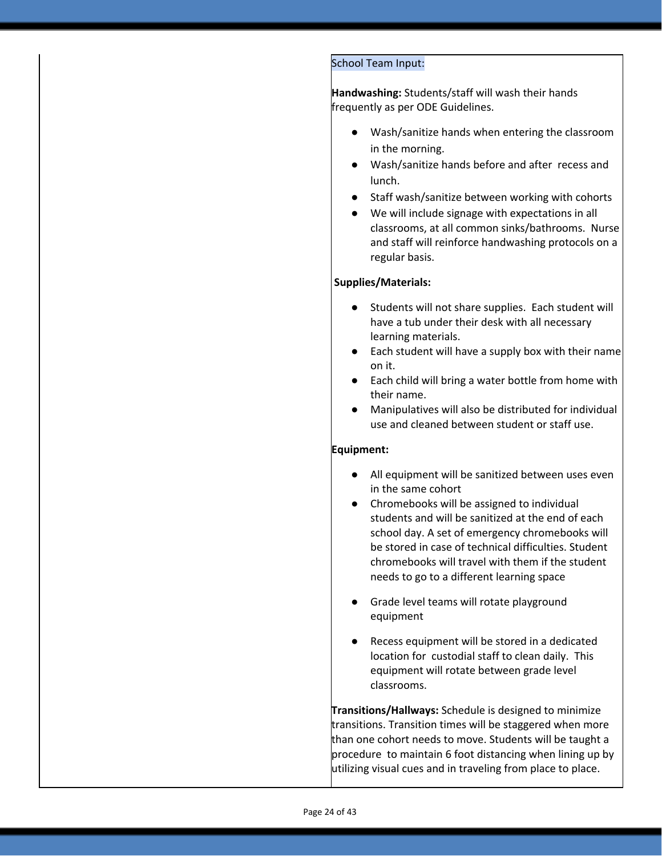#### School Team Input:

**Handwashing:** Students/staff will wash their hands frequently as per ODE Guidelines.

- Wash/sanitize hands when entering the classroom in the morning.
- Wash/sanitize hands before and after recess and lunch.
- Staff wash/sanitize between working with cohorts
- We will include signage with expectations in all classrooms, at all common sinks/bathrooms. Nurse and staff will reinforce handwashing protocols on a regular basis.

#### **Supplies/Materials:**

- Students will not share supplies. Each student will have a tub under their desk with all necessary learning materials.
- Each student will have a supply box with their name on it.
- Each child will bring a water bottle from home with their name.
- Manipulatives will also be distributed for individual use and cleaned between student or staff use.

#### **Equipment:**

- All equipment will be sanitized between uses even in the same cohort
- Chromebooks will be assigned to individual students and will be sanitized at the end of each school day. A set of emergency chromebooks will be stored in case of technical difficulties. Student chromebooks will travel with them if the student needs to go to a different learning space
- Grade level teams will rotate playground equipment
- Recess equipment will be stored in a dedicated location for custodial staff to clean daily. This equipment will rotate between grade level classrooms.

**Transitions/Hallways:** Schedule is designed to minimize transitions. Transition times will be staggered when more than one cohort needs to move. Students will be taught a procedure to maintain 6 foot distancing when lining up by utilizing visual cues and in traveling from place to place.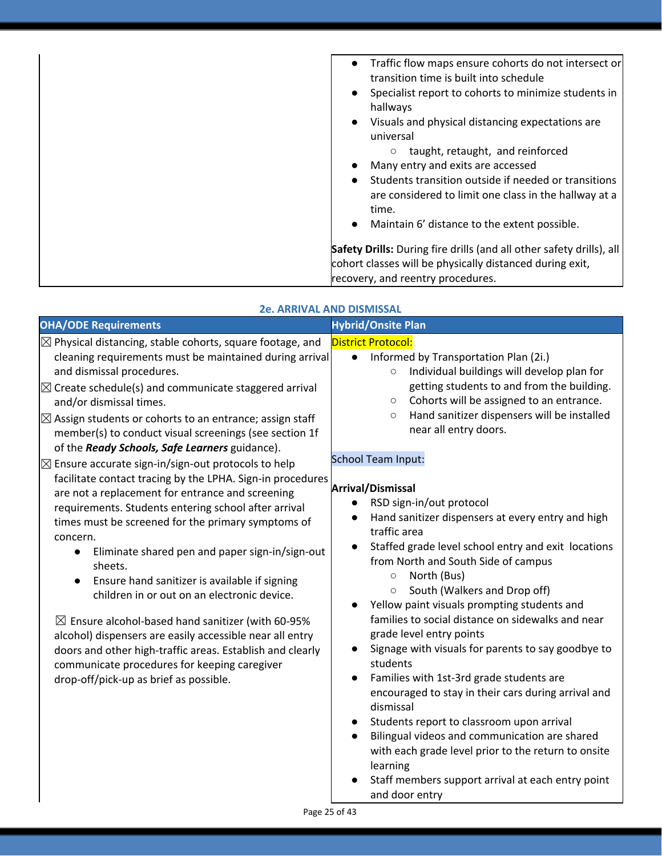| Traffic flow maps ensure cohorts do not intersect or<br>$\bullet$<br>transition time is built into schedule<br>Specialist report to cohorts to minimize students in<br>$\bullet$<br>hallways<br>Visuals and physical distancing expectations are<br>$\bullet$<br>universal<br>taught, retaught, and reinforced<br>$\circ$<br>Many entry and exits are accessed<br>Students transition outside if needed or transitions<br>$\bullet$<br>are considered to limit one class in the hallway at a<br>time.<br>Maintain 6' distance to the extent possible.<br>$\bullet$ |
|--------------------------------------------------------------------------------------------------------------------------------------------------------------------------------------------------------------------------------------------------------------------------------------------------------------------------------------------------------------------------------------------------------------------------------------------------------------------------------------------------------------------------------------------------------------------|
| Safety Drills: During fire drills (and all other safety drills), all                                                                                                                                                                                                                                                                                                                                                                                                                                                                                               |
| cohort classes will be physically distanced during exit,                                                                                                                                                                                                                                                                                                                                                                                                                                                                                                           |
| recovery, and reentry procedures.                                                                                                                                                                                                                                                                                                                                                                                                                                                                                                                                  |
|                                                                                                                                                                                                                                                                                                                                                                                                                                                                                                                                                                    |

#### **2e. ARRIVAL AND DISMISSAL**

| <b>OHA/ODE Requirements</b>                                                                                                                                                                                                                                                                                                                                                                                                                                                                                                                                                                                                                                                                                                                                                                                                                                                                                                                                                                                                                                                                                                                                                                                   | <b>Hybrid/Onsite Plan</b>                                                                                                                                                                                                                                                                                                                                                                                                                                                                                                                                                                                                                                                                                                                                                                                                                                                                                                                                                                                                                                                                                                                                                                                                                                                                                              |
|---------------------------------------------------------------------------------------------------------------------------------------------------------------------------------------------------------------------------------------------------------------------------------------------------------------------------------------------------------------------------------------------------------------------------------------------------------------------------------------------------------------------------------------------------------------------------------------------------------------------------------------------------------------------------------------------------------------------------------------------------------------------------------------------------------------------------------------------------------------------------------------------------------------------------------------------------------------------------------------------------------------------------------------------------------------------------------------------------------------------------------------------------------------------------------------------------------------|------------------------------------------------------------------------------------------------------------------------------------------------------------------------------------------------------------------------------------------------------------------------------------------------------------------------------------------------------------------------------------------------------------------------------------------------------------------------------------------------------------------------------------------------------------------------------------------------------------------------------------------------------------------------------------------------------------------------------------------------------------------------------------------------------------------------------------------------------------------------------------------------------------------------------------------------------------------------------------------------------------------------------------------------------------------------------------------------------------------------------------------------------------------------------------------------------------------------------------------------------------------------------------------------------------------------|
| $\boxtimes$ Physical distancing, stable cohorts, square footage, and<br>cleaning requirements must be maintained during arrival<br>and dismissal procedures.<br>$\boxtimes$ Create schedule(s) and communicate staggered arrival<br>and/or dismissal times.<br>$\boxtimes$ Assign students or cohorts to an entrance; assign staff<br>member(s) to conduct visual screenings (see section 1f<br>of the Ready Schools, Safe Learners guidance).<br>$\boxtimes$ Ensure accurate sign-in/sign-out protocols to help<br>facilitate contact tracing by the LPHA. Sign-in procedures<br>are not a replacement for entrance and screening<br>requirements. Students entering school after arrival<br>times must be screened for the primary symptoms of<br>concern.<br>Eliminate shared pen and paper sign-in/sign-out<br>sheets.<br>Ensure hand sanitizer is available if signing<br>children in or out on an electronic device.<br>$\boxtimes$ Ensure alcohol-based hand sanitizer (with 60-95%<br>alcohol) dispensers are easily accessible near all entry<br>doors and other high-traffic areas. Establish and clearly<br>communicate procedures for keeping caregiver<br>drop-off/pick-up as brief as possible. | <b>District Protocol:</b><br>Informed by Transportation Plan (2i.)<br>$\bullet$<br>Individual buildings will develop plan for<br>$\circ$<br>getting students to and from the building.<br>Cohorts will be assigned to an entrance.<br>$\circlearrowright$<br>Hand sanitizer dispensers will be installed<br>$\circ$<br>near all entry doors.<br><b>School Team Input:</b><br>Arrival/Dismissal<br>RSD sign-in/out protocol<br>Hand sanitizer dispensers at every entry and high<br>$\bullet$<br>traffic area<br>Staffed grade level school entry and exit locations<br>$\bullet$<br>from North and South Side of campus<br>North (Bus)<br>$\circ$<br>South (Walkers and Drop off)<br>$\circlearrowright$<br>Yellow paint visuals prompting students and<br>$\bullet$<br>families to social distance on sidewalks and near<br>grade level entry points<br>Signage with visuals for parents to say goodbye to<br>$\bullet$<br>students<br>Families with 1st-3rd grade students are<br>$\bullet$<br>encouraged to stay in their cars during arrival and<br>dismissal<br>Students report to classroom upon arrival<br>Bilingual videos and communication are shared<br>$\bullet$<br>with each grade level prior to the return to onsite<br>learning<br>Staff members support arrival at each entry point<br>and door entry |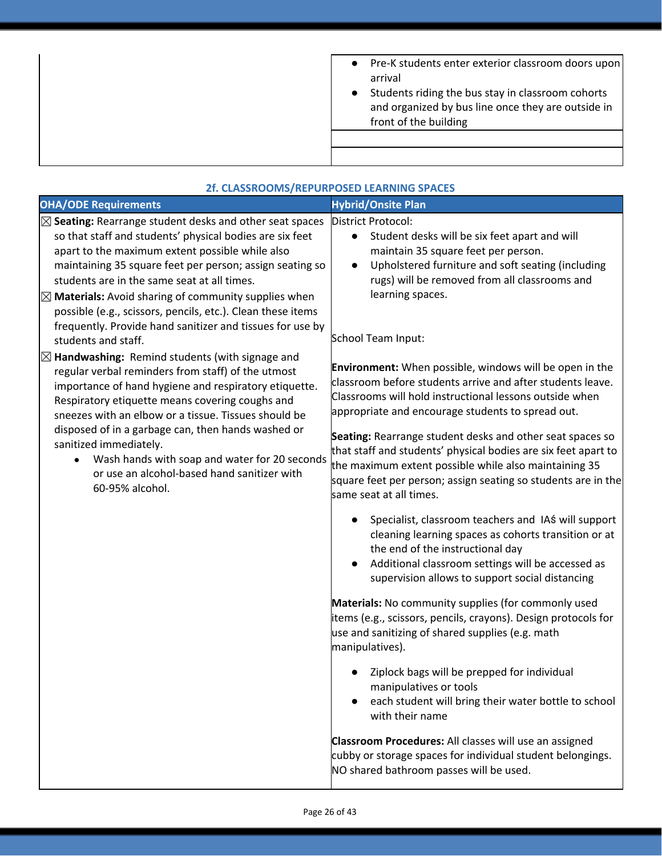| Pre-K students enter exterior classroom doors upon<br>$\bullet$<br>arrival<br>Students riding the bus stay in classroom cohorts<br>$\bullet$<br>and organized by bus line once they are outside in<br>front of the building |
|-----------------------------------------------------------------------------------------------------------------------------------------------------------------------------------------------------------------------------|
|                                                                                                                                                                                                                             |

| 2f. CLASSROOMS/REPURPOSED LEARNING SPACES                                                                                                                                                                                                                                                                                                                                                                                                                                                                          |                                                                                                                                                                                                                                                                                                                                                                                                                                                                                                                                  |  |
|--------------------------------------------------------------------------------------------------------------------------------------------------------------------------------------------------------------------------------------------------------------------------------------------------------------------------------------------------------------------------------------------------------------------------------------------------------------------------------------------------------------------|----------------------------------------------------------------------------------------------------------------------------------------------------------------------------------------------------------------------------------------------------------------------------------------------------------------------------------------------------------------------------------------------------------------------------------------------------------------------------------------------------------------------------------|--|
| <b>OHA/ODE Requirements</b>                                                                                                                                                                                                                                                                                                                                                                                                                                                                                        | <b>Hybrid/Onsite Plan</b>                                                                                                                                                                                                                                                                                                                                                                                                                                                                                                        |  |
| $\boxtimes$ Seating: Rearrange student desks and other seat spaces<br>so that staff and students' physical bodies are six feet<br>apart to the maximum extent possible while also<br>maintaining 35 square feet per person; assign seating so<br>students are in the same seat at all times.<br>$\boxtimes$ Materials: Avoid sharing of community supplies when<br>possible (e.g., scissors, pencils, etc.). Clean these items<br>frequently. Provide hand sanitizer and tissues for use by<br>students and staff. | District Protocol:<br>Student desks will be six feet apart and will<br>$\bullet$<br>maintain 35 square feet per person.<br>Upholstered furniture and soft seating (including<br>$\bullet$<br>rugs) will be removed from all classrooms and<br>learning spaces.<br>School Team Input:                                                                                                                                                                                                                                             |  |
| $\boxtimes$ Handwashing: Remind students (with signage and<br>regular verbal reminders from staff) of the utmost<br>importance of hand hygiene and respiratory etiquette.<br>Respiratory etiquette means covering coughs and<br>sneezes with an elbow or a tissue. Tissues should be<br>disposed of in a garbage can, then hands washed or<br>sanitized immediately.<br>Wash hands with soap and water for 20 seconds<br>or use an alcohol-based hand sanitizer with<br>60-95% alcohol.                            | <b>Environment:</b> When possible, windows will be open in the<br>classroom before students arrive and after students leave.<br>Classrooms will hold instructional lessons outside when<br>appropriate and encourage students to spread out.<br>Seating: Rearrange student desks and other seat spaces so<br>that staff and students' physical bodies are six feet apart to<br>the maximum extent possible while also maintaining 35<br>square feet per person; assign seating so students are in the<br>same seat at all times. |  |
|                                                                                                                                                                                                                                                                                                                                                                                                                                                                                                                    | Specialist, classroom teachers and IAS will support<br>cleaning learning spaces as cohorts transition or at<br>the end of the instructional day<br>Additional classroom settings will be accessed as<br>$\bullet$<br>supervision allows to support social distancing<br>Materials: No community supplies (for commonly used<br>items (e.g., scissors, pencils, crayons). Design protocols for<br>use and sanitizing of shared supplies (e.g. math<br>manipulatives).                                                             |  |
|                                                                                                                                                                                                                                                                                                                                                                                                                                                                                                                    | Ziplock bags will be prepped for individual<br>$\bullet$<br>manipulatives or tools<br>each student will bring their water bottle to school<br>with their name<br>Classroom Procedures: All classes will use an assigned<br>cubby or storage spaces for individual student belongings.<br>NO shared bathroom passes will be used.                                                                                                                                                                                                 |  |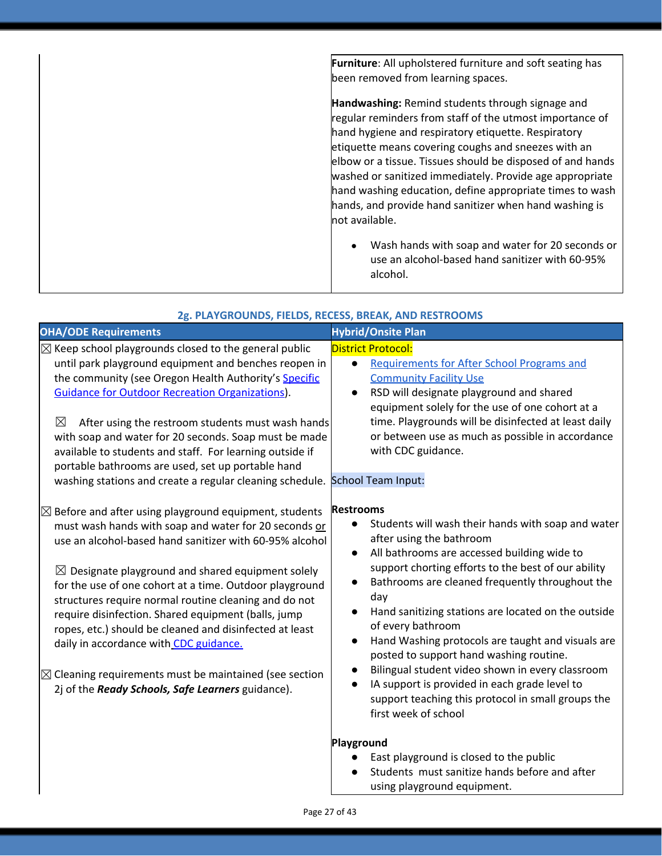|  | Furniture: All upholstered furniture and soft seating has<br>been removed from learning spaces.                                                                                                                                                                                                                                                                                                                                                                                              |
|--|----------------------------------------------------------------------------------------------------------------------------------------------------------------------------------------------------------------------------------------------------------------------------------------------------------------------------------------------------------------------------------------------------------------------------------------------------------------------------------------------|
|  | Handwashing: Remind students through signage and<br>regular reminders from staff of the utmost importance of<br>hand hygiene and respiratory etiquette. Respiratory<br>etiquette means covering coughs and sneezes with an<br>elbow or a tissue. Tissues should be disposed of and hands<br>washed or sanitized immediately. Provide age appropriate<br>hand washing education, define appropriate times to wash<br>hands, and provide hand sanitizer when hand washing is<br>not available. |
|  | Wash hands with soap and water for 20 seconds or<br>$\bullet$<br>use an alcohol-based hand sanitizer with 60-95%<br>alcohol.                                                                                                                                                                                                                                                                                                                                                                 |

| 2g. PLAYGROUNDS, FIELDS, RECESS, BREAK, AND RESTROOMS |  |  |
|-------------------------------------------------------|--|--|
|                                                       |  |  |

| <b>OHA/ODE Requirements</b>                                                                                                                                                                                                                                                                                                                                                                                                                                                                                                                                                                                                                                     | <b>Hybrid/Onsite Plan</b>                                                                                                                                                                                                                                                                                                                                                                                                                                                                                                                                                                                                                                                                                                    |
|-----------------------------------------------------------------------------------------------------------------------------------------------------------------------------------------------------------------------------------------------------------------------------------------------------------------------------------------------------------------------------------------------------------------------------------------------------------------------------------------------------------------------------------------------------------------------------------------------------------------------------------------------------------------|------------------------------------------------------------------------------------------------------------------------------------------------------------------------------------------------------------------------------------------------------------------------------------------------------------------------------------------------------------------------------------------------------------------------------------------------------------------------------------------------------------------------------------------------------------------------------------------------------------------------------------------------------------------------------------------------------------------------------|
| $\boxtimes$ Keep school playgrounds closed to the general public<br>until park playground equipment and benches reopen in<br>the community (see Oregon Health Authority's Specific<br><b>Guidance for Outdoor Recreation Organizations).</b><br>$\boxtimes$<br>After using the restroom students must wash hands<br>with soap and water for 20 seconds. Soap must be made<br>available to students and staff. For learning outside if<br>portable bathrooms are used, set up portable hand<br>washing stations and create a regular cleaning schedule. School Team Input:                                                                                       | <b>District Protocol:</b><br><b>Requirements for After School Programs and</b><br>$\bullet$<br><b>Community Facility Use</b><br>RSD will designate playground and shared<br>$\bullet$<br>equipment solely for the use of one cohort at a<br>time. Playgrounds will be disinfected at least daily<br>or between use as much as possible in accordance<br>with CDC guidance.                                                                                                                                                                                                                                                                                                                                                   |
| $\boxtimes$ Before and after using playground equipment, students<br>must wash hands with soap and water for 20 seconds or<br>use an alcohol-based hand sanitizer with 60-95% alcohol<br>$\boxtimes$ Designate playground and shared equipment solely<br>for the use of one cohort at a time. Outdoor playground<br>structures require normal routine cleaning and do not<br>require disinfection. Shared equipment (balls, jump<br>ropes, etc.) should be cleaned and disinfected at least<br>daily in accordance with CDC guidance.<br>$\boxtimes$ Cleaning requirements must be maintained (see section<br>2j of the Ready Schools, Safe Learners guidance). | <b>Restrooms</b><br>Students will wash their hands with soap and water<br>$\bullet$<br>after using the bathroom<br>All bathrooms are accessed building wide to<br>$\bullet$<br>support chorting efforts to the best of our ability<br>Bathrooms are cleaned frequently throughout the<br>$\bullet$<br>day<br>Hand sanitizing stations are located on the outside<br>$\bullet$<br>of every bathroom<br>Hand Washing protocols are taught and visuals are<br>$\bullet$<br>posted to support hand washing routine.<br>Bilingual student video shown in every classroom<br>$\bullet$<br>IA support is provided in each grade level to<br>$\bullet$<br>support teaching this protocol in small groups the<br>first week of school |
|                                                                                                                                                                                                                                                                                                                                                                                                                                                                                                                                                                                                                                                                 | Playground<br>East playground is closed to the public<br>Students must sanitize hands before and after<br>using playground equipment.                                                                                                                                                                                                                                                                                                                                                                                                                                                                                                                                                                                        |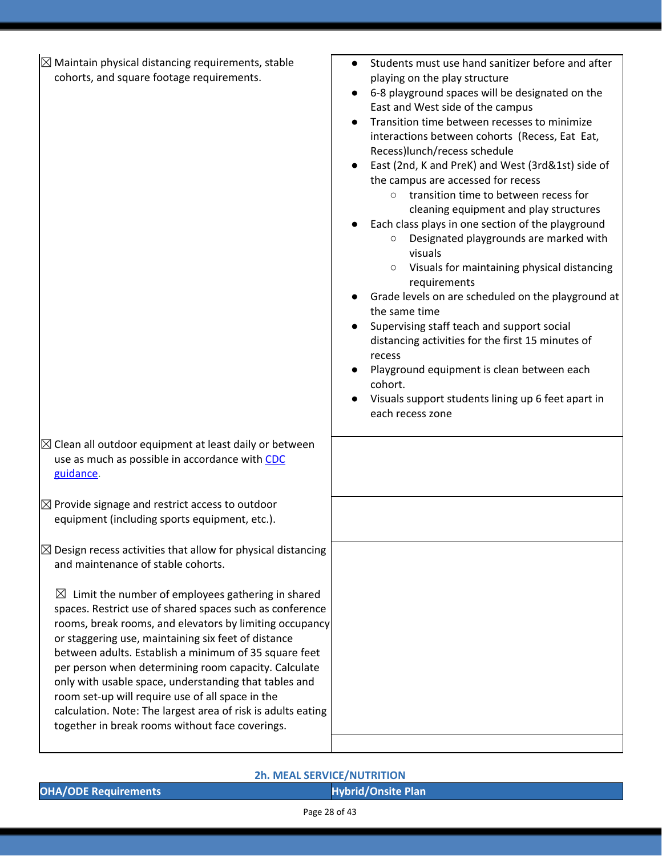| $\boxtimes$ Maintain physical distancing requirements, stable<br>cohorts, and square footage requirements.                                                                                                                                                                                                                                                                                                                                                                                                                                                                                      | Students must use hand sanitizer before and after<br>playing on the play structure<br>6-8 playground spaces will be designated on the<br>East and West side of the campus<br>Transition time between recesses to minimize<br>interactions between cohorts (Recess, Eat Eat,<br>Recess)lunch/recess schedule<br>East (2nd, K and PreK) and West (3rd&1st) side of<br>the campus are accessed for recess<br>transition time to between recess for<br>$\circ$<br>cleaning equipment and play structures<br>Each class plays in one section of the playground<br>Designated playgrounds are marked with<br>visuals<br>Visuals for maintaining physical distancing<br>$\circ$<br>requirements<br>Grade levels on are scheduled on the playground at<br>the same time<br>Supervising staff teach and support social<br>distancing activities for the first 15 minutes of<br>recess<br>Playground equipment is clean between each<br>cohort.<br>Visuals support students lining up 6 feet apart in<br>each recess zone |
|-------------------------------------------------------------------------------------------------------------------------------------------------------------------------------------------------------------------------------------------------------------------------------------------------------------------------------------------------------------------------------------------------------------------------------------------------------------------------------------------------------------------------------------------------------------------------------------------------|-----------------------------------------------------------------------------------------------------------------------------------------------------------------------------------------------------------------------------------------------------------------------------------------------------------------------------------------------------------------------------------------------------------------------------------------------------------------------------------------------------------------------------------------------------------------------------------------------------------------------------------------------------------------------------------------------------------------------------------------------------------------------------------------------------------------------------------------------------------------------------------------------------------------------------------------------------------------------------------------------------------------|
| $\boxtimes$ Clean all outdoor equipment at least daily or between<br>use as much as possible in accordance with CDC<br>guidance.                                                                                                                                                                                                                                                                                                                                                                                                                                                                |                                                                                                                                                                                                                                                                                                                                                                                                                                                                                                                                                                                                                                                                                                                                                                                                                                                                                                                                                                                                                 |
| $\boxtimes$ Provide signage and restrict access to outdoor<br>equipment (including sports equipment, etc.).                                                                                                                                                                                                                                                                                                                                                                                                                                                                                     |                                                                                                                                                                                                                                                                                                                                                                                                                                                                                                                                                                                                                                                                                                                                                                                                                                                                                                                                                                                                                 |
| $\boxtimes$ Design recess activities that allow for physical distancing<br>and maintenance of stable cohorts.                                                                                                                                                                                                                                                                                                                                                                                                                                                                                   |                                                                                                                                                                                                                                                                                                                                                                                                                                                                                                                                                                                                                                                                                                                                                                                                                                                                                                                                                                                                                 |
| Limit the number of employees gathering in shared<br>$\boxtimes$<br>spaces. Restrict use of shared spaces such as conference<br>rooms, break rooms, and elevators by limiting occupancy<br>or staggering use, maintaining six feet of distance<br>between adults. Establish a minimum of 35 square feet<br>per person when determining room capacity. Calculate<br>only with usable space, understanding that tables and<br>room set-up will require use of all space in the<br>calculation. Note: The largest area of risk is adults eating<br>together in break rooms without face coverings. |                                                                                                                                                                                                                                                                                                                                                                                                                                                                                                                                                                                                                                                                                                                                                                                                                                                                                                                                                                                                                 |

#### **2h. MEAL SERVICE/NUTRITION**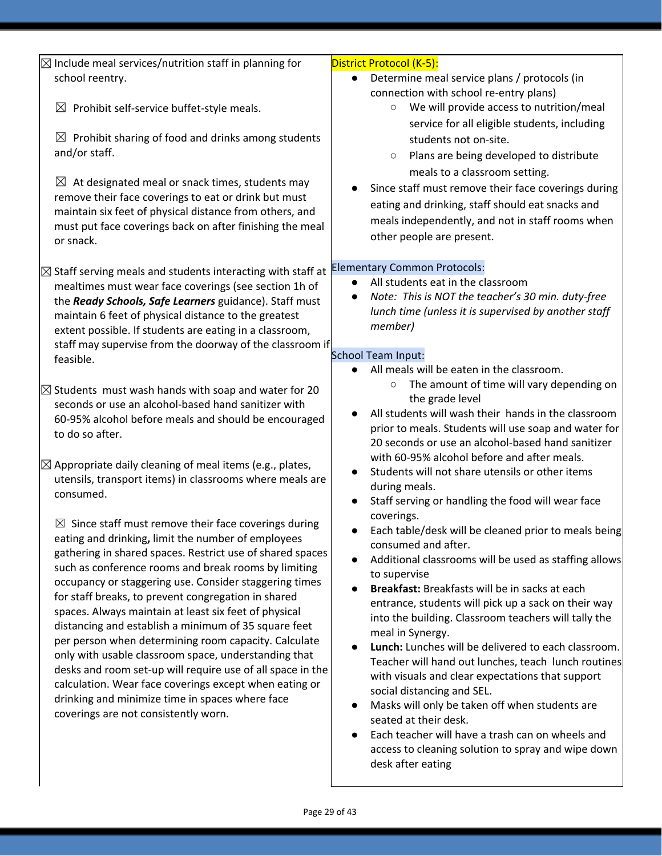| $\boxtimes$ Include meal services/nutrition staff in planning for      | District Protocol (K-5):                                |
|------------------------------------------------------------------------|---------------------------------------------------------|
| school reentry.                                                        | Determine meal service plans / protocols (in            |
|                                                                        | connection with school re-entry plans)                  |
| Prohibit self-service buffet-style meals.<br>$\boxtimes$               | We will provide access to nutrition/meal<br>$\circ$     |
|                                                                        | service for all eligible students, including            |
| $\boxtimes$ Prohibit sharing of food and drinks among students         | students not on-site.                                   |
| and/or staff.                                                          |                                                         |
|                                                                        | Plans are being developed to distribute<br>$\circ$      |
| $\boxtimes$ At designated meal or snack times, students may            | meals to a classroom setting.                           |
| remove their face coverings to eat or drink but must                   | Since staff must remove their face coverings during     |
| maintain six feet of physical distance from others, and                | eating and drinking, staff should eat snacks and        |
| must put face coverings back on after finishing the meal               | meals independently, and not in staff rooms when        |
| or snack.                                                              | other people are present.                               |
|                                                                        |                                                         |
| $\boxtimes$ Staff serving meals and students interacting with staff at | <b>Elementary Common Protocols:</b>                     |
| mealtimes must wear face coverings (see section 1h of                  | All students eat in the classroom                       |
| the Ready Schools, Safe Learners guidance). Staff must                 | Note: This is NOT the teacher's 30 min. duty-free       |
| maintain 6 feet of physical distance to the greatest                   | lunch time (unless it is supervised by another staff    |
| extent possible. If students are eating in a classroom,                | member)                                                 |
| staff may supervise from the doorway of the classroom if               |                                                         |
| feasible.                                                              | <b>School Team Input:</b>                               |
|                                                                        | All meals will be eaten in the classroom.               |
|                                                                        | The amount of time will vary depending on<br>$\bigcirc$ |
| $\boxtimes$ Students must wash hands with soap and water for 20        | the grade level                                         |
| seconds or use an alcohol-based hand sanitizer with                    | All students will wash their hands in the classroom     |
| 60-95% alcohol before meals and should be encouraged                   | prior to meals. Students will use soap and water for    |
| to do so after.                                                        | 20 seconds or use an alcohol-based hand sanitizer       |
|                                                                        | with 60-95% alcohol before and after meals.             |
| $\boxtimes$ Appropriate daily cleaning of meal items (e.g., plates,    | Students will not share utensils or other items         |
| utensils, transport items) in classrooms where meals are               | during meals.                                           |
| consumed.                                                              | Staff serving or handling the food will wear face       |
|                                                                        | coverings.                                              |
| $\boxtimes$ Since staff must remove their face coverings during        | Each table/desk will be cleaned prior to meals being    |
| eating and drinking, limit the number of employees                     | consumed and after.                                     |
| gathering in shared spaces. Restrict use of shared spaces              | Additional classrooms will be used as staffing allows   |
| such as conference rooms and break rooms by limiting                   | to supervise                                            |
| occupancy or staggering use. Consider staggering times                 | Breakfast: Breakfasts will be in sacks at each          |
| for staff breaks, to prevent congregation in shared                    | entrance, students will pick up a sack on their way     |
| spaces. Always maintain at least six feet of physical                  | into the building. Classroom teachers will tally the    |
| distancing and establish a minimum of 35 square feet                   | meal in Synergy.                                        |
| per person when determining room capacity. Calculate                   | Lunch: Lunches will be delivered to each classroom.     |
| only with usable classroom space, understanding that                   | Teacher will hand out lunches, teach lunch routines     |
| desks and room set-up will require use of all space in the             | with visuals and clear expectations that support        |
| calculation. Wear face coverings except when eating or                 | social distancing and SEL.                              |
| drinking and minimize time in spaces where face                        | Masks will only be taken off when students are          |
| coverings are not consistently worn.                                   | seated at their desk.                                   |
|                                                                        | Each teacher will have a trash can on wheels and        |
|                                                                        | access to cleaning solution to spray and wipe down      |
|                                                                        | desk after eating                                       |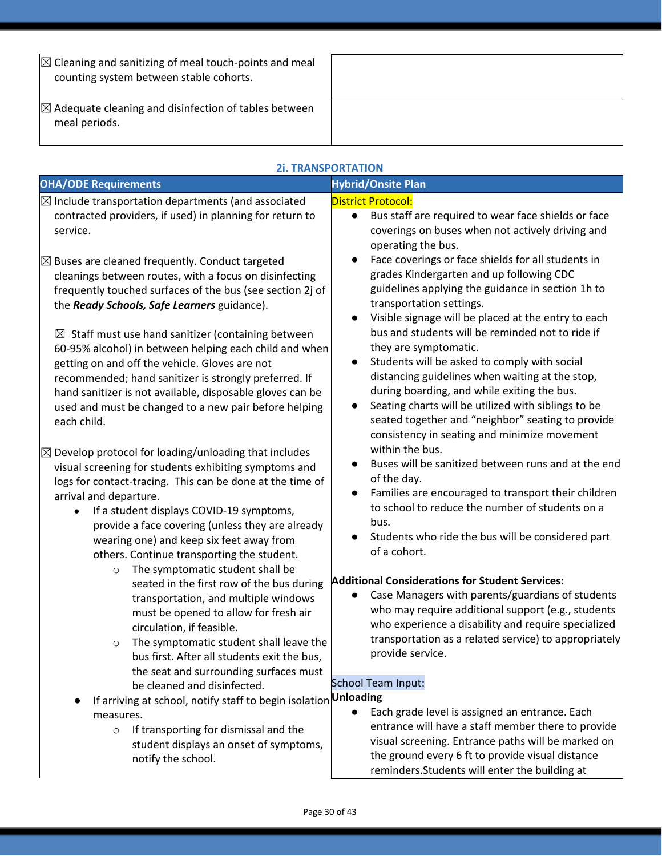| $\mathbb{Z}$ Cleaning and sanitizing of meal touch-points and meal<br>counting system between stable cohorts. |  |
|---------------------------------------------------------------------------------------------------------------|--|
| $\boxtimes$ Adequate cleaning and disinfection of tables between<br>meal periods.                             |  |

| <b>2i. TRANSPORTATION</b>                                                                                                                                                                                                                                                                                                                                                                                                                                                                                                                                                                                                                                                                                                                             |                                                                                                                                                                                                                                                                                                                                                                                                                                                                                                                                                                                                                                                                                                                                                                                                           |
|-------------------------------------------------------------------------------------------------------------------------------------------------------------------------------------------------------------------------------------------------------------------------------------------------------------------------------------------------------------------------------------------------------------------------------------------------------------------------------------------------------------------------------------------------------------------------------------------------------------------------------------------------------------------------------------------------------------------------------------------------------|-----------------------------------------------------------------------------------------------------------------------------------------------------------------------------------------------------------------------------------------------------------------------------------------------------------------------------------------------------------------------------------------------------------------------------------------------------------------------------------------------------------------------------------------------------------------------------------------------------------------------------------------------------------------------------------------------------------------------------------------------------------------------------------------------------------|
| <b>OHA/ODE Requirements</b>                                                                                                                                                                                                                                                                                                                                                                                                                                                                                                                                                                                                                                                                                                                           | <b>Hybrid/Onsite Plan</b>                                                                                                                                                                                                                                                                                                                                                                                                                                                                                                                                                                                                                                                                                                                                                                                 |
| $\boxtimes$ Include transportation departments (and associated<br>contracted providers, if used) in planning for return to<br>service.<br>$\boxtimes$ Buses are cleaned frequently. Conduct targeted<br>cleanings between routes, with a focus on disinfecting<br>frequently touched surfaces of the bus (see section 2j of<br>the Ready Schools, Safe Learners guidance).<br>$\boxtimes$ Staff must use hand sanitizer (containing between<br>60-95% alcohol) in between helping each child and when<br>getting on and off the vehicle. Gloves are not<br>recommended; hand sanitizer is strongly preferred. If<br>hand sanitizer is not available, disposable gloves can be<br>used and must be changed to a new pair before helping<br>each child. | District Protocol:<br>Bus staff are required to wear face shields or face<br>$\bullet$<br>coverings on buses when not actively driving and<br>operating the bus.<br>Face coverings or face shields for all students in<br>$\bullet$<br>grades Kindergarten and up following CDC<br>guidelines applying the guidance in section 1h to<br>transportation settings.<br>Visible signage will be placed at the entry to each<br>$\bullet$<br>bus and students will be reminded not to ride if<br>they are symptomatic.<br>Students will be asked to comply with social<br>$\bullet$<br>distancing guidelines when waiting at the stop,<br>during boarding, and while exiting the bus.<br>Seating charts will be utilized with siblings to be<br>$\bullet$<br>seated together and "neighbor" seating to provide |
| $\boxtimes$ Develop protocol for loading/unloading that includes<br>visual screening for students exhibiting symptoms and<br>logs for contact-tracing. This can be done at the time of<br>arrival and departure.<br>If a student displays COVID-19 symptoms,<br>$\bullet$<br>provide a face covering (unless they are already<br>wearing one) and keep six feet away from<br>others. Continue transporting the student.                                                                                                                                                                                                                                                                                                                               | consistency in seating and minimize movement<br>within the bus.<br>Buses will be sanitized between runs and at the end<br>of the day.<br>Families are encouraged to transport their children<br>$\bullet$<br>to school to reduce the number of students on a<br>bus.<br>Students who ride the bus will be considered part<br>of a cohort.                                                                                                                                                                                                                                                                                                                                                                                                                                                                 |
| The symptomatic student shall be<br>$\circ$<br>seated in the first row of the bus during<br>transportation, and multiple windows<br>must be opened to allow for fresh air<br>circulation, if feasible.<br>The symptomatic student shall leave the<br>bus first. After all students exit the bus,<br>the seat and surrounding surfaces must<br>be cleaned and disinfected.<br>If arriving at school, notify staff to begin isolation<br>measures.<br>If transporting for dismissal and the<br>$\circ$<br>student displays an onset of symptoms,<br>notify the school.                                                                                                                                                                                  | <b>Additional Considerations for Student Services:</b><br>Case Managers with parents/guardians of students<br>who may require additional support (e.g., students<br>who experience a disability and require specialized<br>transportation as a related service) to appropriately<br>provide service.<br><b>School Team Input:</b><br><b>Unloading</b><br>Each grade level is assigned an entrance. Each<br>entrance will have a staff member there to provide<br>visual screening. Entrance paths will be marked on<br>the ground every 6 ft to provide visual distance<br>reminders. Students will enter the building at                                                                                                                                                                                 |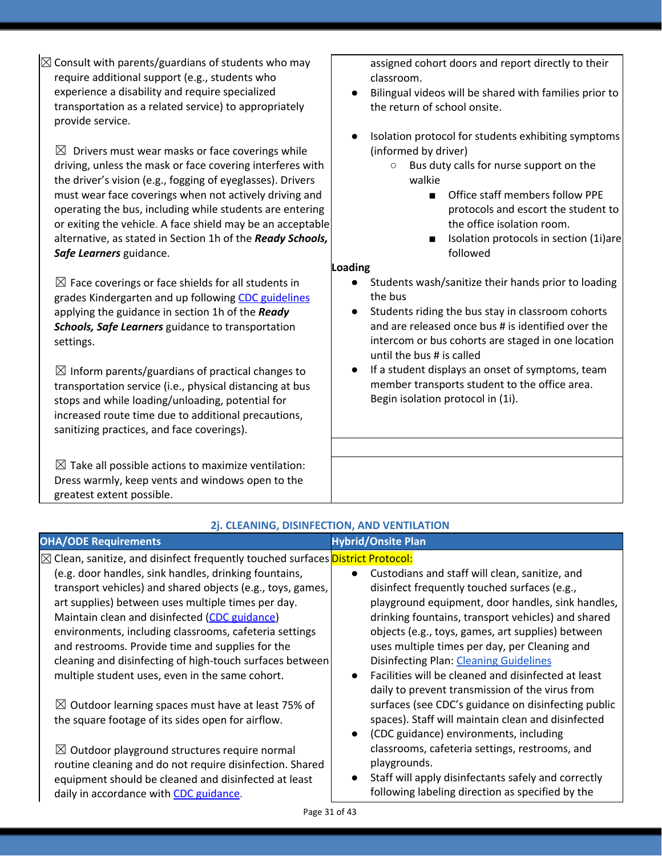| $\boxtimes$ Drivers must wear masks or face coverings while<br>driving, unless the mask or face covering interferes with<br>the driver's vision (e.g., fogging of eyeglasses). Drivers<br>must wear face coverings when not actively driving and<br>operating the bus, including while students are entering<br>or exiting the vehicle. A face shield may be an acceptable<br>alternative, as stated in Section 1h of the Ready Schools,<br>Safe Learners guidance.<br>$\boxtimes$ Face coverings or face shields for all students in<br>grades Kindergarten and up following CDC guidelines<br>applying the guidance in section 1h of the Ready<br>Schools, Safe Learners guidance to transportation<br>settings.<br>$\boxtimes$ Inform parents/guardians of practical changes to<br>transportation service (i.e., physical distancing at bus<br>stops and while loading/unloading, potential for<br>increased route time due to additional precautions,<br>sanitizing practices, and face coverings).<br>$\boxtimes$ Take all possible actions to maximize ventilation:<br>Dress warmly, keep vents and windows open to the | (informed by driver)<br>Bus duty calls for nurse support on the<br>walkie<br>Office staff members follow PPE<br>$\blacksquare$<br>protocols and escort the student to<br>the office isolation room.<br>Isolation protocols in section (1i)are<br>followed<br><b>Loading</b><br>Students wash/sanitize their hands prior to loading<br>the bus<br>Students riding the bus stay in classroom cohorts<br>and are released once bus # is identified over the<br>intercom or bus cohorts are staged in one location<br>until the bus # is called<br>If a student displays an onset of symptoms, team<br>member transports student to the office area.<br>Begin isolation protocol in (1i). |
|-------------------------------------------------------------------------------------------------------------------------------------------------------------------------------------------------------------------------------------------------------------------------------------------------------------------------------------------------------------------------------------------------------------------------------------------------------------------------------------------------------------------------------------------------------------------------------------------------------------------------------------------------------------------------------------------------------------------------------------------------------------------------------------------------------------------------------------------------------------------------------------------------------------------------------------------------------------------------------------------------------------------------------------------------------------------------------------------------------------------------------|---------------------------------------------------------------------------------------------------------------------------------------------------------------------------------------------------------------------------------------------------------------------------------------------------------------------------------------------------------------------------------------------------------------------------------------------------------------------------------------------------------------------------------------------------------------------------------------------------------------------------------------------------------------------------------------|
| greatest extent possible.                                                                                                                                                                                                                                                                                                                                                                                                                                                                                                                                                                                                                                                                                                                                                                                                                                                                                                                                                                                                                                                                                                     |                                                                                                                                                                                                                                                                                                                                                                                                                                                                                                                                                                                                                                                                                       |
| 2j. CLEANING, DISINFECTION, AND VENTILATION                                                                                                                                                                                                                                                                                                                                                                                                                                                                                                                                                                                                                                                                                                                                                                                                                                                                                                                                                                                                                                                                                   |                                                                                                                                                                                                                                                                                                                                                                                                                                                                                                                                                                                                                                                                                       |
| <b>OHA/ODE Requirements</b>                                                                                                                                                                                                                                                                                                                                                                                                                                                                                                                                                                                                                                                                                                                                                                                                                                                                                                                                                                                                                                                                                                   | <b>Hybrid/Onsite Plan</b>                                                                                                                                                                                                                                                                                                                                                                                                                                                                                                                                                                                                                                                             |
| ⊠ Clean, sanitize, and disinfect frequently touched surfaces District Protocol:<br>(e.g. door handles, sink handles, drinking fountains,<br>transport vehicles) and shared objects (e.g., toys, games,<br>art supplies) between uses multiple times per day.<br>Maintain clean and disinfected (CDC guidance)<br>environments, including classrooms, cafeteria settings<br>and restrooms. Provide time and supplies for the<br>cleaning and disinfecting of high-touch surfaces between<br>multiple student uses, even in the same cohort.                                                                                                                                                                                                                                                                                                                                                                                                                                                                                                                                                                                    | Custodians and staff will clean, sanitize, and<br>disinfect frequently touched surfaces (e.g.,<br>playground equipment, door handles, sink handles,<br>drinking fountains, transport vehicles) and shared<br>objects (e.g., toys, games, art supplies) between<br>uses multiple times per day, per Cleaning and<br>Disinfecting Plan: Cleaning Guidelines<br>Facilities will be cleaned and disinfected at least<br>daily to prevent transmission of the virus from                                                                                                                                                                                                                   |
| $\boxtimes$ Outdoor learning spaces must have at least 75% of<br>the square footage of its sides open for airflow.<br>$\boxtimes$ Outdoor playground structures require normal<br>routine cleaning and do not require disinfection. Shared<br>equipment should be cleaned and disinfected at least<br>daily in accordance with CDC guidance.<br>Page 31 of 43                                                                                                                                                                                                                                                                                                                                                                                                                                                                                                                                                                                                                                                                                                                                                                 | surfaces (see CDC's guidance on disinfecting public<br>spaces). Staff will maintain clean and disinfected<br>(CDC guidance) environments, including<br>classrooms, cafeteria settings, restrooms, and<br>playgrounds.<br>Staff will apply disinfectants safely and correctly<br>following labeling direction as specified by the                                                                                                                                                                                                                                                                                                                                                      |
|                                                                                                                                                                                                                                                                                                                                                                                                                                                                                                                                                                                                                                                                                                                                                                                                                                                                                                                                                                                                                                                                                                                               |                                                                                                                                                                                                                                                                                                                                                                                                                                                                                                                                                                                                                                                                                       |

 $\sqrt{\mathbb{Z}}$  Consult with parents/guardians of students who may require additional support (e.g., students who experience a disability and require specialized transportation as a related service) to appropriately provide service.

assigned cohort doors and report directly to their classroom.

- Bilingual videos will be shared with families prior to the return of school onsite.
- Isolation protocol for students exhibiting symptoms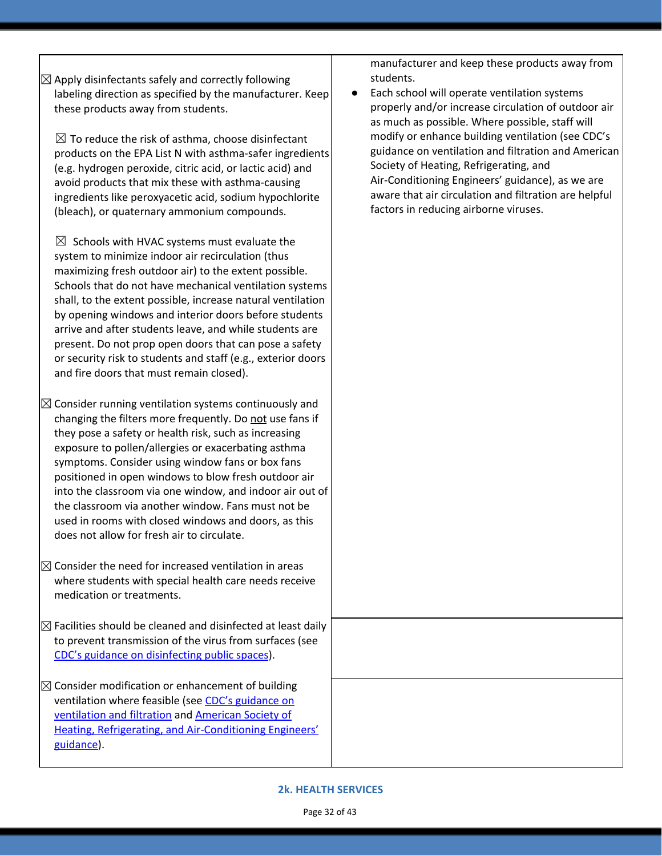| $\boxtimes$ Apply disinfectants safely and correctly following |  |
|----------------------------------------------------------------|--|
| labeling direction as specified by the manufacturer. Keep      |  |
| these products away from students.                             |  |

 $\boxtimes$  To reduce the risk of asthma, choose disinfectant products on the EPA List N with asthma-safer ingredients (e.g. hydrogen peroxide, citric acid, or lactic acid) and avoid products that mix these with asthma-causing ingredients like peroxyacetic acid, sodium hypochlorite (bleach), or quaternary ammonium compounds.

 $\boxtimes$  Schools with HVAC systems must evaluate the system to minimize indoor air recirculation (thus maximizing fresh outdoor air) to the extent possible. Schools that do not have mechanical ventilation systems shall, to the extent possible, increase natural ventilation by opening windows and interior doors before students arrive and after students leave, and while students are present. Do not prop open doors that can pose a safety or security risk to students and staff (e.g., exterior doors and fire doors that must remain closed).

 $\boxtimes$  Consider running ventilation systems continuously and changing the filters more frequently. Do not use fans if they pose a safety or health risk, such as increasing exposure to pollen/allergies or exacerbating asthma symptoms. Consider using window fans or box fans positioned in open windows to blow fresh outdoor air into the classroom via one window, and indoor air out of the classroom via another window. Fans must not be used in rooms with closed windows and doors, as this does not allow for fresh air to circulate.

- $\boxtimes$  Consider the need for increased ventilation in areas where students with special health care needs receive medication or treatments.
- $\boxtimes$  Facilities should be cleaned and disinfected at least daily to prevent transmission of the virus from surfaces (see CDC's guidance on [disinfecting](https://www.cdc.gov/coronavirus/2019-ncov/community/reopen-guidance.html) public spaces).

 $\boxtimes$  Consider modification or enhancement of building ventilation where feasible (see [C](https://www.cdc.gov/coronavirus/2019-ncov/community/guidance-business-response.html)DC's [guidance](https://www.cdc.gov/coronavirus/2019-ncov/community/guidance-business-response.html) on [ventilation](https://www.cdc.gov/coronavirus/2019-ncov/community/guidance-business-response.html) and filtration an[d](https://www.ashrae.org/news/ashraejournal/guidance-for-building-operations-during-the-covid-19-pandemic) [American](https://www.ashrae.org/news/ashraejournal/guidance-for-building-operations-during-the-covid-19-pandemic) Society of Heating, Refrigerating, and [Air-Conditioning](https://www.ashrae.org/news/ashraejournal/guidance-for-building-operations-during-the-covid-19-pandemic) Engineers' [guidance\)](https://www.ashrae.org/news/ashraejournal/guidance-for-building-operations-during-the-covid-19-pandemic).

manufacturer and keep these products away from students.

Each school will operate ventilation systems properly and/or increase circulation of outdoor air as much as possible. Where possible, staff will modify or enhance building ventilation (see CDC's guidance on ventilation and filtration and American Society of Heating, Refrigerating, and Air-Conditioning Engineers' guidance), as we are aware that air circulation and filtration are helpful factors in reducing airborne viruses.

#### **2k. HEALTH SERVICES**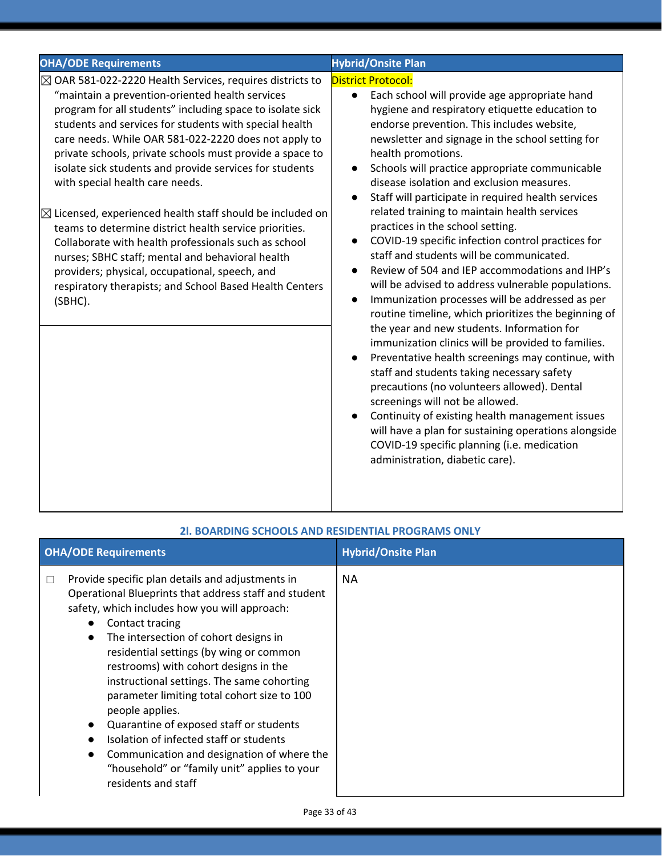| <b>OHA/ODE Requirements</b>                                                                                                                                                                                                                                                                                                                                                                                                                                                                                                                                                                                                                                                                                                                                                                                                           | <b>Hybrid/Onsite Plan</b>                                                                                                                                                                                                                                                                                                                                                                                                                                                                                                                                                                                                                                                                                                                                                                                                                                                                                                                                                                                                                                                                                                                                                                                                                                                                                                                                                                          |
|---------------------------------------------------------------------------------------------------------------------------------------------------------------------------------------------------------------------------------------------------------------------------------------------------------------------------------------------------------------------------------------------------------------------------------------------------------------------------------------------------------------------------------------------------------------------------------------------------------------------------------------------------------------------------------------------------------------------------------------------------------------------------------------------------------------------------------------|----------------------------------------------------------------------------------------------------------------------------------------------------------------------------------------------------------------------------------------------------------------------------------------------------------------------------------------------------------------------------------------------------------------------------------------------------------------------------------------------------------------------------------------------------------------------------------------------------------------------------------------------------------------------------------------------------------------------------------------------------------------------------------------------------------------------------------------------------------------------------------------------------------------------------------------------------------------------------------------------------------------------------------------------------------------------------------------------------------------------------------------------------------------------------------------------------------------------------------------------------------------------------------------------------------------------------------------------------------------------------------------------------|
| $\boxtimes$ OAR 581-022-2220 Health Services, requires districts to<br>"maintain a prevention-oriented health services<br>program for all students" including space to isolate sick<br>students and services for students with special health<br>care needs. While OAR 581-022-2220 does not apply to<br>private schools, private schools must provide a space to<br>isolate sick students and provide services for students<br>with special health care needs.<br>$\boxtimes$ Licensed, experienced health staff should be included on<br>teams to determine district health service priorities.<br>Collaborate with health professionals such as school<br>nurses; SBHC staff; mental and behavioral health<br>providers; physical, occupational, speech, and<br>respiratory therapists; and School Based Health Centers<br>(SBHC). | <b>District Protocol:</b><br>Each school will provide age appropriate hand<br>$\bullet$<br>hygiene and respiratory etiquette education to<br>endorse prevention. This includes website,<br>newsletter and signage in the school setting for<br>health promotions.<br>Schools will practice appropriate communicable<br>$\bullet$<br>disease isolation and exclusion measures.<br>Staff will participate in required health services<br>$\bullet$<br>related training to maintain health services<br>practices in the school setting.<br>COVID-19 specific infection control practices for<br>$\bullet$<br>staff and students will be communicated.<br>Review of 504 and IEP accommodations and IHP's<br>$\bullet$<br>will be advised to address vulnerable populations.<br>Immunization processes will be addressed as per<br>$\bullet$<br>routine timeline, which prioritizes the beginning of<br>the year and new students. Information for<br>immunization clinics will be provided to families.<br>Preventative health screenings may continue, with<br>$\bullet$<br>staff and students taking necessary safety<br>precautions (no volunteers allowed). Dental<br>screenings will not be allowed.<br>Continuity of existing health management issues<br>will have a plan for sustaining operations alongside<br>COVID-19 specific planning (i.e. medication<br>administration, diabetic care). |

|   | <b>OHA/ODE Requirements</b>                                                                                                                                                                                                                                                                                                                                                                                                                                                                                                                                                                                                                                     | <b>Hybrid/Onsite Plan</b> |
|---|-----------------------------------------------------------------------------------------------------------------------------------------------------------------------------------------------------------------------------------------------------------------------------------------------------------------------------------------------------------------------------------------------------------------------------------------------------------------------------------------------------------------------------------------------------------------------------------------------------------------------------------------------------------------|---------------------------|
| L | Provide specific plan details and adjustments in<br>Operational Blueprints that address staff and student<br>safety, which includes how you will approach:<br>Contact tracing<br>$\bullet$<br>The intersection of cohort designs in<br>$\bullet$<br>residential settings (by wing or common<br>restrooms) with cohort designs in the<br>instructional settings. The same cohorting<br>parameter limiting total cohort size to 100<br>people applies.<br>Quarantine of exposed staff or students<br>Isolation of infected staff or students<br>Communication and designation of where the<br>"household" or "family unit" applies to your<br>residents and staff | NA.                       |

#### **2l. BOARDING SCHOOLS AND RESIDENTIAL PROGRAMS ONLY**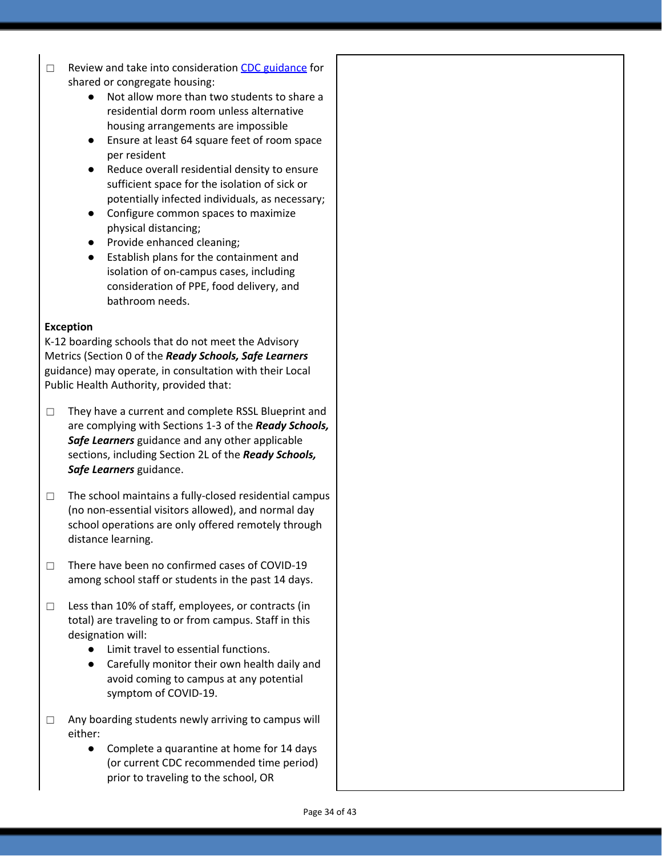- □ Review a[n](https://www.cdc.gov/coronavirus/2019-ncov/communication/toolkits/shared-congregate-housing.html)d take into consideration CDC [guidance](https://www.cdc.gov/coronavirus/2019-ncov/communication/toolkits/shared-congregate-housing.html) for shared or congregate housing:
	- Not allow more than two students to share a residential dorm room unless alternative housing arrangements are impossible
	- Ensure at least 64 square feet of room space per resident
	- Reduce overall residential density to ensure sufficient space for the isolation of sick or potentially infected individuals, as necessary;
	- Configure common spaces to maximize physical distancing;
	- Provide enhanced cleaning;
	- Establish plans for the containment and isolation of on-campus cases, including consideration of PPE, food delivery, and bathroom needs.

#### **Exception**

K-12 boarding schools that do not meet the Advisory Metrics (Section 0 of the *Ready Schools, Safe Learners* guidance) may operate, in consultation with their Local Public Health Authority, provided that:

- ☐ They have a current and complete RSSL Blueprint and are complying with Sections 1-3 of the *Ready Schools, Safe Learners* guidance and any other applicable sections, including Section 2L of the *Ready Schools, Safe Learners* guidance.
- ☐ The school maintains a fully-closed residential campus (no non-essential visitors allowed), and normal day school operations are only offered remotely through distance learning.
- ☐ There have been no confirmed cases of COVID-19 among school staff or students in the past 14 days.
- ☐ Less than 10% of staff, employees, or contracts (in total) are traveling to or from campus. Staff in this designation will:
	- Limit travel to essential functions.
	- Carefully monitor their own health daily and avoid coming to campus at any potential symptom of COVID-19.
- □ Any boarding students newly arriving to campus will either:
	- Complete a quarantine at home for 14 days (or current CDC recommended time period) prior to traveling to the school, OR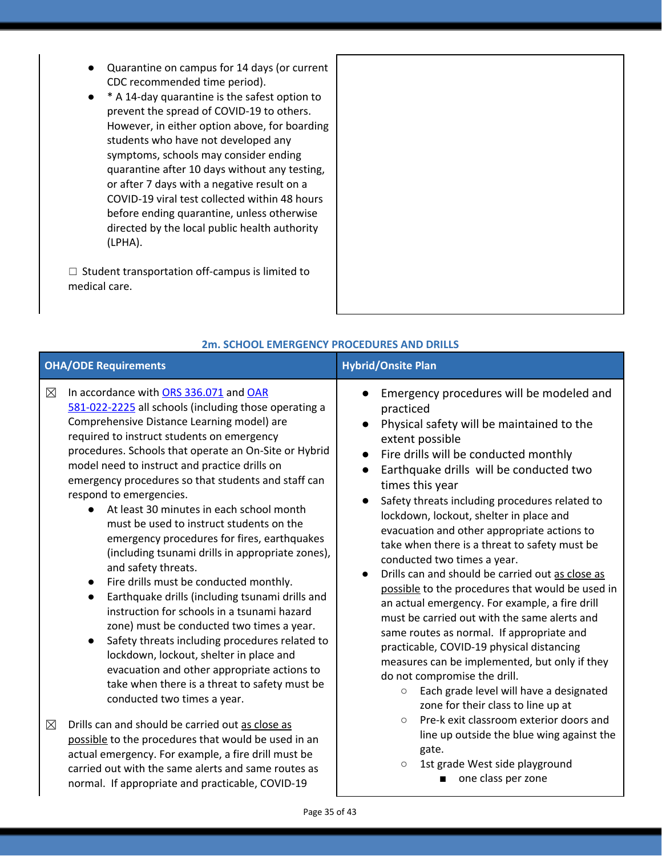- Quarantine on campus for 14 days (or current CDC recommended time period).
- \* A 14-day quarantine is the safest option to prevent the spread of COVID-19 to others. However, in either option above, for boarding students who have not developed any symptoms, schools may consider ending quarantine after 10 days without any testing, or after 7 days with a negative result on a COVID-19 viral test collected within 48 hours before ending quarantine, unless otherwise directed by the local public health authority (LPHA).

☐ Student transportation off-campus is limited to medical care.

| ZM. SCHOOL EMERGENCY PROCEDURES AND DRILLS |                                                                                                                                                                                                                                                                                                                                                                                                                                                                                                                                                                                                                                                                                                                                                                                                                                                                                                                                                                                                                                                                       |                                                                                                                                                                                                                                                                                                                                                                                                                                                                                                                                                                                                                                                                                                                                                                                                                                                                                                                                                                                              |
|--------------------------------------------|-----------------------------------------------------------------------------------------------------------------------------------------------------------------------------------------------------------------------------------------------------------------------------------------------------------------------------------------------------------------------------------------------------------------------------------------------------------------------------------------------------------------------------------------------------------------------------------------------------------------------------------------------------------------------------------------------------------------------------------------------------------------------------------------------------------------------------------------------------------------------------------------------------------------------------------------------------------------------------------------------------------------------------------------------------------------------|----------------------------------------------------------------------------------------------------------------------------------------------------------------------------------------------------------------------------------------------------------------------------------------------------------------------------------------------------------------------------------------------------------------------------------------------------------------------------------------------------------------------------------------------------------------------------------------------------------------------------------------------------------------------------------------------------------------------------------------------------------------------------------------------------------------------------------------------------------------------------------------------------------------------------------------------------------------------------------------------|
|                                            | <b>OHA/ODE Requirements</b>                                                                                                                                                                                                                                                                                                                                                                                                                                                                                                                                                                                                                                                                                                                                                                                                                                                                                                                                                                                                                                           | <b>Hybrid/Onsite Plan</b>                                                                                                                                                                                                                                                                                                                                                                                                                                                                                                                                                                                                                                                                                                                                                                                                                                                                                                                                                                    |
| $\boxtimes$                                | In accordance with ORS 336.071 and OAR<br>581-022-2225 all schools (including those operating a<br>Comprehensive Distance Learning model) are<br>required to instruct students on emergency<br>procedures. Schools that operate an On-Site or Hybrid<br>model need to instruct and practice drills on<br>emergency procedures so that students and staff can<br>respond to emergencies.<br>At least 30 minutes in each school month<br>$\bullet$<br>must be used to instruct students on the<br>emergency procedures for fires, earthquakes<br>(including tsunami drills in appropriate zones),<br>and safety threats.<br>Fire drills must be conducted monthly.<br>Earthquake drills (including tsunami drills and<br>$\bullet$<br>instruction for schools in a tsunami hazard<br>zone) must be conducted two times a year.<br>Safety threats including procedures related to<br>$\bullet$<br>lockdown, lockout, shelter in place and<br>evacuation and other appropriate actions to<br>take when there is a threat to safety must be<br>conducted two times a year. | Emergency procedures will be modeled and<br>practiced<br>Physical safety will be maintained to the<br>$\bullet$<br>extent possible<br>Fire drills will be conducted monthly<br>$\bullet$<br>Earthquake drills will be conducted two<br>times this year<br>Safety threats including procedures related to<br>lockdown, lockout, shelter in place and<br>evacuation and other appropriate actions to<br>take when there is a threat to safety must be<br>conducted two times a year.<br>Drills can and should be carried out as close as<br>$\bullet$<br>possible to the procedures that would be used in<br>an actual emergency. For example, a fire drill<br>must be carried out with the same alerts and<br>same routes as normal. If appropriate and<br>practicable, COVID-19 physical distancing<br>measures can be implemented, but only if they<br>do not compromise the drill.<br>Each grade level will have a designated<br>$\circlearrowright$<br>zone for their class to line up at |
| $\boxtimes$                                | Drills can and should be carried out as close as<br>possible to the procedures that would be used in an<br>actual emergency. For example, a fire drill must be<br>carried out with the same alerts and same routes as<br>normal. If appropriate and practicable, COVID-19                                                                                                                                                                                                                                                                                                                                                                                                                                                                                                                                                                                                                                                                                                                                                                                             | Pre-k exit classroom exterior doors and<br>$\circ$<br>line up outside the blue wing against the<br>gate.<br>1st grade West side playground<br>$\circlearrowright$<br>one class per zone<br>■                                                                                                                                                                                                                                                                                                                                                                                                                                                                                                                                                                                                                                                                                                                                                                                                 |

#### **2m. SCHOOL EMERGENCY PROCEDURES AND DRILLS**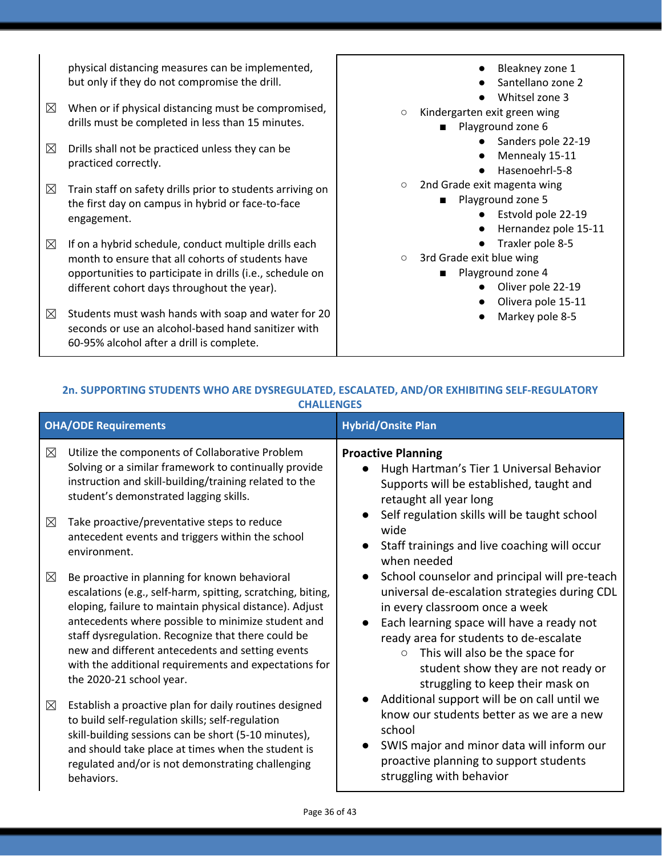physical distancing measures can be implemented, but only if they do not compromise the drill.

- $\boxtimes$  When or if physical distancing must be compromised, drills must be completed in less than 15 minutes.
- $\boxtimes$  Drills shall not be practiced unless they can be practiced correctly.
- $\boxtimes$  Train staff on safety drills prior to students arriving on the first day on campus in hybrid or face-to-face engagement.
- $\boxtimes$  If on a hybrid schedule, conduct multiple drills each month to ensure that all cohorts of students have opportunities to participate in drills (i.e., schedule on different cohort days throughout the year).
- $\boxtimes$  Students must wash hands with soap and water for 20 seconds or use an alcohol-based hand sanitizer with 60-95% alcohol after a drill is complete.
- Bleakney zone 1 ● Santellano zone 2 ● Whitsel zone 3 ○ Kindergarten exit green wing ■ Playground zone 6
	- Sanders pole 22-19
	- Mennealy 15-11
	- Hasenoehrl-5-8
- 2nd Grade exit magenta wing
	- Playground zone 5
		- Estvold pole 22-19
		- Hernandez pole 15-11
		- Traxler pole 8-5
- 3rd Grade exit blue wing
	- Playground zone 4
		- Oliver pole 22-19
		- Olivera pole 15-11
		- Markey pole 8-5

| <b>OHA/ODE Requirements</b><br><b>Hybrid/Onsite Plan</b>                                         |                                                                                                                                                                                                                                                                                                                                                                                                                              |                                                                                                                                                                                                                                                                                                                                                                                                                                                                                                                                                                                      |
|--------------------------------------------------------------------------------------------------|------------------------------------------------------------------------------------------------------------------------------------------------------------------------------------------------------------------------------------------------------------------------------------------------------------------------------------------------------------------------------------------------------------------------------|--------------------------------------------------------------------------------------------------------------------------------------------------------------------------------------------------------------------------------------------------------------------------------------------------------------------------------------------------------------------------------------------------------------------------------------------------------------------------------------------------------------------------------------------------------------------------------------|
| $\boxtimes$                                                                                      | Utilize the components of Collaborative Problem<br>Solving or a similar framework to continually provide                                                                                                                                                                                                                                                                                                                     | <b>Proactive Planning</b><br>Hugh Hartman's Tier 1 Universal Behavior                                                                                                                                                                                                                                                                                                                                                                                                                                                                                                                |
| instruction and skill-building/training related to the<br>student's demonstrated lagging skills. | Supports will be established, taught and<br>retaught all year long<br>Self regulation skills will be taught school<br>$\bullet$                                                                                                                                                                                                                                                                                              |                                                                                                                                                                                                                                                                                                                                                                                                                                                                                                                                                                                      |
| $\boxtimes$                                                                                      | Take proactive/preventative steps to reduce<br>antecedent events and triggers within the school<br>environment.                                                                                                                                                                                                                                                                                                              | wide<br>Staff trainings and live coaching will occur<br>when needed                                                                                                                                                                                                                                                                                                                                                                                                                                                                                                                  |
| $\boxtimes$                                                                                      | Be proactive in planning for known behavioral<br>escalations (e.g., self-harm, spitting, scratching, biting,<br>eloping, failure to maintain physical distance). Adjust<br>antecedents where possible to minimize student and<br>staff dysregulation. Recognize that there could be<br>new and different antecedents and setting events<br>with the additional requirements and expectations for<br>the 2020-21 school year. | School counselor and principal will pre-teach<br>universal de-escalation strategies during CDL<br>in every classroom once a week<br>Each learning space will have a ready not<br>ready area for students to de-escalate<br>This will also be the space for<br>$\circ$<br>student show they are not ready or<br>struggling to keep their mask on<br>Additional support will be on call until we<br>know our students better as we are a new<br>school<br>SWIS major and minor data will inform our<br>$\bullet$<br>proactive planning to support students<br>struggling with behavior |
| ⊠                                                                                                | Establish a proactive plan for daily routines designed<br>to build self-regulation skills; self-regulation<br>skill-building sessions can be short (5-10 minutes),<br>and should take place at times when the student is<br>regulated and/or is not demonstrating challenging<br>behaviors.                                                                                                                                  |                                                                                                                                                                                                                                                                                                                                                                                                                                                                                                                                                                                      |

## **2n. SUPPORTING STUDENTS WHO ARE DYSREGULATED, ESCALATED, AND/OR EXHIBITING SELF-REGULATORY CHALLENGES**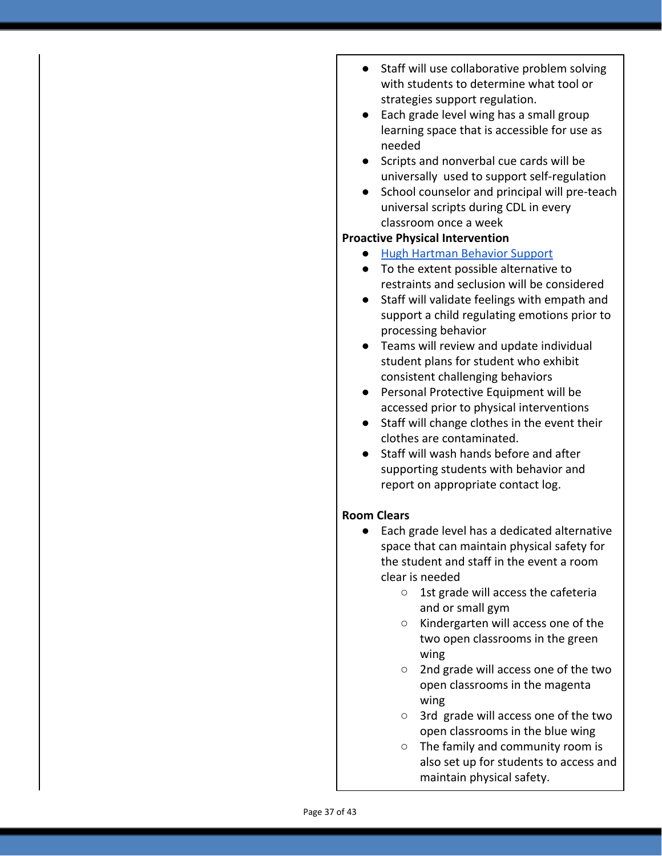- Staff will use collaborative problem solving with students to determine what tool or strategies support regulation.
- Each grade level wing has a small group learning space that is accessible for use as needed
- Scripts and nonverbal cue cards will be universally used to support self-regulation
- School counselor and principal will pre-teach universal scripts during CDL in every classroom once a week

# **Proactive Physical Intervention**

- [Hugh Hartman Behavior Support](https://docs.google.com/document/d/18C5BW7mTVwVztN3RyNOME5BnpnO4bHKn1mjB-M4UZ_0/edit?usp=sharing)
- To the extent possible alternative to restraints and seclusion will be considered
- Staff will validate feelings with empath and support a child regulating emotions prior to processing behavior
- Teams will review and update individual student plans for student who exhibit consistent challenging behaviors
- Personal Protective Equipment will be accessed prior to physical interventions
- Staff will change clothes in the event their clothes are contaminated.
- Staff will wash hands before and after supporting students with behavior and report on appropriate contact log.

# **Room Clears**

- Each grade level has a dedicated alternative space that can maintain physical safety for the student and staff in the event a room clear is needed
	- 1st grade will access the cafeteria and or small gym
	- Kindergarten will access one of the two open classrooms in the green wing
	- 2nd grade will access one of the two open classrooms in the magenta wing
	- 3rd grade will access one of the two open classrooms in the blue wing
	- The family and community room is also set up for students to access and maintain physical safety.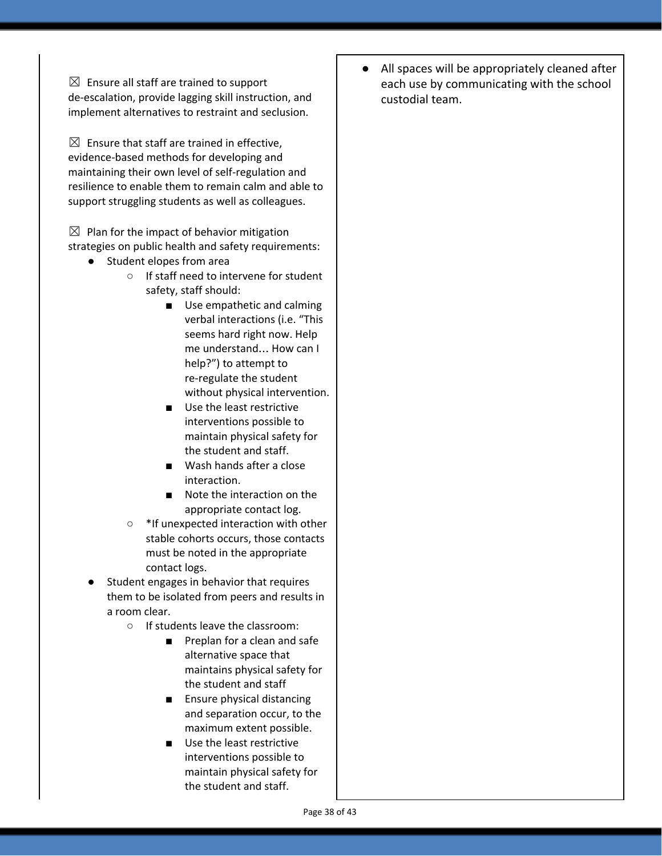$\boxtimes$  Ensure all staff are trained to support de-escalation, provide lagging skill instruction, and implement alternatives to restraint and seclusion.

 $\boxtimes$  Ensure that staff are trained in effective, evidence-based methods for developing and maintaining their own level of self-regulation and resilience to enable them to remain calm and able to support struggling students as well as colleagues.

 $\boxtimes$  Plan for the impact of behavior mitigation strategies on public health and safety requirements:

- Student elopes from area
	- If staff need to intervene for student safety, staff should:
		- Use empathetic and calming verbal interactions (i.e. "This seems hard right now. Help me understand… How can I help?") to attempt to re-regulate the student without physical intervention.
		- Use the least restrictive interventions possible to maintain physical safety for the student and staff.
		- Wash hands after a close interaction.
		- Note the interaction on the appropriate contact log.
	- \*If unexpected interaction with other stable cohorts occurs, those contacts must be noted in the appropriate contact logs.
- Student engages in behavior that requires them to be isolated from peers and results in a room clear.
	- If students leave the classroom:
		- Preplan for a clean and safe alternative space that maintains physical safety for the student and staff
		- Ensure physical distancing and separation occur, to the maximum extent possible.
		- Use the least restrictive interventions possible to maintain physical safety for the student and staff.

● All spaces will be appropriately cleaned after each use by communicating with the school custodial team.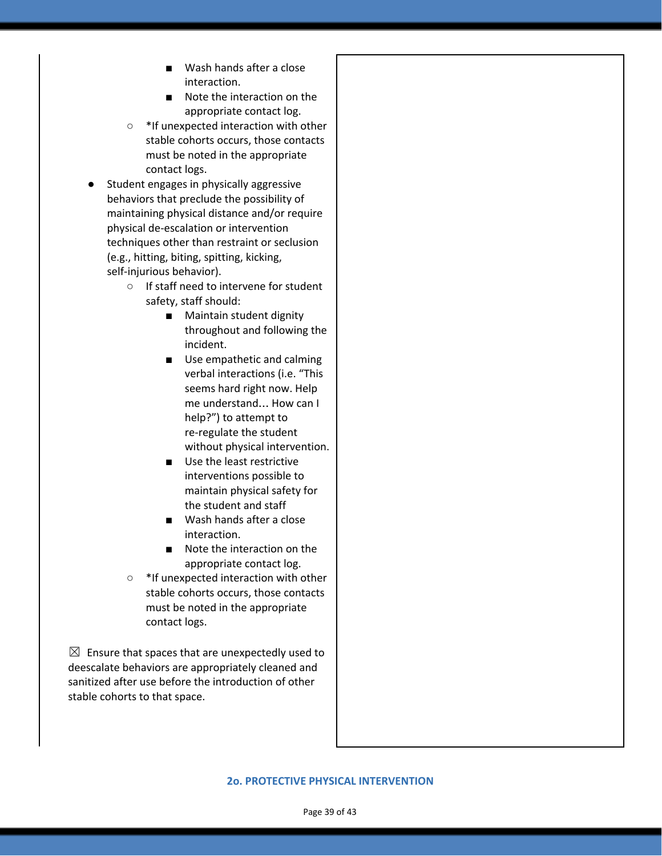- Wash hands after a close interaction.
- Note the interaction on the appropriate contact log.
- \*If unexpected interaction with other stable cohorts occurs, those contacts must be noted in the appropriate contact logs.
- Student engages in physically aggressive behaviors that preclude the possibility of maintaining physical distance and/or require physical de-escalation or intervention techniques other than restraint or seclusion (e.g., hitting, biting, spitting, kicking, self-injurious behavior).
	- If staff need to intervene for student safety, staff should:
		- Maintain student dignity throughout and following the incident.
		- Use empathetic and calming verbal interactions (i.e. "This seems hard right now. Help me understand… How can I help?") to attempt to re-regulate the student without physical intervention.
		- Use the least restrictive interventions possible to maintain physical safety for the student and staff
		- Wash hands after a close interaction.
		- Note the interaction on the appropriate contact log.
	- \*If unexpected interaction with other stable cohorts occurs, those contacts must be noted in the appropriate contact logs.

 $\boxtimes$  Ensure that spaces that are unexpectedly used to deescalate behaviors are appropriately cleaned and sanitized after use before the introduction of other stable cohorts to that space.

#### **2o. PROTECTIVE PHYSICAL INTERVENTION**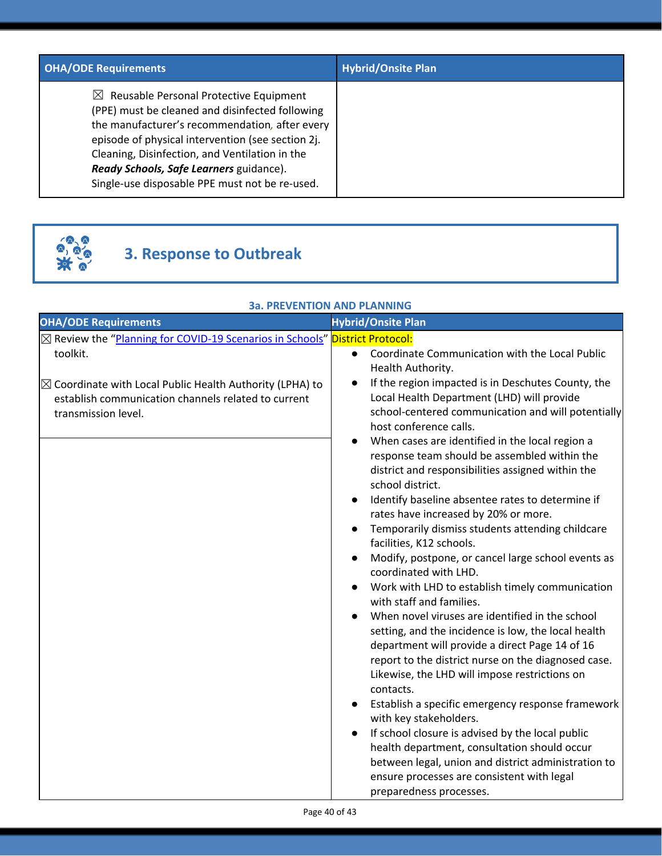| <b>OHA/ODE Requirements</b>                                                                                                                                                                                                                                                                                                                                 | <b>Hybrid/Onsite Plan</b> |
|-------------------------------------------------------------------------------------------------------------------------------------------------------------------------------------------------------------------------------------------------------------------------------------------------------------------------------------------------------------|---------------------------|
| $\boxtimes$ Reusable Personal Protective Equipment<br>(PPE) must be cleaned and disinfected following<br>the manufacturer's recommendation, after every<br>episode of physical intervention (see section 2j.<br>Cleaning, Disinfection, and Ventilation in the<br>Ready Schools, Safe Learners guidance).<br>Single-use disposable PPE must not be re-used. |                           |



# **3. Response to Outbreak**

#### **3a. PREVENTION AND PLANNING**

| <b>OHA/ODE Requirements</b>                                                                                                                                   | <b>Hybrid/Onsite Plan</b>                                                                                                                                                                                                                               |
|---------------------------------------------------------------------------------------------------------------------------------------------------------------|---------------------------------------------------------------------------------------------------------------------------------------------------------------------------------------------------------------------------------------------------------|
| ⊠ Review the "Planning for COVID-19 Scenarios in Schools" District Protocol:                                                                                  |                                                                                                                                                                                                                                                         |
| toolkit.<br>$\boxtimes$ Coordinate with Local Public Health Authority (LPHA) to<br>establish communication channels related to current<br>transmission level. | Coordinate Communication with the Local Public<br>$\bullet$<br>Health Authority.<br>If the region impacted is in Deschutes County, the<br>$\bullet$<br>Local Health Department (LHD) will provide<br>school-centered communication and will potentially |
|                                                                                                                                                               | host conference calls.<br>When cases are identified in the local region a<br>response team should be assembled within the                                                                                                                               |
|                                                                                                                                                               | district and responsibilities assigned within the<br>school district.<br>Identify baseline absentee rates to determine if                                                                                                                               |
|                                                                                                                                                               | rates have increased by 20% or more.                                                                                                                                                                                                                    |
|                                                                                                                                                               | Temporarily dismiss students attending childcare<br>facilities, K12 schools.                                                                                                                                                                            |
|                                                                                                                                                               | Modify, postpone, or cancel large school events as<br>coordinated with LHD.                                                                                                                                                                             |
|                                                                                                                                                               | Work with LHD to establish timely communication<br>with staff and families.                                                                                                                                                                             |
|                                                                                                                                                               | When novel viruses are identified in the school<br>setting, and the incidence is low, the local health<br>department will provide a direct Page 14 of 16                                                                                                |
|                                                                                                                                                               | report to the district nurse on the diagnosed case.<br>Likewise, the LHD will impose restrictions on<br>contacts.                                                                                                                                       |
|                                                                                                                                                               | Establish a specific emergency response framework<br>with key stakeholders.                                                                                                                                                                             |
|                                                                                                                                                               | If school closure is advised by the local public<br>health department, consultation should occur                                                                                                                                                        |
|                                                                                                                                                               | between legal, union and district administration to<br>ensure processes are consistent with legal                                                                                                                                                       |
|                                                                                                                                                               | preparedness processes.                                                                                                                                                                                                                                 |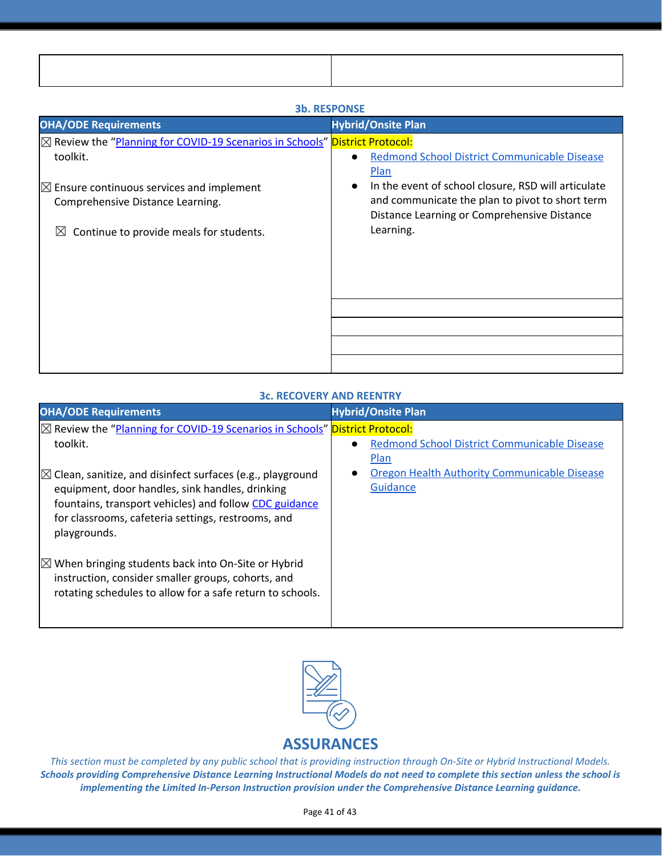| ,我们也不会有一个人的事情。""我们的人,我们也不会有一个人的人,我们也不会有一个人的人,我们也不会有一个人的人,我们也不会有一个人的人,我们也不会有一个人的人, |  |
|-----------------------------------------------------------------------------------|--|
|                                                                                   |  |
|                                                                                   |  |
|                                                                                   |  |
| ,我们也不会有什么?""我们的人,我们也不会不会不会。""我们的人,我们也不会不会不会不会。""我们的人,我们也不会不会不会。""我们的人,我们也不会不会不会。" |  |

| JU. REJPUNJE                                                                 |                                                                                                |  |  |  |
|------------------------------------------------------------------------------|------------------------------------------------------------------------------------------------|--|--|--|
| <b>OHA/ODE Requirements</b>                                                  | <b>Hybrid/Onsite Plan</b>                                                                      |  |  |  |
| ⊠ Review the "Planning for COVID-19 Scenarios in Schools" District Protocol: |                                                                                                |  |  |  |
| toolkit.                                                                     | <b>Redmond School District Communicable Disease</b><br>$\bullet$                               |  |  |  |
|                                                                              | <b>Plan</b>                                                                                    |  |  |  |
| $\boxtimes$ Ensure continuous services and implement                         | In the event of school closure, RSD will articulate<br>$\bullet$                               |  |  |  |
| Comprehensive Distance Learning.                                             | and communicate the plan to pivot to short term<br>Distance Learning or Comprehensive Distance |  |  |  |
| Continue to provide meals for students.<br>$\boxtimes$                       | Learning.                                                                                      |  |  |  |
|                                                                              |                                                                                                |  |  |  |
|                                                                              |                                                                                                |  |  |  |
|                                                                              |                                                                                                |  |  |  |
|                                                                              |                                                                                                |  |  |  |
|                                                                              |                                                                                                |  |  |  |
|                                                                              |                                                                                                |  |  |  |
|                                                                              |                                                                                                |  |  |  |
|                                                                              |                                                                                                |  |  |  |

## **3b. RESPONSE**

#### **3c. RECOVERY AND REENTRY**

| <b>OHA/ODE Requirements</b>                                                                                                                                                                                                                              | <b>Hybrid/Onsite Plan</b>                                |
|----------------------------------------------------------------------------------------------------------------------------------------------------------------------------------------------------------------------------------------------------------|----------------------------------------------------------|
| $\boxtimes$ Review the "Planning for COVID-19 Scenarios in Schools" District Protocol:<br>toolkit.                                                                                                                                                       | Redmond School District Communicable Disease<br>Plan     |
| $\boxtimes$ Clean, sanitize, and disinfect surfaces (e.g., playground<br>equipment, door handles, sink handles, drinking<br>fountains, transport vehicles) and follow CDC guidance<br>for classrooms, cafeteria settings, restrooms, and<br>playgrounds. | Oregon Health Authority Communicable Disease<br>Guidance |
| $\boxtimes$ When bringing students back into On-Site or Hybrid<br>instruction, consider smaller groups, cohorts, and<br>rotating schedules to allow for a safe return to schools.                                                                        |                                                          |



This section must be completed by any public school that is providing instruction through On-Site or Hybrid Instructional Models. Schools providing Comprehensive Distance Learning Instructional Models do not need to complete this section unless the school is *implementing the Limited In-Person Instruction provision under the Comprehensive Distance Learning guidance.*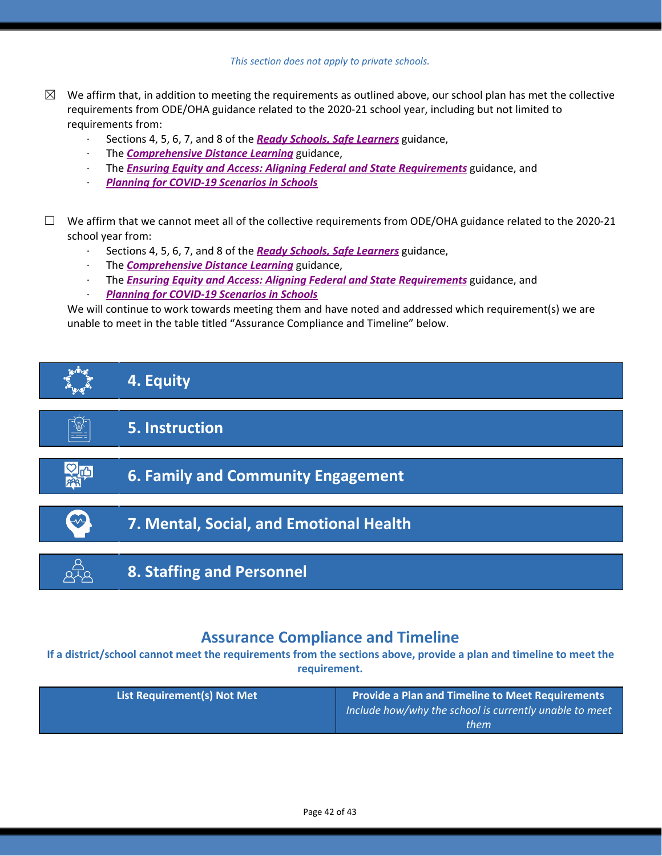| This section does not apply to private schools. |  |  |  |  |  |  |
|-------------------------------------------------|--|--|--|--|--|--|
|-------------------------------------------------|--|--|--|--|--|--|

- $\boxtimes$  We affirm that, in addition to meeting the requirements as outlined above, our school plan has met the collective requirements from ODE/OHA guidance related to the 2020-21 school year, including but not limited to requirements from:
	- · Sections 4, 5, 6, 7, and 8 of the *[R](https://www.oregon.gov/ode/students-and-family/healthsafety/Documents/Ready%20Schools%20Safe%20Learners%202020-21%20Guidance.pdf)eady Schools, Safe [Learners](https://www.oregon.gov/ode/students-and-family/healthsafety/Documents/Ready%20Schools%20Safe%20Learners%202020-21%20Guidance.pdf)* guidance,
	- · The *[Comprehensive](https://www.oregon.gov/ode/educator-resources/standards/Pages/Comprehensive-Distance-Learning.aspx) Distance Learning* guidance,
	- · The *Ensuring Equity and Access: Aligning Federal and State [Requirements](https://www.oregon.gov/ode/students-and-family/healthsafety/Documents/Ensuring%20Equity%20and%20Access%20Aligning%20State%20and%20Federal%20Requirements.pdf)* guidance, and
	- · *Planning for [COVID-19](https://www.oregon.gov/ode/students-and-family/healthsafety/Documents/Planning%20and%20Responding%20to%20COVID-19%20Scenarios%20in%20Schools%20August%202020.pdf) Scenarios in Schools*
- $\Box$  We affirm that we cannot meet all of the collective requirements from ODE/OHA guidance related to the 2020-21 school year from:
	- · Sections 4, 5, 6, 7, and 8 of the *[R](https://www.oregon.gov/ode/students-and-family/healthsafety/Documents/Ready%20Schools%20Safe%20Learners%202020-21%20Guidance.pdf)eady Schools, Safe [Learners](https://www.oregon.gov/ode/students-and-family/healthsafety/Documents/Ready%20Schools%20Safe%20Learners%202020-21%20Guidance.pdf)* guidance,
	- · The *[Comprehensive](https://www.oregon.gov/ode/educator-resources/standards/Pages/Comprehensive-Distance-Learning.aspx) Distance Learning* guidance,
	- · The *Ensuring Equity and Access: Aligning Federal and State [Requirements](https://www.oregon.gov/ode/students-and-family/healthsafety/Documents/Ensuring%20Equity%20and%20Access%20Aligning%20State%20and%20Federal%20Requirements.pdf)* guidance, and
	- · *Planning for [COVID-19](https://www.oregon.gov/ode/students-and-family/healthsafety/Documents/Planning%20and%20Responding%20to%20COVID-19%20Scenarios%20in%20Schools%20August%202020.pdf) Scenarios in Schools*

We will continue to work towards meeting them and have noted and addressed which requirement(s) we are unable to meet in the table titled "Assurance Compliance and Timeline" below.



# **Assurance Compliance and Timeline**

If a district/school cannot meet the requirements from the sections above, provide a plan and timeline to meet the **requirement.**

| <b>List Requirement(s) Not Met</b> | <b>Provide a Plan and Timeline to Meet Requirements</b><br>$\overline{a}$ Include how/why the school is currently unable to meet<br>them |
|------------------------------------|------------------------------------------------------------------------------------------------------------------------------------------|
|                                    |                                                                                                                                          |